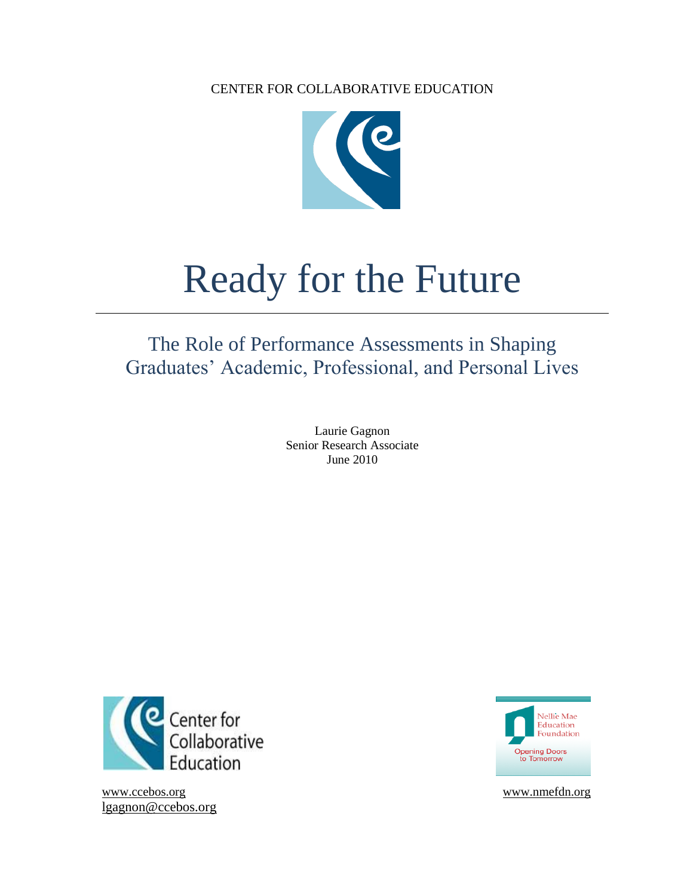

# Ready for the Future

# The Role of Performance Assessments in Shaping Graduates' Academic, Professional, and Personal Lives

Laurie Gagnon Senior Research Associate June 2010



[www.ccebos.org](http://www.ccebos.org/) www.nmefdn.org [lgagnon@ccebos.org](mailto:lgagnon@ccebos.org)

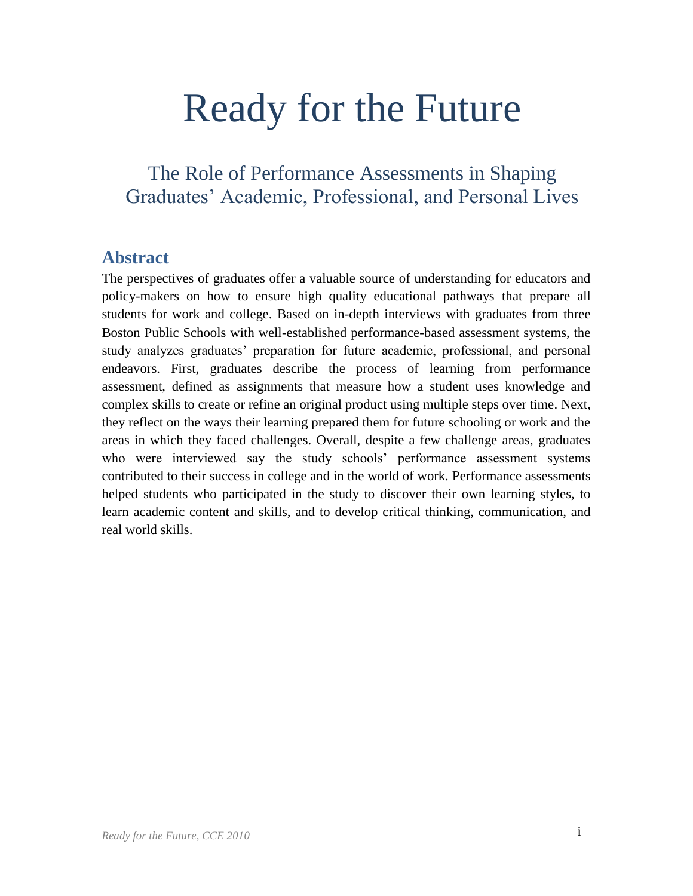# Ready for the Future

# The Role of Performance Assessments in Shaping Graduates' Academic, Professional, and Personal Lives

# **Abstract**

The perspectives of graduates offer a valuable source of understanding for educators and policy-makers on how to ensure high quality educational pathways that prepare all students for work and college. Based on in-depth interviews with graduates from three Boston Public Schools with well-established performance-based assessment systems, the study analyzes graduates' preparation for future academic, professional, and personal endeavors. First, graduates describe the process of learning from performance assessment, defined as assignments that measure how a student uses knowledge and complex skills to create or refine an original product using multiple steps over time. Next, they reflect on the ways their learning prepared them for future schooling or work and the areas in which they faced challenges. Overall, despite a few challenge areas, graduates who were interviewed say the study schools' performance assessment systems contributed to their success in college and in the world of work. Performance assessments helped students who participated in the study to discover their own learning styles, to learn academic content and skills, and to develop critical thinking, communication, and real world skills.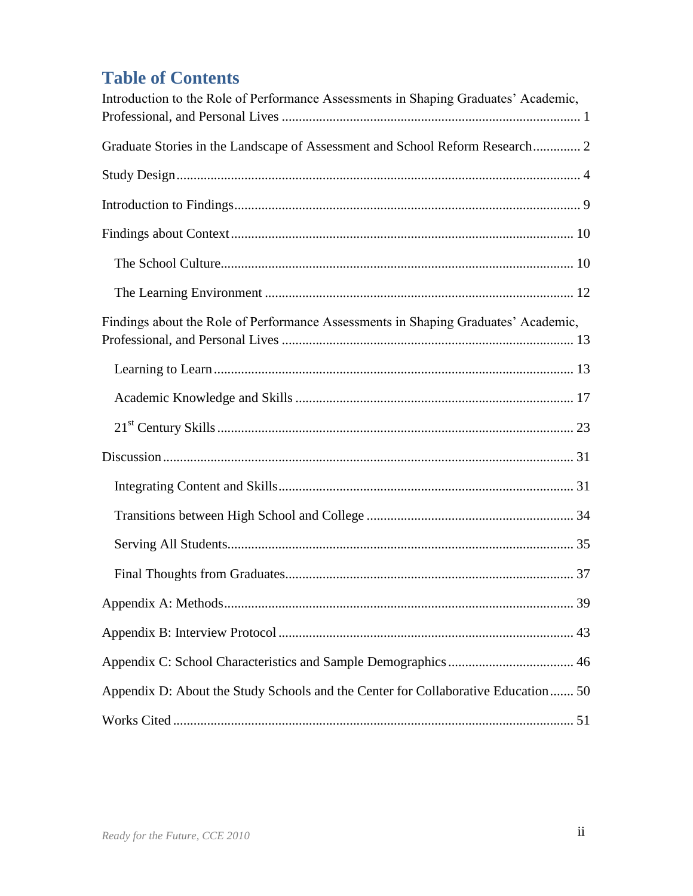# **Table of Contents**

| Introduction to the Role of Performance Assessments in Shaping Graduates' Academic, |
|-------------------------------------------------------------------------------------|
| Graduate Stories in the Landscape of Assessment and School Reform Research 2        |
|                                                                                     |
|                                                                                     |
|                                                                                     |
|                                                                                     |
|                                                                                     |
| Findings about the Role of Performance Assessments in Shaping Graduates' Academic,  |
|                                                                                     |
|                                                                                     |
|                                                                                     |
|                                                                                     |
|                                                                                     |
|                                                                                     |
|                                                                                     |
|                                                                                     |
|                                                                                     |
|                                                                                     |
|                                                                                     |
| Appendix D: About the Study Schools and the Center for Collaborative Education 50   |
|                                                                                     |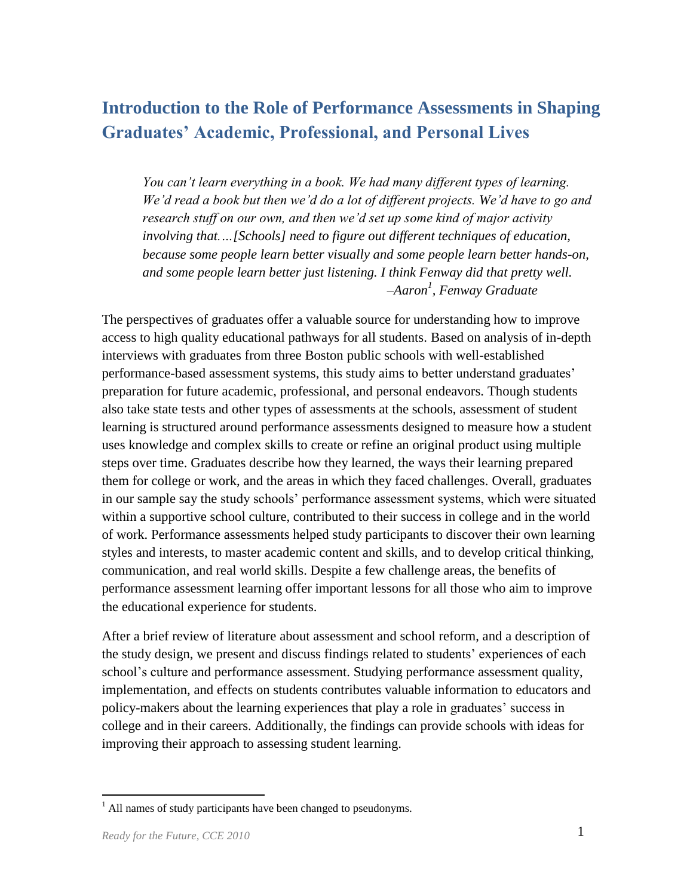# <span id="page-3-0"></span>**Introduction to the Role of Performance Assessments in Shaping Graduates' Academic, Professional, and Personal Lives**

*You can't learn everything in a book. We had many different types of learning. We'd read a book but then we'd do a lot of different projects. We'd have to go and research stuff on our own, and then we'd set up some kind of major activity involving that.…[Schools] need to figure out different techniques of education, because some people learn better visually and some people learn better hands-on, and some people learn better just listening. I think Fenway did that pretty well. –Aaron<sup>1</sup> , Fenway Graduate* 

The perspectives of graduates offer a valuable source for understanding how to improve access to high quality educational pathways for all students. Based on analysis of in-depth interviews with graduates from three Boston public schools with well-established performance-based assessment systems, this study aims to better understand graduates' preparation for future academic, professional, and personal endeavors. Though students also take state tests and other types of assessments at the schools, assessment of student learning is structured around performance assessments designed to measure how a student uses knowledge and complex skills to create or refine an original product using multiple steps over time. Graduates describe how they learned, the ways their learning prepared them for college or work, and the areas in which they faced challenges. Overall, graduates in our sample say the study schools' performance assessment systems, which were situated within a supportive school culture, contributed to their success in college and in the world of work. Performance assessments helped study participants to discover their own learning styles and interests, to master academic content and skills, and to develop critical thinking, communication, and real world skills. Despite a few challenge areas, the benefits of performance assessment learning offer important lessons for all those who aim to improve the educational experience for students.

After a brief review of literature about assessment and school reform, and a description of the study design, we present and discuss findings related to students' experiences of each school's culture and performance assessment. Studying performance assessment quality, implementation, and effects on students contributes valuable information to educators and policy-makers about the learning experiences that play a role in graduates' success in college and in their careers. Additionally, the findings can provide schools with ideas for improving their approach to assessing student learning.

 $<sup>1</sup>$  All names of study participants have been changed to pseudonyms.</sup>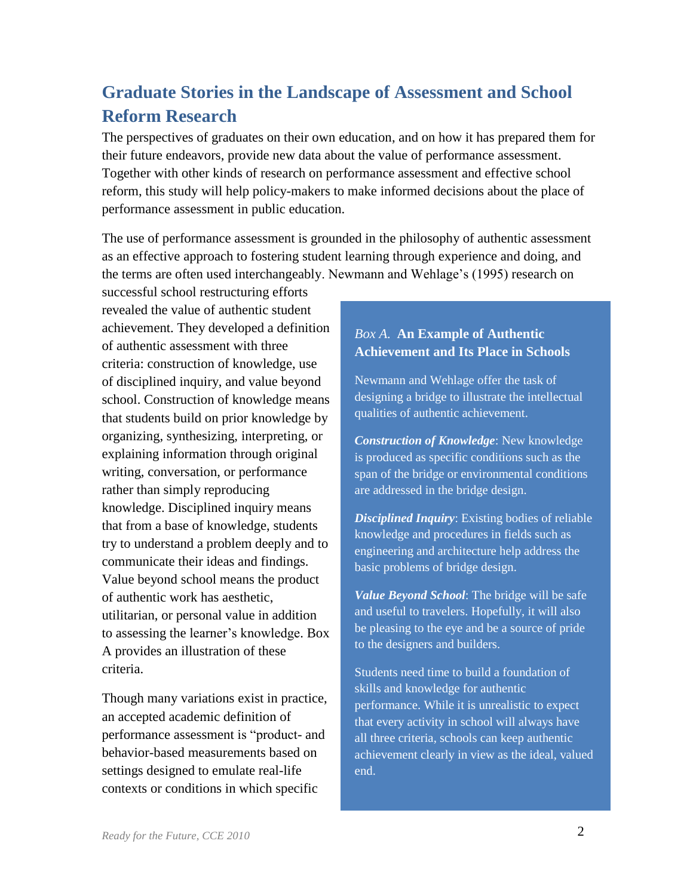# <span id="page-4-0"></span>**Graduate Stories in the Landscape of Assessment and School Reform Research**

The perspectives of graduates on their own education, and on how it has prepared them for their future endeavors, provide new data about the value of performance assessment. Together with other kinds of research on performance assessment and effective school reform, this study will help policy-makers to make informed decisions about the place of performance assessment in public education.

The use of performance assessment is grounded in the philosophy of authentic assessment as an effective approach to fostering student learning through experience and doing, and the terms are often used interchangeably. Newmann and Wehlage's (1995) research on

successful school restructuring efforts revealed the value of authentic student achievement. They developed a definition of authentic assessment with three criteria: construction of knowledge, use of disciplined inquiry, and value beyond school. Construction of knowledge means that students build on prior knowledge by organizing, synthesizing, interpreting, or explaining information through original writing, conversation, or performance rather than simply reproducing knowledge. Disciplined inquiry means that from a base of knowledge, students try to understand a problem deeply and to communicate their ideas and findings. Value beyond school means the product of authentic work has aesthetic, utilitarian, or personal value in addition to assessing the learner's knowledge. Box A provides an illustration of these criteria.

Though many variations exist in practice, an accepted academic definition of performance assessment is "product- and behavior-based measurements based on settings designed to emulate real-life contexts or conditions in which specific

## *Box A.* **An Example of Authentic Achievement and Its Place in Schools**

Newmann and Wehlage offer the task of designing a bridge to illustrate the intellectual qualities of authentic achievement.

*Construction of Knowledge*: New knowledge is produced as specific conditions such as the span of the bridge or environmental conditions are addressed in the bridge design.

*Disciplined Inquiry*: Existing bodies of reliable knowledge and procedures in fields such as engineering and architecture help address the basic problems of bridge design.

*Value Beyond School*: The bridge will be safe and useful to travelers. Hopefully, it will also be pleasing to the eye and be a source of pride to the designers and builders.

Students need time to build a foundation of skills and knowledge for authentic performance. While it is unrealistic to expect that every activity in school will always have all three criteria, schools can keep authentic achievement clearly in view as the ideal, valued end.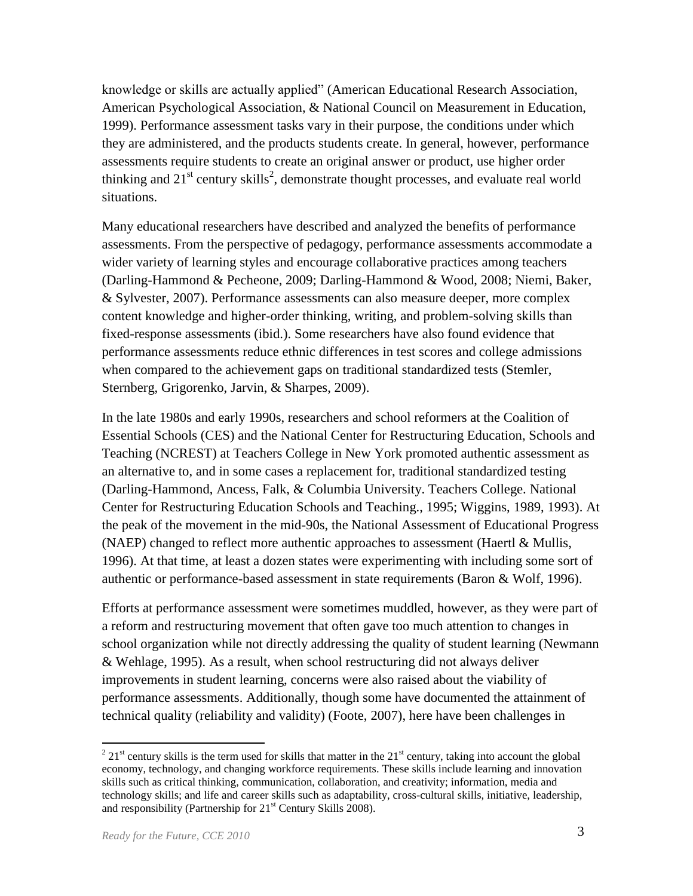knowledge or skills are actually applied" (American Educational Research Association, American Psychological Association, & National Council on Measurement in Education, 1999). Performance assessment tasks vary in their purpose, the conditions under which they are administered, and the products students create. In general, however, performance assessments require students to create an original answer or product, use higher order thinking and  $21<sup>st</sup>$  century skills<sup>2</sup>, demonstrate thought processes, and evaluate real world situations.

Many educational researchers have described and analyzed the benefits of performance assessments. From the perspective of pedagogy, performance assessments accommodate a wider variety of learning styles and encourage collaborative practices among teachers (Darling-Hammond & Pecheone, 2009; Darling-Hammond & Wood, 2008; Niemi, Baker, & Sylvester, 2007). Performance assessments can also measure deeper, more complex content knowledge and higher-order thinking, writing, and problem-solving skills than fixed-response assessments (ibid.). Some researchers have also found evidence that performance assessments reduce ethnic differences in test scores and college admissions when compared to the achievement gaps on traditional standardized tests (Stemler, Sternberg, Grigorenko, Jarvin, & Sharpes, 2009).

In the late 1980s and early 1990s, researchers and school reformers at the Coalition of Essential Schools (CES) and the National Center for Restructuring Education, Schools and Teaching (NCREST) at Teachers College in New York promoted authentic assessment as an alternative to, and in some cases a replacement for, traditional standardized testing (Darling-Hammond, Ancess, Falk, & Columbia University. Teachers College. National Center for Restructuring Education Schools and Teaching., 1995; Wiggins, 1989, 1993). At the peak of the movement in the mid-90s, the National Assessment of Educational Progress (NAEP) changed to reflect more authentic approaches to assessment (Haertl  $\&$  Mullis, 1996). At that time, at least a dozen states were experimenting with including some sort of authentic or performance-based assessment in state requirements (Baron & Wolf, 1996).

Efforts at performance assessment were sometimes muddled, however, as they were part of a reform and restructuring movement that often gave too much attention to changes in school organization while not directly addressing the quality of student learning (Newmann & Wehlage, 1995). As a result, when school restructuring did not always deliver improvements in student learning, concerns were also raised about the viability of performance assessments. Additionally, though some have documented the attainment of technical quality (reliability and validity) (Foote, 2007), here have been challenges in

 $2^{2}$  21<sup>st</sup> century skills is the term used for skills that matter in the 21<sup>st</sup> century, taking into account the global economy, technology, and changing workforce requirements. These skills include learning and innovation skills such as critical thinking, communication, collaboration, and creativity; information, media and technology skills; and life and career skills such as adaptability, cross-cultural skills, initiative, leadership, and responsibility (Partnership for  $21<sup>st</sup>$  Century Skills 2008).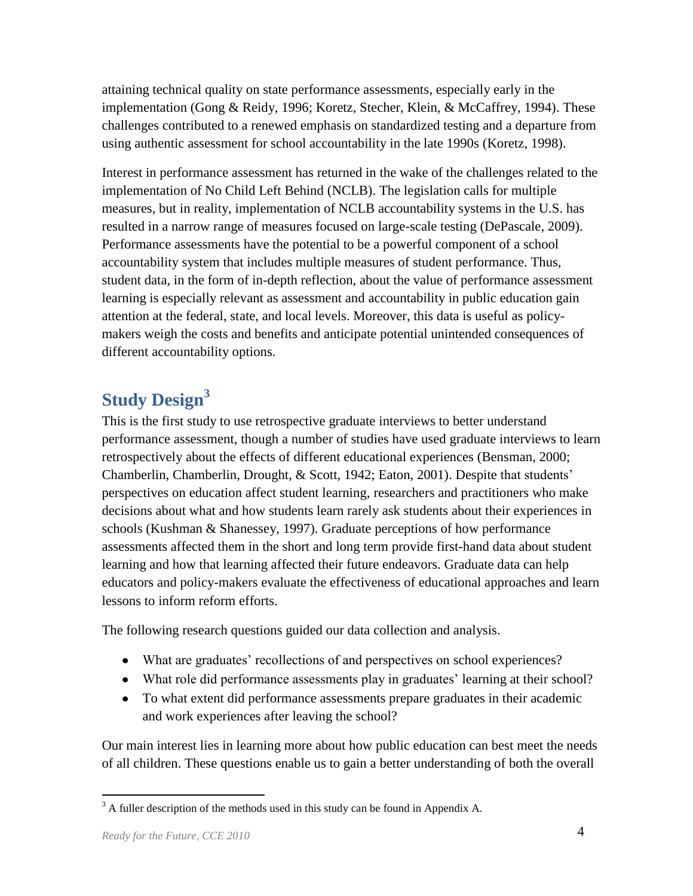attaining technical quality on state performance assessments, especially early in the implementation (Gong & Reidy, 1996; Koretz, Stecher, Klein, & McCaffrey, 1994). These challenges contributed to a renewed emphasis on standardized testing and a departure from using authentic assessment for school accountability in the late 1990s (Koretz, 1998).

Interest in performance assessment has returned in the wake of the challenges related to the implementation of No Child Left Behind (NCLB). The legislation calls for multiple measures, but in reality, implementation of NCLB accountability systems in the U.S. has resulted in a narrow range of measures focused on large-scale testing (DePascale, 2009). Performance assessments have the potential to be a powerful component of a school accountability system that includes multiple measures of student performance. Thus, student data, in the form of in-depth reflection, about the value of performance assessment learning is especially relevant as assessment and accountability in public education gain attention at the federal, state, and local levels. Moreover, this data is useful as policymakers weigh the costs and benefits and anticipate potential unintended consequences of different accountability options.

# <span id="page-6-0"></span>**Study Design<sup>3</sup>**

This is the first study to use retrospective graduate interviews to better understand performance assessment, though a number of studies have used graduate interviews to learn retrospectively about the effects of different educational experiences (Bensman, 2000; Chamberlin, Chamberlin, Drought, & Scott, 1942; Eaton, 2001). Despite that students' perspectives on education affect student learning, researchers and practitioners who make decisions about what and how students learn rarely ask students about their experiences in schools (Kushman & Shanessey, 1997). Graduate perceptions of how performance assessments affected them in the short and long term provide first-hand data about student learning and how that learning affected their future endeavors. Graduate data can help educators and policy-makers evaluate the effectiveness of educational approaches and learn lessons to inform reform efforts.

The following research questions guided our data collection and analysis.

- What are graduates' recollections of and perspectives on school experiences?
- What role did performance assessments play in graduates' learning at their school?
- To what extent did performance assessments prepare graduates in their academic and work experiences after leaving the school?

Our main interest lies in learning more about how public education can best meet the needs of all children. These questions enable us to gain a better understanding of both the overall

 $\overline{a}$  $3$  A fuller description of the methods used in this study can be found in Appendix A.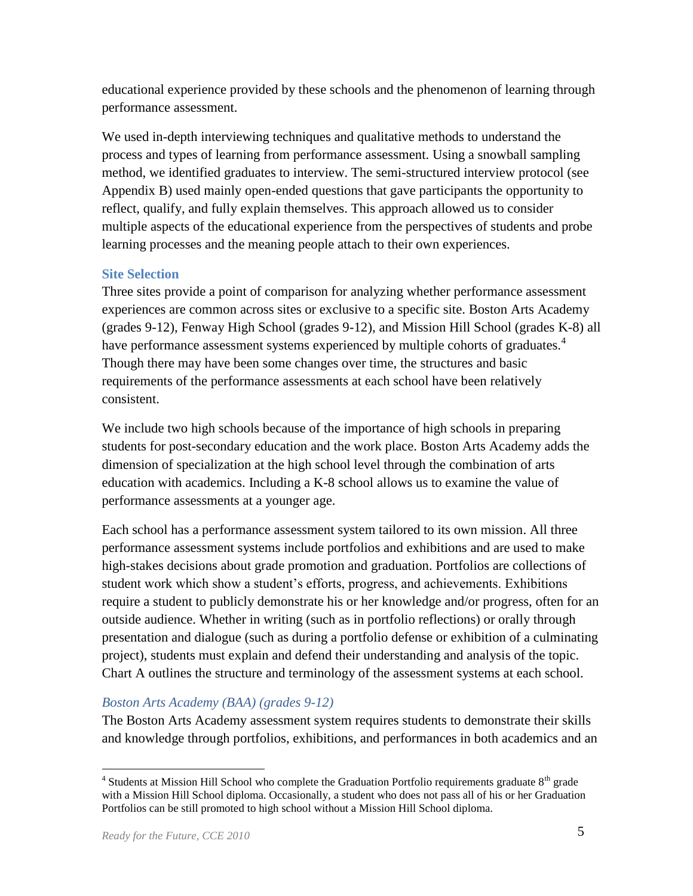educational experience provided by these schools and the phenomenon of learning through performance assessment.

We used in-depth interviewing techniques and qualitative methods to understand the process and types of learning from performance assessment. Using a snowball sampling method, we identified graduates to interview. The semi-structured interview protocol (see Appendix B) used mainly open-ended questions that gave participants the opportunity to reflect, qualify, and fully explain themselves. This approach allowed us to consider multiple aspects of the educational experience from the perspectives of students and probe learning processes and the meaning people attach to their own experiences.

#### **Site Selection**

Three sites provide a point of comparison for analyzing whether performance assessment experiences are common across sites or exclusive to a specific site. Boston Arts Academy (grades 9-12), Fenway High School (grades 9-12), and Mission Hill School (grades K-8) all have performance assessment systems experienced by multiple cohorts of graduates.<sup>4</sup> Though there may have been some changes over time, the structures and basic requirements of the performance assessments at each school have been relatively consistent.

We include two high schools because of the importance of high schools in preparing students for post-secondary education and the work place. Boston Arts Academy adds the dimension of specialization at the high school level through the combination of arts education with academics. Including a K-8 school allows us to examine the value of performance assessments at a younger age.

Each school has a performance assessment system tailored to its own mission. All three performance assessment systems include portfolios and exhibitions and are used to make high-stakes decisions about grade promotion and graduation. Portfolios are collections of student work which show a student's efforts, progress, and achievements. Exhibitions require a student to publicly demonstrate his or her knowledge and/or progress, often for an outside audience. Whether in writing (such as in portfolio reflections) or orally through presentation and dialogue (such as during a portfolio defense or exhibition of a culminating project), students must explain and defend their understanding and analysis of the topic. Chart A outlines the structure and terminology of the assessment systems at each school.

## *Boston Arts Academy (BAA) (grades 9-12)*

The Boston Arts Academy assessment system requires students to demonstrate their skills and knowledge through portfolios, exhibitions, and performances in both academics and an

 $\overline{a}$  $4$  Students at Mission Hill School who complete the Graduation Portfolio requirements graduate  $8<sup>th</sup>$  grade with a Mission Hill School diploma. Occasionally, a student who does not pass all of his or her Graduation Portfolios can be still promoted to high school without a Mission Hill School diploma.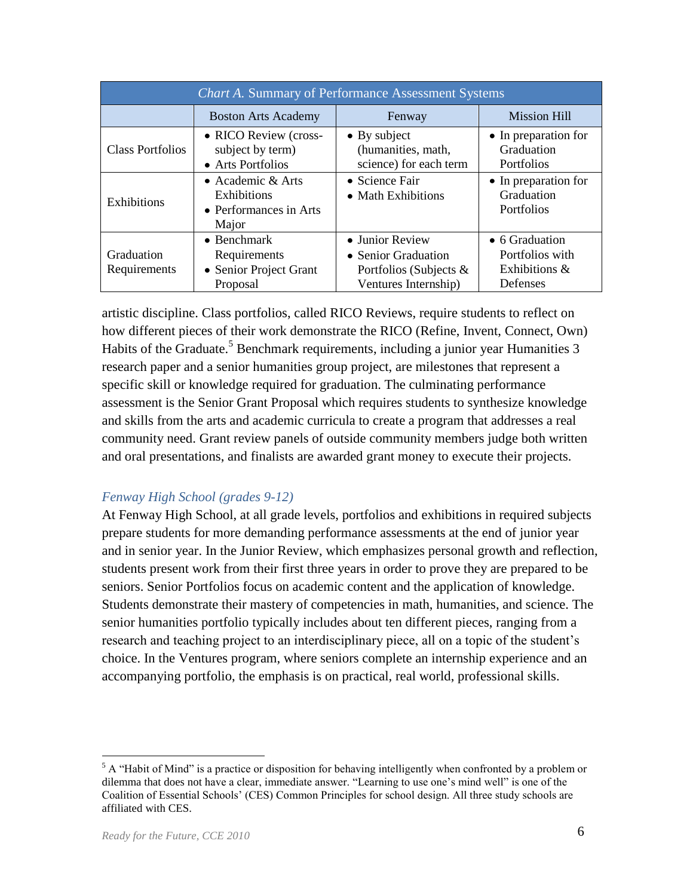| <b>Chart A. Summary of Performance Assessment Systems</b>                           |                                                                           |                                                                                          |                                                                |  |  |
|-------------------------------------------------------------------------------------|---------------------------------------------------------------------------|------------------------------------------------------------------------------------------|----------------------------------------------------------------|--|--|
|                                                                                     | <b>Boston Arts Academy</b>                                                | Fenway                                                                                   | <b>Mission Hill</b>                                            |  |  |
| <b>Class Portfolios</b>                                                             | • RICO Review (cross-<br>subject by term)<br>• Arts Portfolios            | $\bullet$ By subject<br>(humanities, math,<br>science) for each term                     | • In preparation for<br>Graduation<br><b>Portfolios</b>        |  |  |
| • Academic $&Arts$<br>Exhibitions<br>Exhibitions<br>• Performances in Arts<br>Major |                                                                           | • Science Fair<br>• Math Exhibitions                                                     | • In preparation for<br>Graduation<br><b>Portfolios</b>        |  |  |
| Graduation<br>Requirements                                                          | $\bullet$ Benchmark<br>Requirements<br>• Senior Project Grant<br>Proposal | • Junior Review<br>• Senior Graduation<br>Portfolios (Subjects &<br>Ventures Internship) | • 6 Graduation<br>Portfolios with<br>Exhibitions &<br>Defenses |  |  |

artistic discipline. Class portfolios, called RICO Reviews, require students to reflect on how different pieces of their work demonstrate the RICO (Refine, Invent, Connect, Own) Habits of the Graduate.<sup>5</sup> Benchmark requirements, including a junior year Humanities 3 research paper and a senior humanities group project, are milestones that represent a specific skill or knowledge required for graduation. The culminating performance assessment is the Senior Grant Proposal which requires students to synthesize knowledge and skills from the arts and academic curricula to create a program that addresses a real community need. Grant review panels of outside community members judge both written and oral presentations, and finalists are awarded grant money to execute their projects.

#### *Fenway High School (grades 9-12)*

At Fenway High School, at all grade levels, portfolios and exhibitions in required subjects prepare students for more demanding performance assessments at the end of junior year and in senior year. In the Junior Review, which emphasizes personal growth and reflection, students present work from their first three years in order to prove they are prepared to be seniors. Senior Portfolios focus on academic content and the application of knowledge. Students demonstrate their mastery of competencies in math, humanities, and science. The senior humanities portfolio typically includes about ten different pieces, ranging from a research and teaching project to an interdisciplinary piece, all on a topic of the student's choice. In the Ventures program, where seniors complete an internship experience and an accompanying portfolio, the emphasis is on practical, real world, professional skills.

 $5$  A "Habit of Mind" is a practice or disposition for behaving intelligently when confronted by a problem or dilemma that does not have a clear, immediate answer. "Learning to use one's mind well" is one of the Coalition of Essential Schools' (CES) Common Principles for school design. All three study schools are affiliated with CES.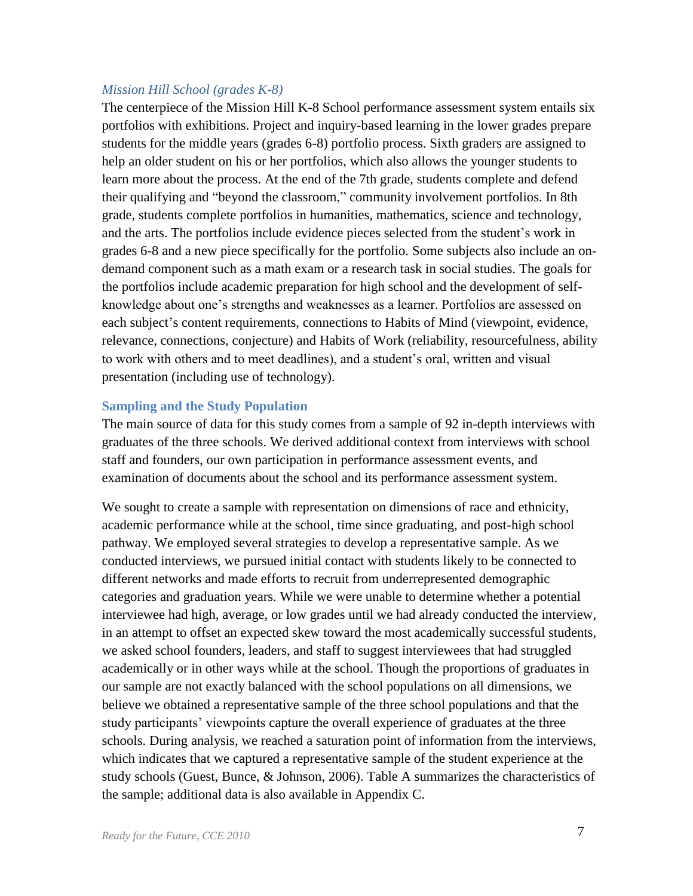#### *Mission Hill School (grades K-8)*

The centerpiece of the Mission Hill K-8 School performance assessment system entails six portfolios with exhibitions. Project and inquiry-based learning in the lower grades prepare students for the middle years (grades 6-8) portfolio process. Sixth graders are assigned to help an older student on his or her portfolios, which also allows the younger students to learn more about the process. At the end of the 7th grade, students complete and defend their qualifying and "beyond the classroom," community involvement portfolios. In 8th grade, students complete portfolios in humanities, mathematics, science and technology, and the arts. The portfolios include evidence pieces selected from the student's work in grades 6-8 and a new piece specifically for the portfolio. Some subjects also include an ondemand component such as a math exam or a research task in social studies. The goals for the portfolios include academic preparation for high school and the development of selfknowledge about one's strengths and weaknesses as a learner. Portfolios are assessed on each subject's content requirements, connections to Habits of Mind (viewpoint, evidence, relevance, connections, conjecture) and Habits of Work (reliability, resourcefulness, ability to work with others and to meet deadlines), and a student's oral, written and visual presentation (including use of technology).

#### **Sampling and the Study Population**

The main source of data for this study comes from a sample of 92 in-depth interviews with graduates of the three schools. We derived additional context from interviews with school staff and founders, our own participation in performance assessment events, and examination of documents about the school and its performance assessment system.

We sought to create a sample with representation on dimensions of race and ethnicity, academic performance while at the school, time since graduating, and post-high school pathway. We employed several strategies to develop a representative sample. As we conducted interviews, we pursued initial contact with students likely to be connected to different networks and made efforts to recruit from underrepresented demographic categories and graduation years. While we were unable to determine whether a potential interviewee had high, average, or low grades until we had already conducted the interview, in an attempt to offset an expected skew toward the most academically successful students, we asked school founders, leaders, and staff to suggest interviewees that had struggled academically or in other ways while at the school. Though the proportions of graduates in our sample are not exactly balanced with the school populations on all dimensions, we believe we obtained a representative sample of the three school populations and that the study participants' viewpoints capture the overall experience of graduates at the three schools. During analysis, we reached a saturation point of information from the interviews, which indicates that we captured a representative sample of the student experience at the study schools (Guest, Bunce, & Johnson, 2006). Table A summarizes the characteristics of the sample; additional data is also available in Appendix C.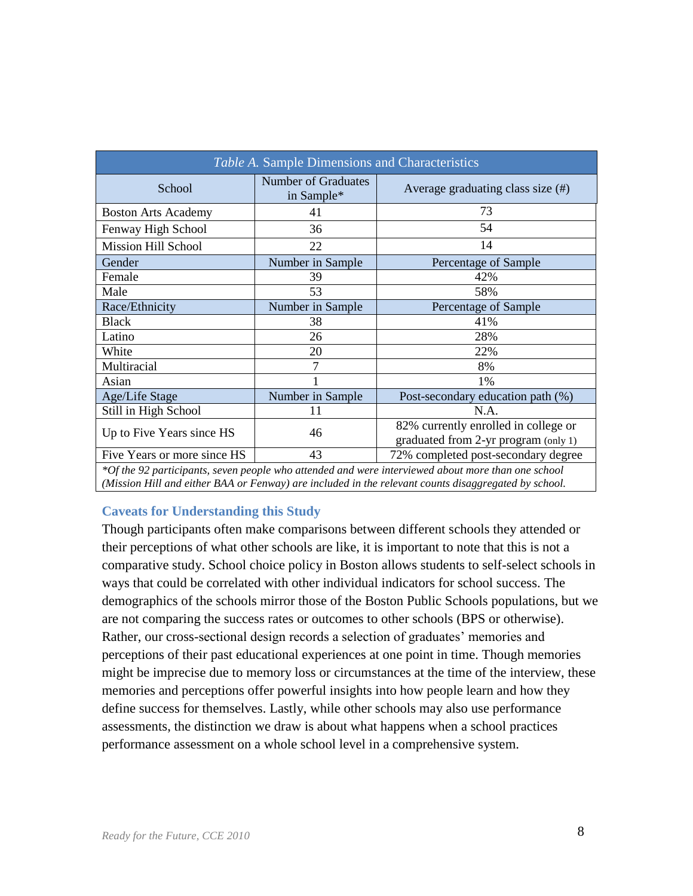| Average graduating class size $(\#)$<br>73<br>54                             |
|------------------------------------------------------------------------------|
|                                                                              |
|                                                                              |
|                                                                              |
| 14                                                                           |
| Percentage of Sample                                                         |
| 42%                                                                          |
| 58%                                                                          |
| Percentage of Sample                                                         |
| 41%                                                                          |
| 28%                                                                          |
| 22%                                                                          |
| 8%                                                                           |
| $1\%$                                                                        |
| Post-secondary education path (%)                                            |
| N.A.                                                                         |
| 82% currently enrolled in college or<br>graduated from 2-yr program (only 1) |
| 72% completed post-secondary degree                                          |
|                                                                              |

*\*Of the 92 participants, seven people who attended and were interviewed about more than one school (Mission Hill and either BAA or Fenway) are included in the relevant counts disaggregated by school.*

#### **Caveats for Understanding this Study**

Though participants often make comparisons between different schools they attended or their perceptions of what other schools are like, it is important to note that this is not a comparative study. School choice policy in Boston allows students to self-select schools in ways that could be correlated with other individual indicators for school success. The demographics of the schools mirror those of the Boston Public Schools populations, but we are not comparing the success rates or outcomes to other schools (BPS or otherwise). Rather, our cross-sectional design records a selection of graduates' memories and perceptions of their past educational experiences at one point in time. Though memories might be imprecise due to memory loss or circumstances at the time of the interview, these memories and perceptions offer powerful insights into how people learn and how they define success for themselves. Lastly, while other schools may also use performance assessments, the distinction we draw is about what happens when a school practices performance assessment on a whole school level in a comprehensive system.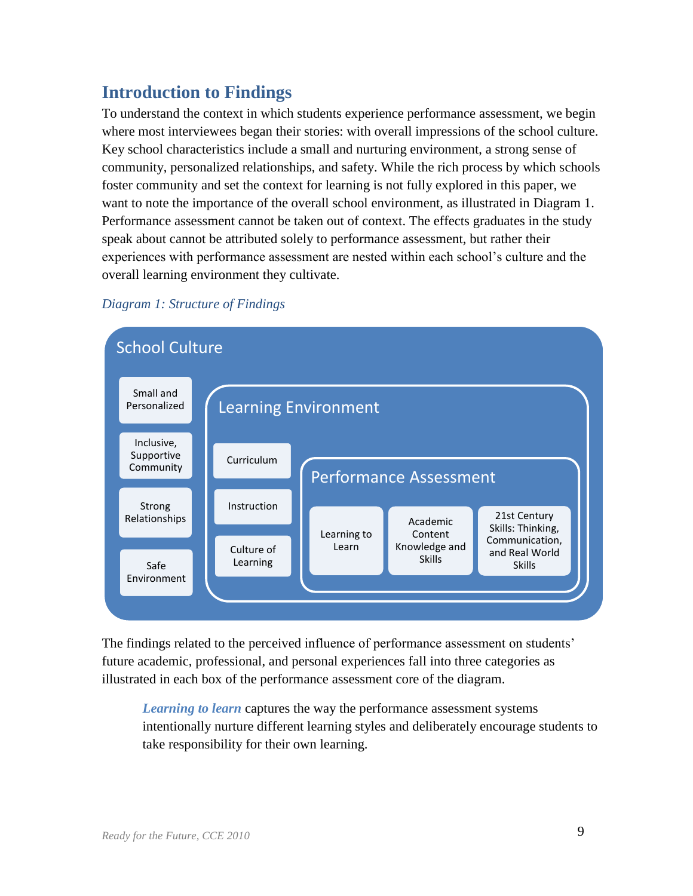# <span id="page-11-0"></span>**Introduction to Findings**

To understand the context in which students experience performance assessment, we begin where most interviewees began their stories: with overall impressions of the school culture. Key school characteristics include a small and nurturing environment, a strong sense of community, personalized relationships, and safety. While the rich process by which schools foster community and set the context for learning is not fully explored in this paper, we want to note the importance of the overall school environment, as illustrated in Diagram 1. Performance assessment cannot be taken out of context. The effects graduates in the study speak about cannot be attributed solely to performance assessment, but rather their experiences with performance assessment are nested within each school's culture and the overall learning environment they cultivate.



## *Diagram 1: Structure of Findings*

The findings related to the perceived influence of performance assessment on students' future academic, professional, and personal experiences fall into three categories as illustrated in each box of the performance assessment core of the diagram.

*Learning to learn* captures the way the performance assessment systems intentionally nurture different learning styles and deliberately encourage students to take responsibility for their own learning.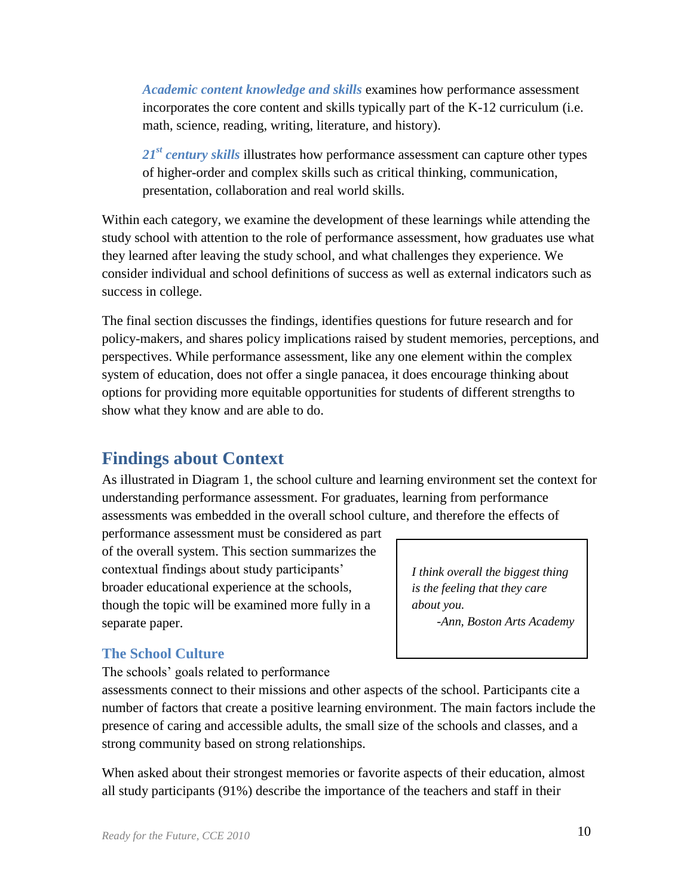*Academic content knowledge and skills* examines how performance assessment incorporates the core content and skills typically part of the K-12 curriculum (i.e. math, science, reading, writing, literature, and history).

*21st century skills* illustrates how performance assessment can capture other types of higher-order and complex skills such as critical thinking, communication, presentation, collaboration and real world skills.

Within each category, we examine the development of these learnings while attending the study school with attention to the role of performance assessment, how graduates use what they learned after leaving the study school, and what challenges they experience. We consider individual and school definitions of success as well as external indicators such as success in college.

The final section discusses the findings, identifies questions for future research and for policy-makers, and shares policy implications raised by student memories, perceptions, and perspectives. While performance assessment, like any one element within the complex system of education, does not offer a single panacea, it does encourage thinking about options for providing more equitable opportunities for students of different strengths to show what they know and are able to do.

# <span id="page-12-0"></span>**Findings about Context**

As illustrated in Diagram 1, the school culture and learning environment set the context for understanding performance assessment. For graduates, learning from performance assessments was embedded in the overall school culture, and therefore the effects of

performance assessment must be considered as part of the overall system. This section summarizes the contextual findings about study participants' broader educational experience at the schools, though the topic will be examined more fully in a separate paper.

*I think overall the biggest thing is the feeling that they care about you. -Ann, Boston Arts Academy*

## <span id="page-12-1"></span>**The School Culture**

The schools' goals related to performance

assessments connect to their missions and other aspects of the school. Participants cite a number of factors that create a positive learning environment. The main factors include the presence of caring and accessible adults, the small size of the schools and classes, and a strong community based on strong relationships.

When asked about their strongest memories or favorite aspects of their education, almost all study participants (91%) describe the importance of the teachers and staff in their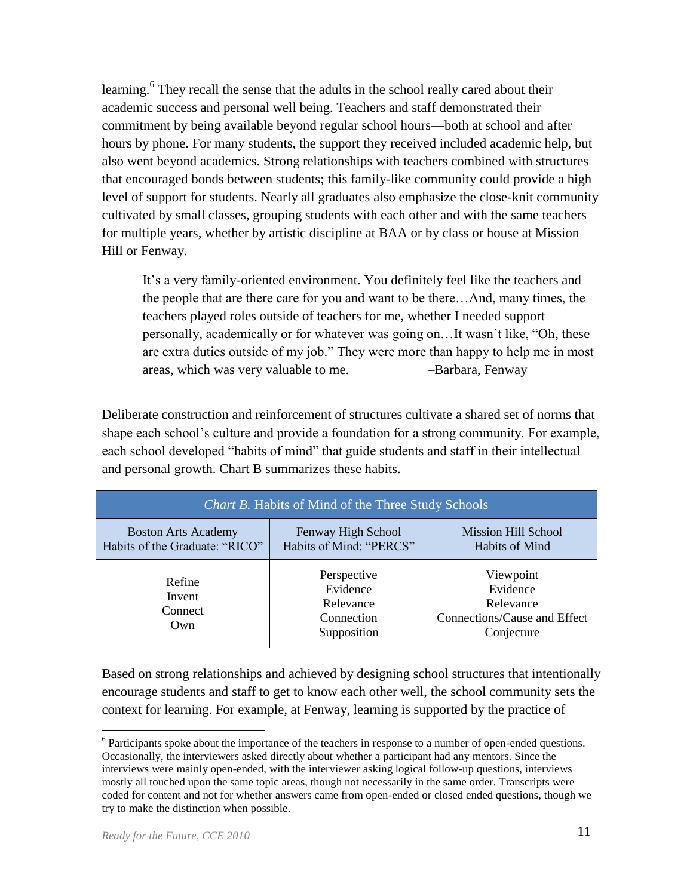learning.<sup>6</sup> They recall the sense that the adults in the school really cared about their academic success and personal well being. Teachers and staff demonstrated their commitment by being available beyond regular school hours—both at school and after hours by phone. For many students, the support they received included academic help, but also went beyond academics. Strong relationships with teachers combined with structures that encouraged bonds between students; this family-like community could provide a high level of support for students. Nearly all graduates also emphasize the close-knit community cultivated by small classes, grouping students with each other and with the same teachers for multiple years, whether by artistic discipline at BAA or by class or house at Mission Hill or Fenway.

It's a very family-oriented environment. You definitely feel like the teachers and the people that are there care for you and want to be there…And, many times, the teachers played roles outside of teachers for me, whether I needed support personally, academically or for whatever was going on...It wasn't like, "Oh, these are extra duties outside of my job." They were more than happy to help me in most areas, which was very valuable to me. *–*Barbara, Fenway

Deliberate construction and reinforcement of structures cultivate a shared set of norms that shape each school's culture and provide a foundation for a strong community. For example, each school developed "habits of mind" that guide students and staff in their intellectual and personal growth. Chart B summarizes these habits.

| <i>Chart B.</i> Habits of Mind of the Three Study Schools    |                                                                   |                                                                                  |  |  |  |
|--------------------------------------------------------------|-------------------------------------------------------------------|----------------------------------------------------------------------------------|--|--|--|
| <b>Boston Arts Academy</b><br>Habits of the Graduate: "RICO" | Fenway High School<br>Habits of Mind: "PERCS"                     | <b>Mission Hill School</b><br>Habits of Mind                                     |  |  |  |
| Refine<br>Invent<br>Connect<br>Own                           | Perspective<br>Evidence<br>Relevance<br>Connection<br>Supposition | Viewpoint<br>Evidence<br>Relevance<br>Connections/Cause and Effect<br>Conjecture |  |  |  |

Based on strong relationships and achieved by designing school structures that intentionally encourage students and staff to get to know each other well, the school community sets the context for learning. For example, at Fenway, learning is supported by the practice of

 $6$  Participants spoke about the importance of the teachers in response to a number of open-ended questions. Occasionally, the interviewers asked directly about whether a participant had any mentors. Since the interviews were mainly open-ended, with the interviewer asking logical follow-up questions, interviews mostly all touched upon the same topic areas, though not necessarily in the same order. Transcripts were coded for content and not for whether answers came from open-ended or closed ended questions, though we try to make the distinction when possible.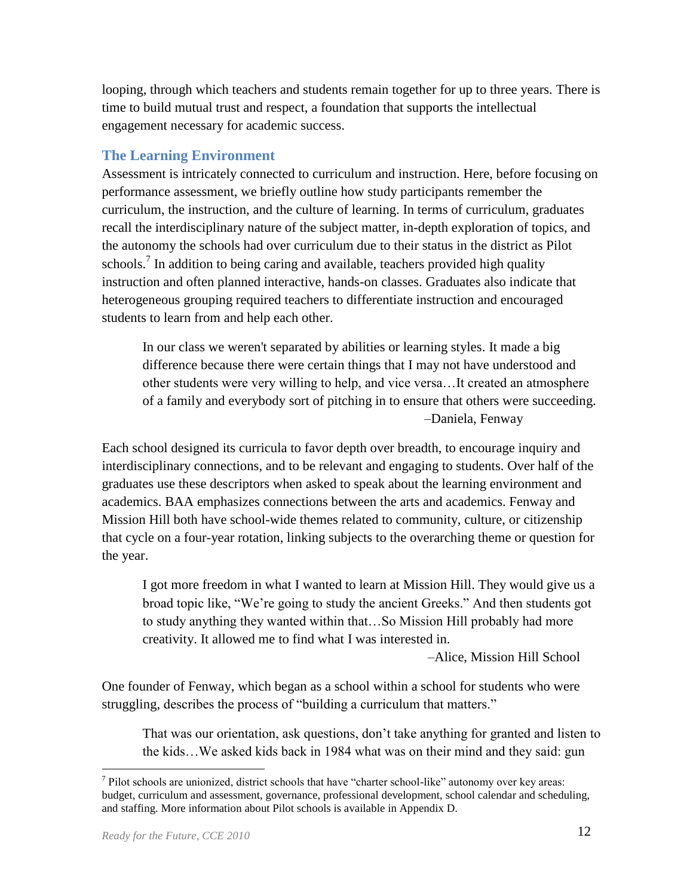looping, through which teachers and students remain together for up to three years. There is time to build mutual trust and respect, a foundation that supports the intellectual engagement necessary for academic success.

## <span id="page-14-0"></span>**The Learning Environment**

Assessment is intricately connected to curriculum and instruction. Here, before focusing on performance assessment, we briefly outline how study participants remember the curriculum, the instruction, and the culture of learning. In terms of curriculum, graduates recall the interdisciplinary nature of the subject matter, in-depth exploration of topics, and the autonomy the schools had over curriculum due to their status in the district as Pilot schools.<sup>7</sup> In addition to being caring and available, teachers provided high quality instruction and often planned interactive, hands-on classes. Graduates also indicate that heterogeneous grouping required teachers to differentiate instruction and encouraged students to learn from and help each other.

In our class we weren't separated by abilities or learning styles. It made a big difference because there were certain things that I may not have understood and other students were very willing to help, and vice versa…It created an atmosphere of a family and everybody sort of pitching in to ensure that others were succeeding. *–*Daniela, Fenway

Each school designed its curricula to favor depth over breadth, to encourage inquiry and interdisciplinary connections, and to be relevant and engaging to students. Over half of the graduates use these descriptors when asked to speak about the learning environment and academics. BAA emphasizes connections between the arts and academics. Fenway and Mission Hill both have school-wide themes related to community, culture, or citizenship that cycle on a four-year rotation, linking subjects to the overarching theme or question for the year.

I got more freedom in what I wanted to learn at Mission Hill. They would give us a broad topic like, "We're going to study the ancient Greeks." And then students got to study anything they wanted within that…So Mission Hill probably had more creativity. It allowed me to find what I was interested in.

 *–*Alice, Mission Hill School

One founder of Fenway, which began as a school within a school for students who were struggling, describes the process of "building a curriculum that matters."

That was our orientation, ask questions, don't take anything for granted and listen to the kids…We asked kids back in 1984 what was on their mind and they said: gun

 $<sup>7</sup>$  Pilot schools are unionized, district schools that have "charter school-like" autonomy over key areas:</sup> budget, curriculum and assessment, governance, professional development, school calendar and scheduling, and staffing. More information about Pilot schools is available in Appendix D.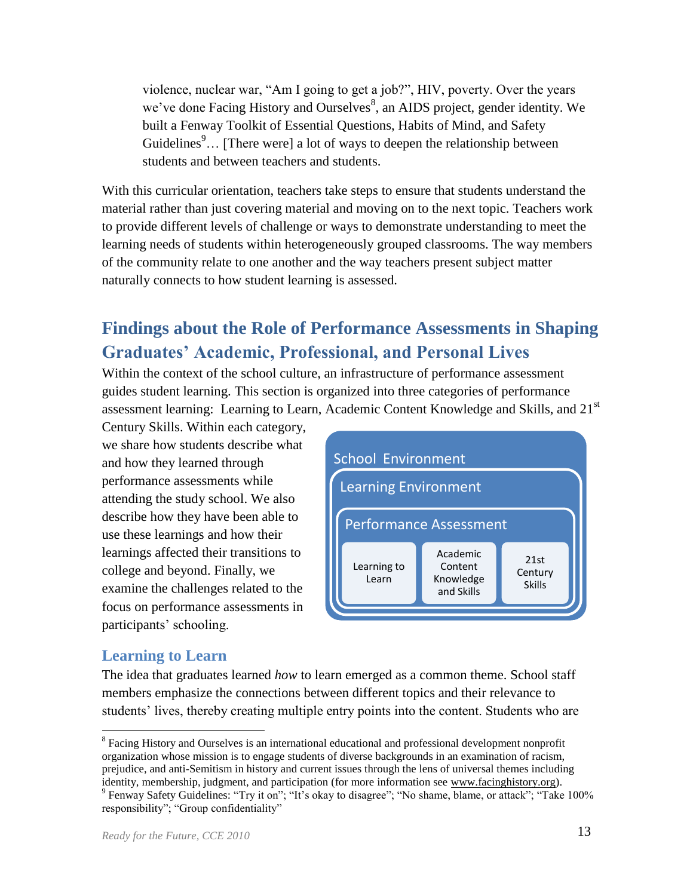violence, nuclear war, "Am I going to get a job?", HIV, poverty. Over the years we've done Facing History and Ourselves<sup>8</sup>, an AIDS project, gender identity. We built a Fenway Toolkit of Essential Questions, Habits of Mind, and Safety Guidelines<sup>9</sup>... [There were] a lot of ways to deepen the relationship between students and between teachers and students.

With this curricular orientation, teachers take steps to ensure that students understand the material rather than just covering material and moving on to the next topic. Teachers work to provide different levels of challenge or ways to demonstrate understanding to meet the learning needs of students within heterogeneously grouped classrooms. The way members of the community relate to one another and the way teachers present subject matter naturally connects to how student learning is assessed.

# <span id="page-15-0"></span>**Findings about the Role of Performance Assessments in Shaping Graduates' Academic, Professional, and Personal Lives**

Within the context of the school culture, an infrastructure of performance assessment guides student learning. This section is organized into three categories of performance assessment learning: Learning to Learn, Academic Content Knowledge and Skills, and 21<sup>st</sup>

Century Skills. Within each category, we share how students describe what and how they learned through performance assessments while attending the study school. We also describe how they have been able to use these learnings and how their learnings affected their transitions to college and beyond. Finally, we examine the challenges related to the focus on performance assessments in participants' schooling.



# <span id="page-15-1"></span>**Learning to Learn**

The idea that graduates learned *how* to learn emerged as a common theme. School staff members emphasize the connections between different topics and their relevance to students' lives, thereby creating multiple entry points into the content. Students who are

 $\overline{a}$ <sup>8</sup> Facing History and Ourselves is an international educational and professional development nonprofit organization whose mission is to engage students of diverse backgrounds in an examination of racism, prejudice, and anti-Semitism in history and current issues through the lens of universal themes including identity, membership, judgment, and participation (for more information see [www.facinghistory.org\)](http://www.facinghistory.org/).

<sup>&</sup>lt;sup>9</sup> Fenway Safety Guidelines: "Try it on"; "It's okay to disagree"; "No shame, blame, or attack"; "Take 100% responsibility"; "Group confidentiality"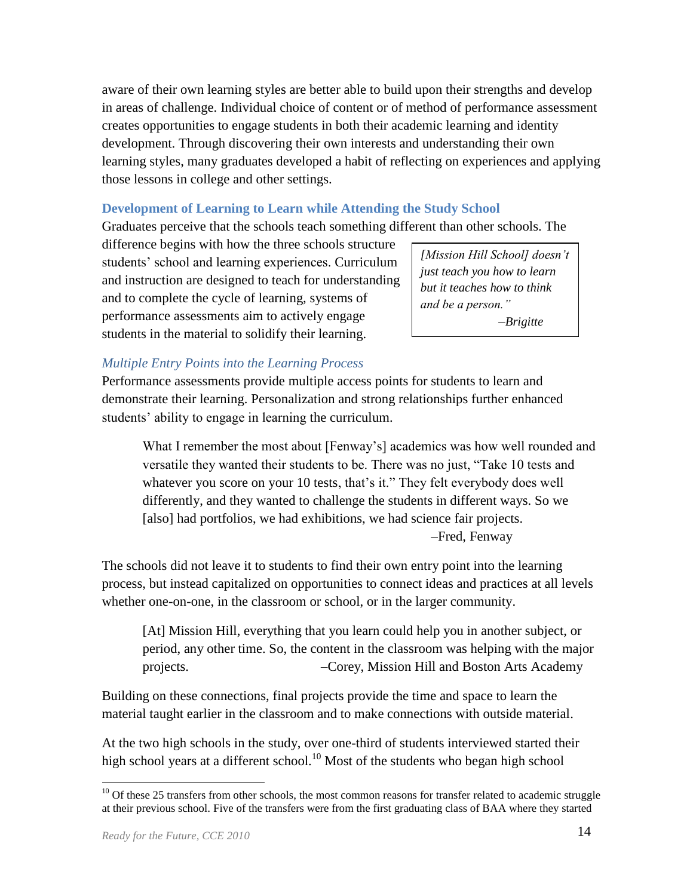aware of their own learning styles are better able to build upon their strengths and develop in areas of challenge. Individual choice of content or of method of performance assessment creates opportunities to engage students in both their academic learning and identity development. Through discovering their own interests and understanding their own learning styles, many graduates developed a habit of reflecting on experiences and applying those lessons in college and other settings.

#### **Development of Learning to Learn while Attending the Study School**

Graduates perceive that the schools teach something different than other schools. The

difference begins with how the three schools structure students' school and learning experiences. Curriculum and instruction are designed to teach for understanding and to complete the cycle of learning, systems of performance assessments aim to actively engage students in the material to solidify their learning.

*[Mission Hill School] doesn't just teach you how to learn but it teaches how to think and be a person." –Brigitte*

## *Multiple Entry Points into the Learning Process*

Performance assessments provide multiple access points for students to learn and demonstrate their learning. Personalization and strong relationships further enhanced students' ability to engage in learning the curriculum.

What I remember the most about [Fenway's] academics was how well rounded and versatile they wanted their students to be. There was no just, "Take 10 tests and whatever you score on your 10 tests, that's it." They felt everybody does well differently, and they wanted to challenge the students in different ways. So we [also] had portfolios, we had exhibitions, we had science fair projects. *–*Fred, Fenway

The schools did not leave it to students to find their own entry point into the learning process, but instead capitalized on opportunities to connect ideas and practices at all levels whether one-on-one, in the classroom or school, or in the larger community.

[At] Mission Hill, everything that you learn could help you in another subject, or period, any other time. So, the content in the classroom was helping with the major projects. *–*Corey, Mission Hill and Boston Arts Academy

Building on these connections, final projects provide the time and space to learn the material taught earlier in the classroom and to make connections with outside material.

At the two high schools in the study, over one-third of students interviewed started their high school years at a different school.<sup>10</sup> Most of the students who began high school

<sup>&</sup>lt;sup>10</sup> Of these 25 transfers from other schools, the most common reasons for transfer related to academic struggle at their previous school. Five of the transfers were from the first graduating class of BAA where they started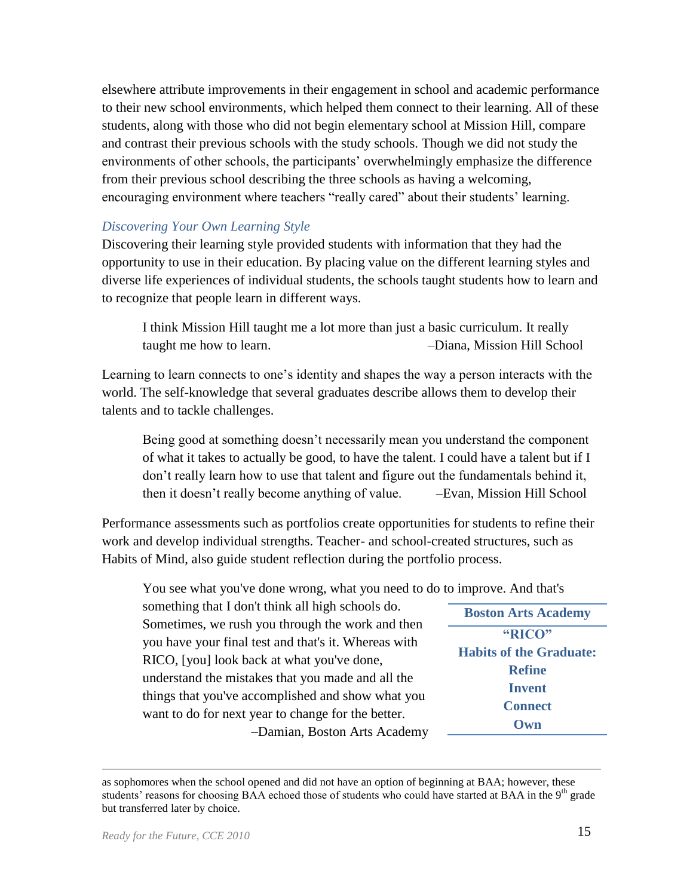elsewhere attribute improvements in their engagement in school and academic performance to their new school environments, which helped them connect to their learning. All of these students, along with those who did not begin elementary school at Mission Hill, compare and contrast their previous schools with the study schools. Though we did not study the environments of other schools, the participants' overwhelmingly emphasize the difference from their previous school describing the three schools as having a welcoming, encouraging environment where teachers "really cared" about their students' learning.

#### *Discovering Your Own Learning Style*

Discovering their learning style provided students with information that they had the opportunity to use in their education. By placing value on the different learning styles and diverse life experiences of individual students, the schools taught students how to learn and to recognize that people learn in different ways.

I think Mission Hill taught me a lot more than just a basic curriculum. It really taught me how to learn. –Diana, Mission Hill School

Learning to learn connects to one's identity and shapes the way a person interacts with the world. The self-knowledge that several graduates describe allows them to develop their talents and to tackle challenges.

Being good at something doesn't necessarily mean you understand the component of what it takes to actually be good, to have the talent. I could have a talent but if I don't really learn how to use that talent and figure out the fundamentals behind it, then it doesn't really become anything of value. –Evan, Mission Hill School

Performance assessments such as portfolios create opportunities for students to refine their work and develop individual strengths. Teacher- and school-created structures, such as Habits of Mind, also guide student reflection during the portfolio process.

You see what you've done wrong, what you need to do to improve. And that's

| something that I don't think all high schools do.    | <b>Boston Arts Academy</b>     |
|------------------------------------------------------|--------------------------------|
| Sometimes, we rush you through the work and then     |                                |
| you have your final test and that's it. Whereas with | "RICO"                         |
| RICO, [you] look back at what you've done,           | <b>Habits of the Graduate:</b> |
| understand the mistakes that you made and all the    | <b>Refine</b>                  |
| things that you've accomplished and show what you    | <b>Invent</b>                  |
|                                                      | <b>Connect</b>                 |
| want to do for next year to change for the better.   | Own                            |
| -Damian, Boston Arts Academy                         |                                |
|                                                      |                                |

as sophomores when the school opened and did not have an option of beginning at BAA; however, these students' reasons for choosing BAA echoed those of students who could have started at BAA in the  $9<sup>th</sup>$  grade but transferred later by choice.

 $\overline{a}$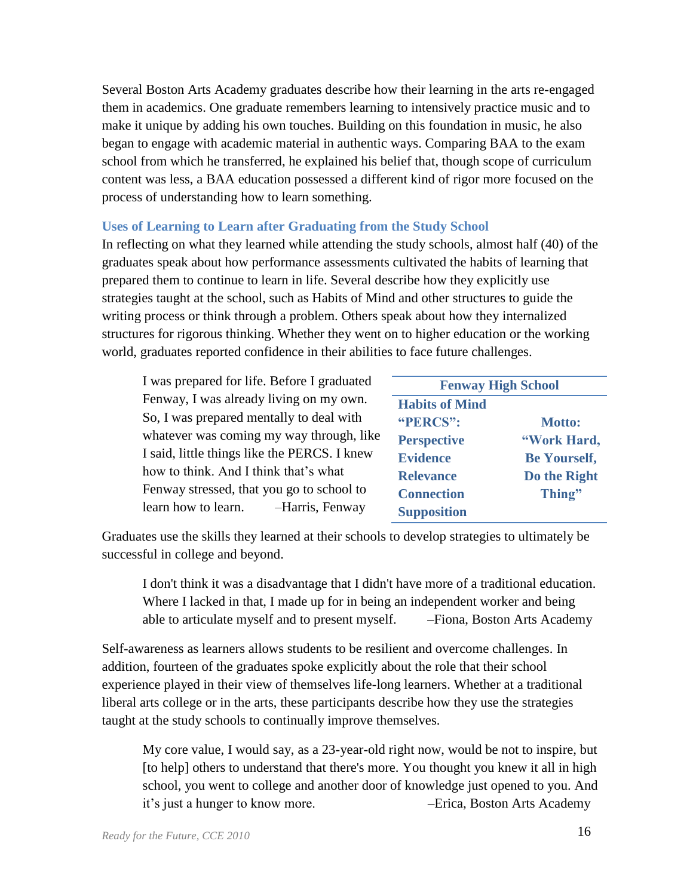Several Boston Arts Academy graduates describe how their learning in the arts re-engaged them in academics. One graduate remembers learning to intensively practice music and to make it unique by adding his own touches. Building on this foundation in music, he also began to engage with academic material in authentic ways. Comparing BAA to the exam school from which he transferred, he explained his belief that, though scope of curriculum content was less, a BAA education possessed a different kind of rigor more focused on the process of understanding how to learn something.

#### **Uses of Learning to Learn after Graduating from the Study School**

In reflecting on what they learned while attending the study schools, almost half (40) of the graduates speak about how performance assessments cultivated the habits of learning that prepared them to continue to learn in life. Several describe how they explicitly use strategies taught at the school, such as Habits of Mind and other structures to guide the writing process or think through a problem. Others speak about how they internalized structures for rigorous thinking. Whether they went on to higher education or the working world, graduates reported confidence in their abilities to face future challenges.

| I was prepared for life. Before I graduated                                                                                     | <b>Fenway High School</b>                                 |                                                    |
|---------------------------------------------------------------------------------------------------------------------------------|-----------------------------------------------------------|----------------------------------------------------|
| Fenway, I was already living on my own.<br>So, I was prepared mentally to deal with<br>whatever was coming my way through, like | <b>Habits of Mind</b><br>"PERCS":                         | <b>Motto:</b>                                      |
| I said, little things like the PERCS. I knew<br>how to think. And I think that's what                                           | <b>Perspective</b><br><b>Evidence</b><br><b>Relevance</b> | "Work Hard,<br><b>Be Yourself,</b><br>Do the Right |
| Fenway stressed, that you go to school to<br>learn how to learn. -Harris, Fenway                                                | <b>Connection</b><br><b>Supposition</b>                   | Thing"                                             |

Graduates use the skills they learned at their schools to develop strategies to ultimately be successful in college and beyond.

I don't think it was a disadvantage that I didn't have more of a traditional education. Where I lacked in that, I made up for in being an independent worker and being able to articulate myself and to present myself. –Fiona, Boston Arts Academy

Self-awareness as learners allows students to be resilient and overcome challenges. In addition, fourteen of the graduates spoke explicitly about the role that their school experience played in their view of themselves life-long learners. Whether at a traditional liberal arts college or in the arts, these participants describe how they use the strategies taught at the study schools to continually improve themselves.

My core value, I would say, as a 23-year-old right now, would be not to inspire, but [to help] others to understand that there's more. You thought you knew it all in high school, you went to college and another door of knowledge just opened to you. And it's just a hunger to know more. –Erica, Boston Arts Academy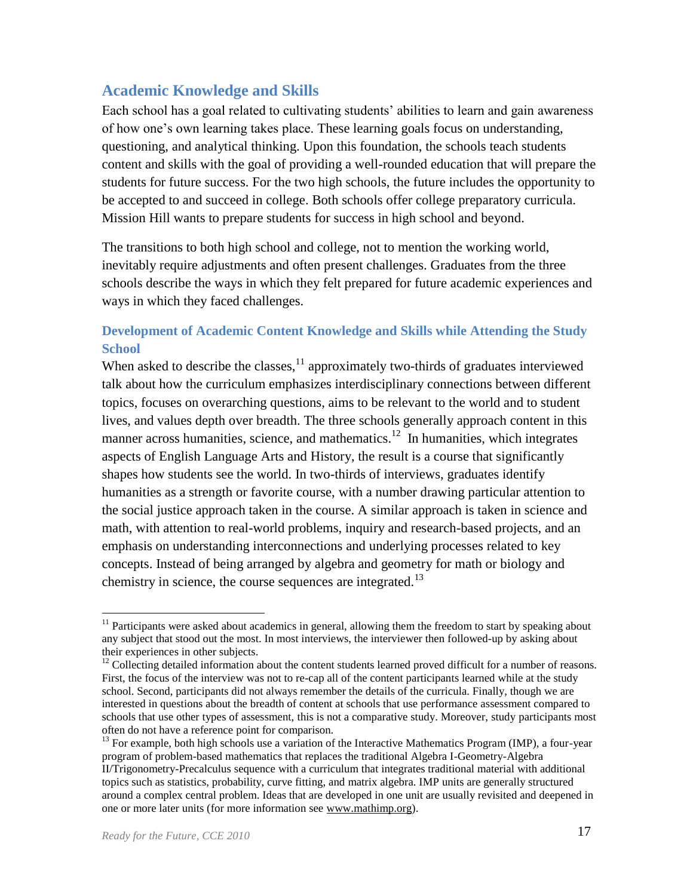## <span id="page-19-0"></span>**Academic Knowledge and Skills**

Each school has a goal related to cultivating students' abilities to learn and gain awareness of how one's own learning takes place. These learning goals focus on understanding, questioning, and analytical thinking. Upon this foundation, the schools teach students content and skills with the goal of providing a well-rounded education that will prepare the students for future success. For the two high schools, the future includes the opportunity to be accepted to and succeed in college. Both schools offer college preparatory curricula. Mission Hill wants to prepare students for success in high school and beyond.

The transitions to both high school and college, not to mention the working world, inevitably require adjustments and often present challenges. Graduates from the three schools describe the ways in which they felt prepared for future academic experiences and ways in which they faced challenges.

## **Development of Academic Content Knowledge and Skills while Attending the Study School**

When asked to describe the classes, $<sup>11</sup>$  approximately two-thirds of graduates interviewed</sup> talk about how the curriculum emphasizes interdisciplinary connections between different topics, focuses on overarching questions, aims to be relevant to the world and to student lives, and values depth over breadth. The three schools generally approach content in this manner across humanities, science, and mathematics.<sup>12</sup> In humanities, which integrates aspects of English Language Arts and History, the result is a course that significantly shapes how students see the world. In two-thirds of interviews, graduates identify humanities as a strength or favorite course, with a number drawing particular attention to the social justice approach taken in the course. A similar approach is taken in science and math, with attention to real-world problems, inquiry and research-based projects, and an emphasis on understanding interconnections and underlying processes related to key concepts. Instead of being arranged by algebra and geometry for math or biology and chemistry in science, the course sequences are integrated.<sup>13</sup>

 $\overline{a}$ <sup>11</sup> Participants were asked about academics in general, allowing them the freedom to start by speaking about any subject that stood out the most. In most interviews, the interviewer then followed-up by asking about their experiences in other subjects.

 $12$  Collecting detailed information about the content students learned proved difficult for a number of reasons. First, the focus of the interview was not to re-cap all of the content participants learned while at the study school. Second, participants did not always remember the details of the curricula. Finally, though we are interested in questions about the breadth of content at schools that use performance assessment compared to schools that use other types of assessment, this is not a comparative study. Moreover, study participants most often do not have a reference point for comparison.

<sup>&</sup>lt;sup>13</sup> For example, both high schools use a variation of the Interactive Mathematics Program (IMP), a four-year program of problem-based mathematics that replaces the traditional Algebra I-Geometry-Algebra II/Trigonometry-Precalculus sequence with a curriculum that integrates traditional material with additional topics such as statistics, probability, curve fitting, and matrix algebra. IMP units are generally structured around a complex central problem. Ideas that are developed in one unit are usually revisited and deepened in one or more later units (for more information see [www.mathimp.org\)](http://www.mathimp.org/).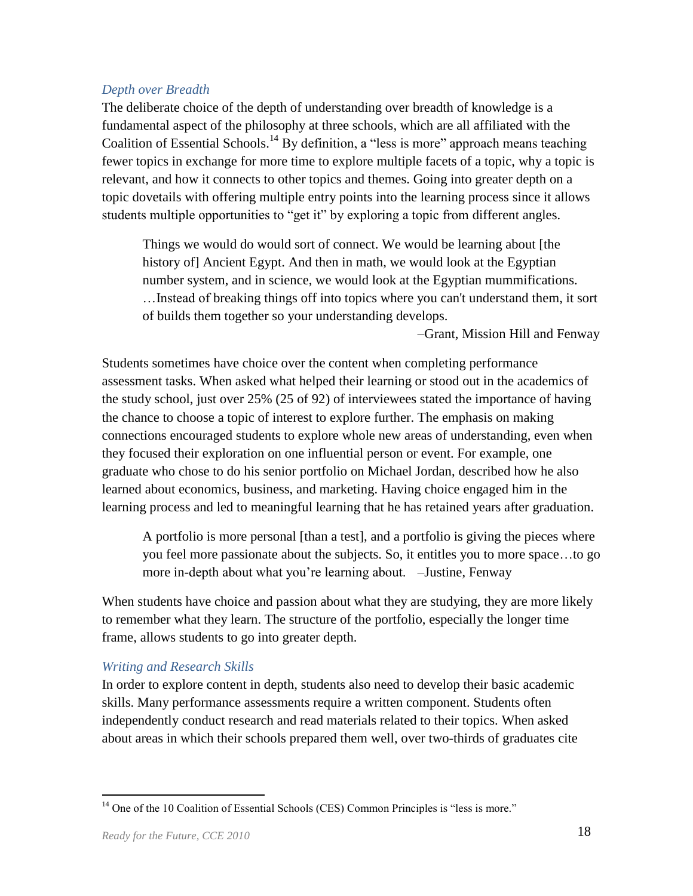#### *Depth over Breadth*

The deliberate choice of the depth of understanding over breadth of knowledge is a fundamental aspect of the philosophy at three schools, which are all affiliated with the Coalition of Essential Schools.<sup>14</sup> By definition, a "less is more" approach means teaching fewer topics in exchange for more time to explore multiple facets of a topic, why a topic is relevant, and how it connects to other topics and themes. Going into greater depth on a topic dovetails with offering multiple entry points into the learning process since it allows students multiple opportunities to "get it" by exploring a topic from different angles.

Things we would do would sort of connect. We would be learning about [the history of] Ancient Egypt. And then in math, we would look at the Egyptian number system, and in science, we would look at the Egyptian mummifications. …Instead of breaking things off into topics where you can't understand them, it sort of builds them together so your understanding develops.

–Grant, Mission Hill and Fenway

Students sometimes have choice over the content when completing performance assessment tasks. When asked what helped their learning or stood out in the academics of the study school, just over 25% (25 of 92) of interviewees stated the importance of having the chance to choose a topic of interest to explore further. The emphasis on making connections encouraged students to explore whole new areas of understanding, even when they focused their exploration on one influential person or event. For example, one graduate who chose to do his senior portfolio on Michael Jordan, described how he also learned about economics, business, and marketing. Having choice engaged him in the learning process and led to meaningful learning that he has retained years after graduation.

A portfolio is more personal [than a test], and a portfolio is giving the pieces where you feel more passionate about the subjects. So, it entitles you to more space…to go more in-depth about what you're learning about. –Justine, Fenway

When students have choice and passion about what they are studying, they are more likely to remember what they learn. The structure of the portfolio, especially the longer time frame, allows students to go into greater depth.

#### *Writing and Research Skills*

In order to explore content in depth, students also need to develop their basic academic skills. Many performance assessments require a written component. Students often independently conduct research and read materials related to their topics. When asked about areas in which their schools prepared them well, over two-thirds of graduates cite

 $14$  One of the 10 Coalition of Essential Schools (CES) Common Principles is "less is more."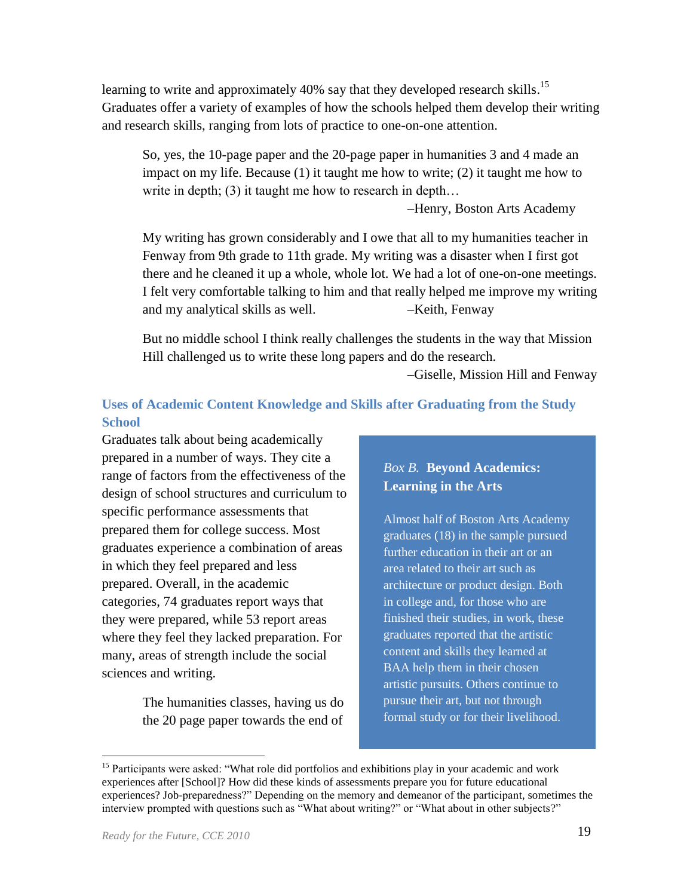learning to write and approximately 40% say that they developed research skills.<sup>15</sup> Graduates offer a variety of examples of how the schools helped them develop their writing and research skills, ranging from lots of practice to one-on-one attention.

So, yes, the 10-page paper and the 20-page paper in humanities 3 and 4 made an impact on my life. Because (1) it taught me how to write; (2) it taught me how to write in depth; (3) it taught me how to research in depth...

–Henry, Boston Arts Academy

My writing has grown considerably and I owe that all to my humanities teacher in Fenway from 9th grade to 11th grade. My writing was a disaster when I first got there and he cleaned it up a whole, whole lot. We had a lot of one-on-one meetings. I felt very comfortable talking to him and that really helped me improve my writing and my analytical skills as well. -Keith, Fenway

But no middle school I think really challenges the students in the way that Mission Hill challenged us to write these long papers and do the research.

 *–*Giselle, Mission Hill and Fenway

## **Uses of Academic Content Knowledge and Skills after Graduating from the Study School**

Graduates talk about being academically prepared in a number of ways. They cite a range of factors from the effectiveness of the design of school structures and curriculum to specific performance assessments that prepared them for college success. Most graduates experience a combination of areas in which they feel prepared and less prepared. Overall, in the academic categories, 74 graduates report ways that they were prepared, while 53 report areas where they feel they lacked preparation. For many, areas of strength include the social sciences and writing.

> The humanities classes, having us do the 20 page paper towards the end of

## *Box B.* **Beyond Academics: Learning in the Arts**

Almost half of Boston Arts Academy graduates (18) in the sample pursued further education in their art or an area related to their art such as architecture or product design. Both in college and, for those who are finished their studies, in work, these graduates reported that the artistic content and skills they learned at BAA help them in their chosen artistic pursuits. Others continue to pursue their art, but not through formal study or for their livelihood.

<sup>&</sup>lt;sup>15</sup> Participants were asked: "What role did portfolios and exhibitions play in your academic and work experiences after [School]? How did these kinds of assessments prepare you for future educational experiences? Job-preparedness?" Depending on the memory and demeanor of the participant, sometimes the interview prompted with questions such as "What about writing?" or "What about in other subjects?"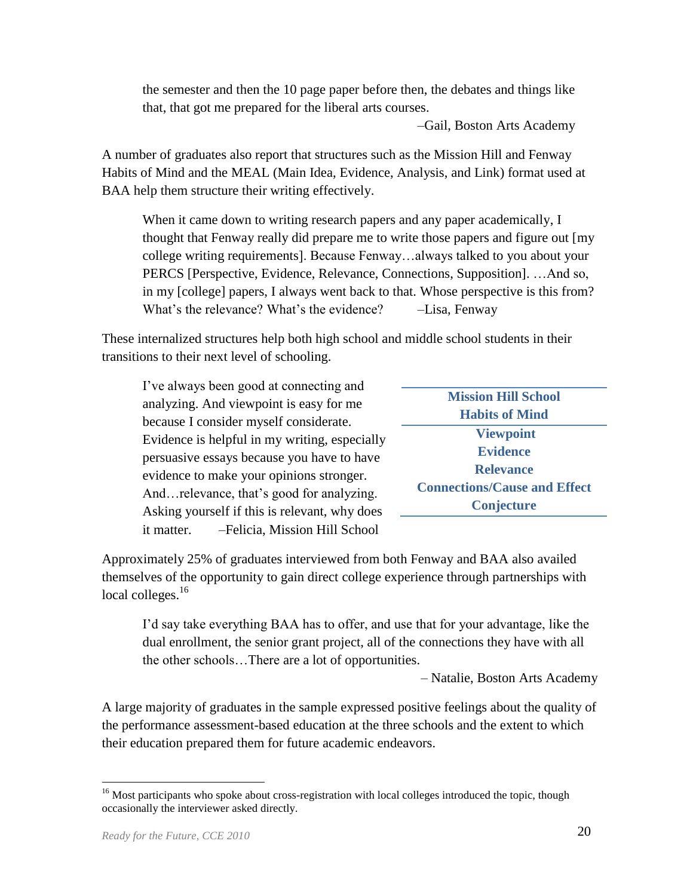the semester and then the 10 page paper before then, the debates and things like that, that got me prepared for the liberal arts courses.

–Gail, Boston Arts Academy

A number of graduates also report that structures such as the Mission Hill and Fenway Habits of Mind and the MEAL (Main Idea, Evidence, Analysis, and Link) format used at BAA help them structure their writing effectively.

When it came down to writing research papers and any paper academically, I thought that Fenway really did prepare me to write those papers and figure out [my college writing requirements]. Because Fenway…always talked to you about your PERCS [Perspective, Evidence, Relevance, Connections, Supposition]. …And so, in my [college] papers, I always went back to that. Whose perspective is this from? What's the relevance? What's the evidence? –Lisa, Fenway

These internalized structures help both high school and middle school students in their transitions to their next level of schooling.

| I've always been good at connecting and       |                                     |
|-----------------------------------------------|-------------------------------------|
|                                               | <b>Mission Hill School</b>          |
| analyzing. And viewpoint is easy for me       | <b>Habits of Mind</b>               |
| because I consider myself considerate.        |                                     |
| Evidence is helpful in my writing, especially | <b>Viewpoint</b>                    |
| persuasive essays because you have to have    | <b>Evidence</b>                     |
|                                               | <b>Relevance</b>                    |
| evidence to make your opinions stronger.      |                                     |
| Andrelevance, that's good for analyzing.      | <b>Connections/Cause and Effect</b> |
| Asking yourself if this is relevant, why does | Conjecture                          |
| -Felicia, Mission Hill School<br>it matter.   |                                     |
|                                               |                                     |

Approximately 25% of graduates interviewed from both Fenway and BAA also availed themselves of the opportunity to gain direct college experience through partnerships with local colleges.<sup>16</sup>

I'd say take everything BAA has to offer, and use that for your advantage, like the dual enrollment, the senior grant project, all of the connections they have with all the other schools…There are a lot of opportunities.

– Natalie, Boston Arts Academy

A large majority of graduates in the sample expressed positive feelings about the quality of the performance assessment-based education at the three schools and the extent to which their education prepared them for future academic endeavors.

<sup>&</sup>lt;sup>16</sup> Most participants who spoke about cross-registration with local colleges introduced the topic, though occasionally the interviewer asked directly.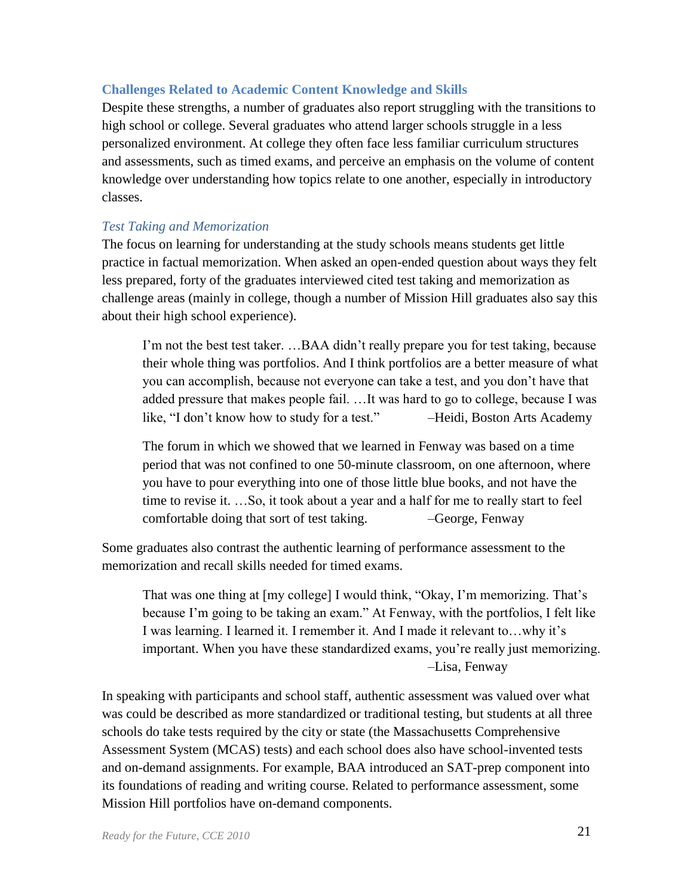#### **Challenges Related to Academic Content Knowledge and Skills**

Despite these strengths, a number of graduates also report struggling with the transitions to high school or college. Several graduates who attend larger schools struggle in a less personalized environment. At college they often face less familiar curriculum structures and assessments, such as timed exams, and perceive an emphasis on the volume of content knowledge over understanding how topics relate to one another, especially in introductory classes.

#### *Test Taking and Memorization*

The focus on learning for understanding at the study schools means students get little practice in factual memorization. When asked an open-ended question about ways they felt less prepared, forty of the graduates interviewed cited test taking and memorization as challenge areas (mainly in college, though a number of Mission Hill graduates also say this about their high school experience).

I'm not the best test taker. …BAA didn't really prepare you for test taking, because their whole thing was portfolios. And I think portfolios are a better measure of what you can accomplish, because not everyone can take a test, and you don't have that added pressure that makes people fail. …It was hard to go to college, because I was like, "I don't know how to study for a test." – Heidi, Boston Arts Academy

The forum in which we showed that we learned in Fenway was based on a time period that was not confined to one 50-minute classroom, on one afternoon, where you have to pour everything into one of those little blue books, and not have the time to revise it. …So, it took about a year and a half for me to really start to feel comfortable doing that sort of test taking. –George, Fenway

Some graduates also contrast the authentic learning of performance assessment to the memorization and recall skills needed for timed exams.

That was one thing at [my college] I would think, "Okay, I'm memorizing. That's because I'm going to be taking an exam." At Fenway, with the portfolios, I felt like I was learning. I learned it. I remember it. And I made it relevant to…why it's important. When you have these standardized exams, you're really just memorizing. –Lisa, Fenway

In speaking with participants and school staff, authentic assessment was valued over what was could be described as more standardized or traditional testing, but students at all three schools do take tests required by the city or state (the Massachusetts Comprehensive Assessment System (MCAS) tests) and each school does also have school-invented tests and on-demand assignments. For example, BAA introduced an SAT-prep component into its foundations of reading and writing course. Related to performance assessment, some Mission Hill portfolios have on-demand components.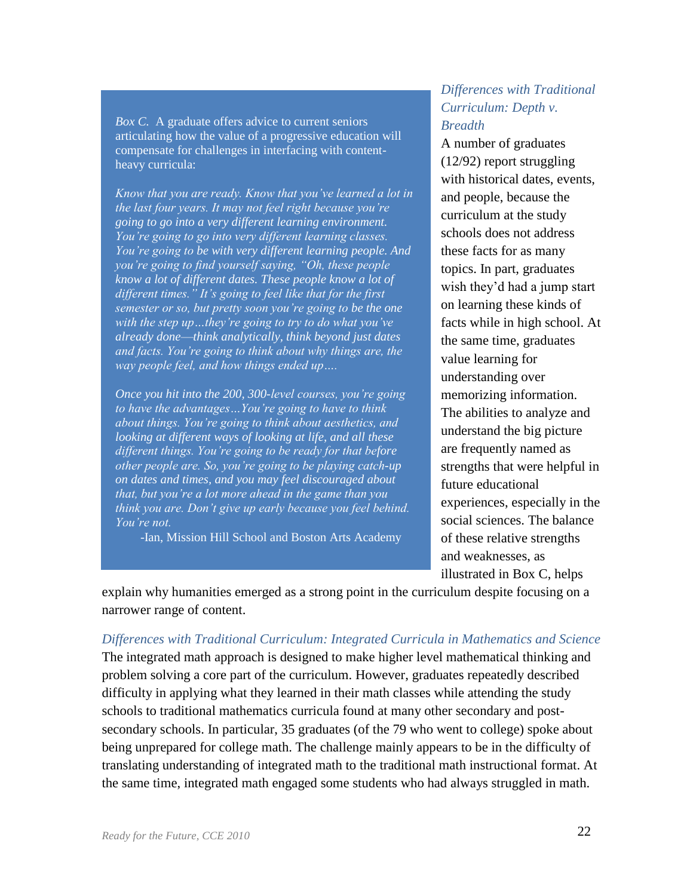*Box C.* A graduate offers advice to current seniors articulating how the value of a progressive education will compensate for challenges in interfacing with contentheavy curricula:

*Know that you are ready. Know that you've learned a lot in the last four years. It may not feel right because you're going to go into a very different learning environment. You're going to go into very different learning classes. You're going to be with very different learning people. And you're going to find yourself saying, "Oh, these people know a lot of different dates. These people know a lot of different times." It's going to feel like that for the first semester or so, but pretty soon you're going to be the one with the step up…they're going to try to do what you've already done*—*think analytically, think beyond just dates and facts. You're going to think about why things are, the way people feel, and how things ended up….*

*Once you hit into the 200, 300-level courses, you're going to have the advantages…You're going to have to think about things. You're going to think about aesthetics, and looking at different ways of looking at life, and all these different things. You're going to be ready for that before other people are. So, you're going to be playing catch-up on dates and times, and you may feel discouraged about that, but you're a lot more ahead in the game than you think you are. Don't give up early because you feel behind. You're not.*

-Ian, Mission Hill School and Boston Arts Academy

#### *Differences with Traditional Curriculum: Depth v. Breadth*

A number of graduates (12/92) report struggling with historical dates, events, and people, because the curriculum at the study schools does not address these facts for as many topics. In part, graduates wish they'd had a jump start on learning these kinds of facts while in high school. At the same time, graduates value learning for understanding over memorizing information. The abilities to analyze and understand the big picture are frequently named as strengths that were helpful in future educational experiences, especially in the social sciences. The balance of these relative strengths and weaknesses, as illustrated in Box C, helps

explain why humanities emerged as a strong point in the curriculum despite focusing on a narrower range of content.

*Differences with Traditional Curriculum: Integrated Curricula in Mathematics and Science* The integrated math approach is designed to make higher level mathematical thinking and problem solving a core part of the curriculum. However, graduates repeatedly described difficulty in applying what they learned in their math classes while attending the study schools to traditional mathematics curricula found at many other secondary and postsecondary schools. In particular, 35 graduates (of the 79 who went to college) spoke about being unprepared for college math. The challenge mainly appears to be in the difficulty of translating understanding of integrated math to the traditional math instructional format. At the same time, integrated math engaged some students who had always struggled in math.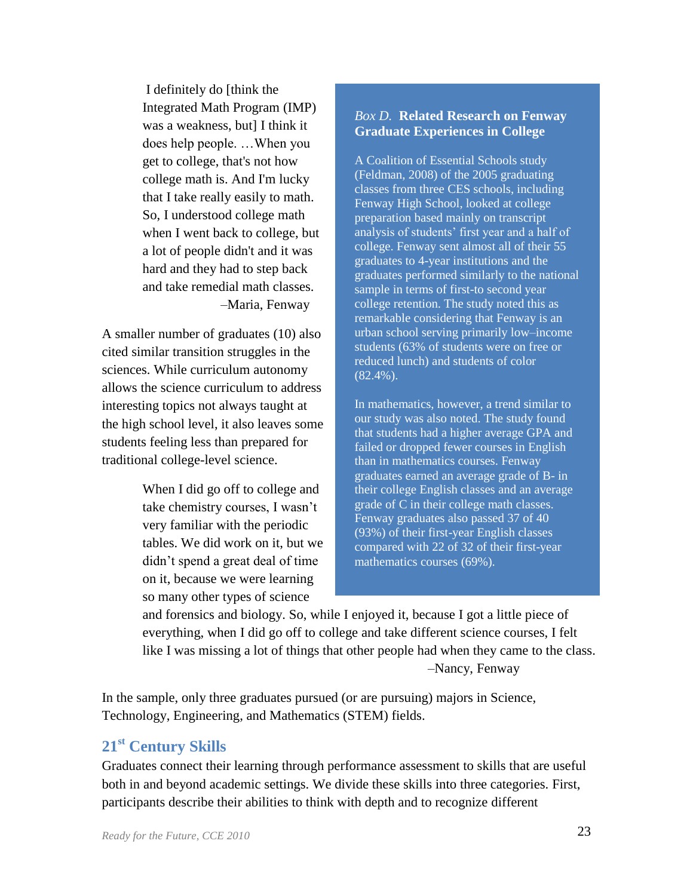I definitely do [think the Integrated Math Program (IMP) was a weakness, but] I think it does help people. …When you get to college, that's not how college math is. And I'm lucky that I take really easily to math. So, I understood college math when I went back to college, but a lot of people didn't and it was hard and they had to step back and take remedial math classes. –Maria, Fenway

A smaller number of graduates (10) also cited similar transition struggles in the sciences. While curriculum autonomy allows the science curriculum to address interesting topics not always taught at the high school level, it also leaves some students feeling less than prepared for traditional college-level science.

> When I did go off to college and take chemistry courses, I wasn't very familiar with the periodic tables. We did work on it, but we didn't spend a great deal of time on it, because we were learning so many other types of science

#### *Box D.* **Related Research on Fenway Graduate Experiences in College**

A Coalition of Essential Schools study (Feldman, 2008) of the 2005 graduating classes from three CES schools, including Fenway High School, looked at college preparation based mainly on transcript analysis of students' first year and a half of college. Fenway sent almost all of their 55 graduates to 4-year institutions and the graduates performed similarly to the national sample in terms of first-to second year college retention. The study noted this as remarkable considering that Fenway is an urban school serving primarily low–income students (63% of students were on free or reduced lunch) and students of color (82.4%).

In mathematics, however, a trend similar to our study was also noted. The study found that students had a higher average GPA and failed or dropped fewer courses in English than in mathematics courses. Fenway graduates earned an average grade of B- in their college English classes and an average grade of C in their college math classes. Fenway graduates also passed 37 of 40 (93%) of their first-year English classes compared with 22 of 32 of their first-year mathematics courses (69%).

and forensics and biology. So, while I enjoyed it, because I got a little piece of everything, when I did go off to college and take different science courses, I felt like I was missing a lot of things that other people had when they came to the class. –Nancy, Fenway

In the sample, only three graduates pursued (or are pursuing) majors in Science, Technology, Engineering, and Mathematics (STEM) fields.

# <span id="page-25-0"></span>**21st Century Skills**

Graduates connect their learning through performance assessment to skills that are useful both in and beyond academic settings. We divide these skills into three categories. First, participants describe their abilities to think with depth and to recognize different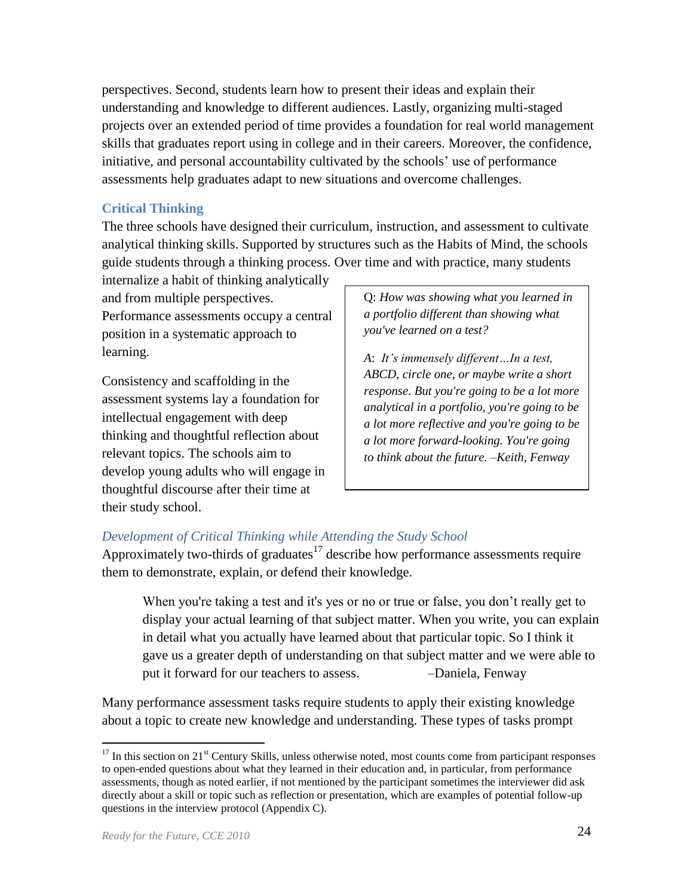perspectives. Second, students learn how to present their ideas and explain their understanding and knowledge to different audiences. Lastly, organizing multi-staged projects over an extended period of time provides a foundation for real world management skills that graduates report using in college and in their careers. Moreover, the confidence, initiative, and personal accountability cultivated by the schools' use of performance assessments help graduates adapt to new situations and overcome challenges.

#### **Critical Thinking**

The three schools have designed their curriculum, instruction, and assessment to cultivate analytical thinking skills. Supported by structures such as the Habits of Mind, the schools guide students through a thinking process. Over time and with practice, many students

internalize a habit of thinking analytically and from multiple perspectives. Performance assessments occupy a central position in a systematic approach to learning.

Consistency and scaffolding in the assessment systems lay a foundation for intellectual engagement with deep thinking and thoughtful reflection about relevant topics. The schools aim to develop young adults who will engage in thoughtful discourse after their time at their study school.

Q: *How was showing what you learned in a portfolio different than showing what you've learned on a test?* 

*A*: *It's immensely different…In a test, ABCD, circle one, or maybe write a short response. But you're going to be a lot more analytical in a portfolio, you're going to be a lot more reflective and you're going to be a lot more forward-looking. You're going to think about the future. –Keith, Fenway*

# *Development of Critical Thinking while Attending the Study School*

Approximately two-thirds of graduates<sup>17</sup> describe how performance assessments require them to demonstrate, explain, or defend their knowledge.

When you're taking a test and it's yes or no or true or false, you don't really get to display your actual learning of that subject matter. When you write, you can explain in detail what you actually have learned about that particular topic. So I think it gave us a greater depth of understanding on that subject matter and we were able to put it forward for our teachers to assess.  $\qquad -$ Daniela, Fenway

Many performance assessment tasks require students to apply their existing knowledge about a topic to create new knowledge and understanding. These types of tasks prompt

 $17$  In this section on  $21<sup>st</sup>$  Century Skills, unless otherwise noted, most counts come from participant responses to open-ended questions about what they learned in their education and, in particular, from performance assessments, though as noted earlier, if not mentioned by the participant sometimes the interviewer did ask directly about a skill or topic such as reflection or presentation, which are examples of potential follow-up questions in the interview protocol (Appendix C).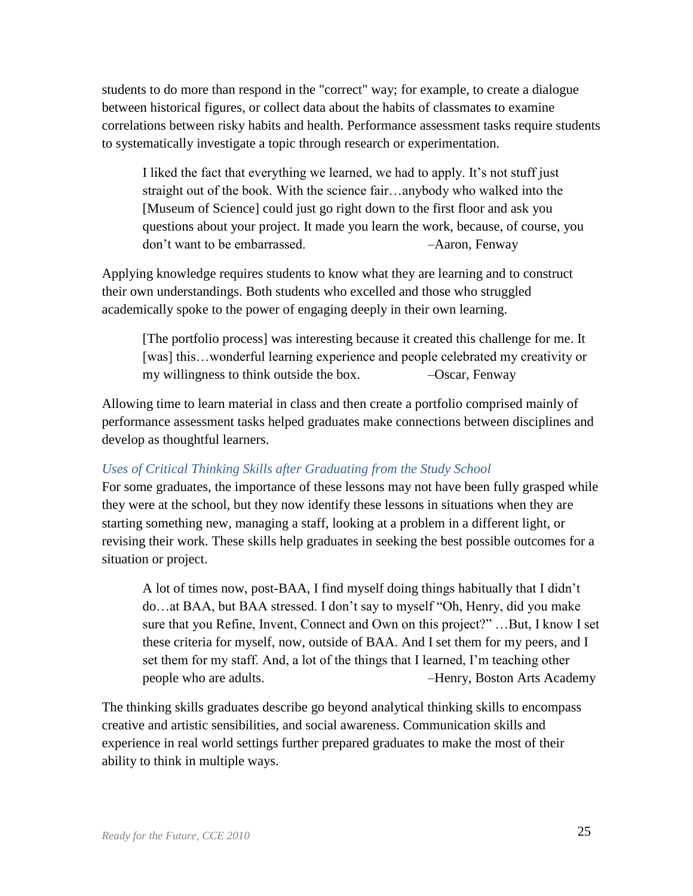students to do more than respond in the "correct" way; for example, to create a dialogue between historical figures, or collect data about the habits of classmates to examine correlations between risky habits and health. Performance assessment tasks require students to systematically investigate a topic through research or experimentation.

I liked the fact that everything we learned, we had to apply. It's not stuff just straight out of the book. With the science fair…anybody who walked into the [Museum of Science] could just go right down to the first floor and ask you questions about your project. It made you learn the work, because, of course, you don't want to be embarrassed. –Aaron, Fenway

Applying knowledge requires students to know what they are learning and to construct their own understandings. Both students who excelled and those who struggled academically spoke to the power of engaging deeply in their own learning.

[The portfolio process] was interesting because it created this challenge for me. It [was] this...wonderful learning experience and people celebrated my creativity or my willingness to think outside the box.  $-$ Oscar, Fenway

Allowing time to learn material in class and then create a portfolio comprised mainly of performance assessment tasks helped graduates make connections between disciplines and develop as thoughtful learners.

#### *Uses of Critical Thinking Skills after Graduating from the Study School*

For some graduates, the importance of these lessons may not have been fully grasped while they were at the school, but they now identify these lessons in situations when they are starting something new, managing a staff, looking at a problem in a different light, or revising their work. These skills help graduates in seeking the best possible outcomes for a situation or project.

A lot of times now, post-BAA, I find myself doing things habitually that I didn't do...at BAA, but BAA stressed. I don't say to myself "Oh, Henry, did you make sure that you Refine, Invent, Connect and Own on this project?"...But, I know I set these criteria for myself, now, outside of BAA. And I set them for my peers, and I set them for my staff. And, a lot of the things that I learned, I'm teaching other people who are adults. –Henry, Boston Arts Academy

The thinking skills graduates describe go beyond analytical thinking skills to encompass creative and artistic sensibilities, and social awareness. Communication skills and experience in real world settings further prepared graduates to make the most of their ability to think in multiple ways.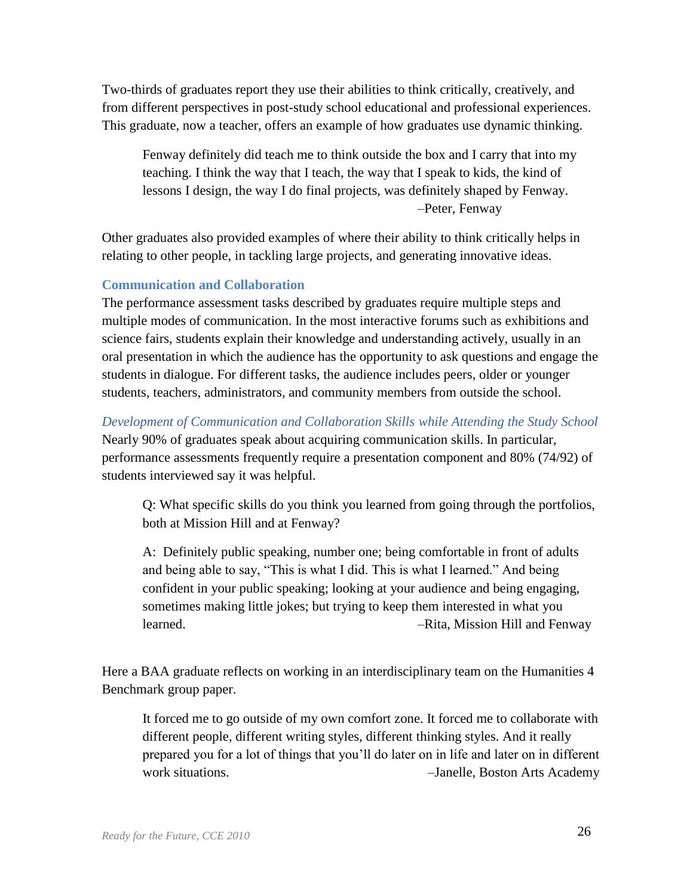Two-thirds of graduates report they use their abilities to think critically, creatively, and from different perspectives in post-study school educational and professional experiences. This graduate, now a teacher, offers an example of how graduates use dynamic thinking.

Fenway definitely did teach me to think outside the box and I carry that into my teaching. I think the way that I teach, the way that I speak to kids, the kind of lessons I design, the way I do final projects, was definitely shaped by Fenway. –Peter, Fenway

Other graduates also provided examples of where their ability to think critically helps in relating to other people, in tackling large projects, and generating innovative ideas.

#### **Communication and Collaboration**

The performance assessment tasks described by graduates require multiple steps and multiple modes of communication. In the most interactive forums such as exhibitions and science fairs, students explain their knowledge and understanding actively, usually in an oral presentation in which the audience has the opportunity to ask questions and engage the students in dialogue. For different tasks, the audience includes peers, older or younger students, teachers, administrators, and community members from outside the school.

*Development of Communication and Collaboration Skills while Attending the Study School* Nearly 90% of graduates speak about acquiring communication skills. In particular, performance assessments frequently require a presentation component and 80% (74/92) of students interviewed say it was helpful.

Q: What specific skills do you think you learned from going through the portfolios, both at Mission Hill and at Fenway?

A: Definitely public speaking, number one; being comfortable in front of adults and being able to say, "This is what I did. This is what I learned." And being confident in your public speaking; looking at your audience and being engaging, sometimes making little jokes; but trying to keep them interested in what you learned. *–*Rita, Mission Hill and Fenway

Here a BAA graduate reflects on working in an interdisciplinary team on the Humanities 4 Benchmark group paper.

It forced me to go outside of my own comfort zone. It forced me to collaborate with different people, different writing styles, different thinking styles. And it really prepared you for a lot of things that you'll do later on in life and later on in different work situations. –Janelle, Boston Arts Academy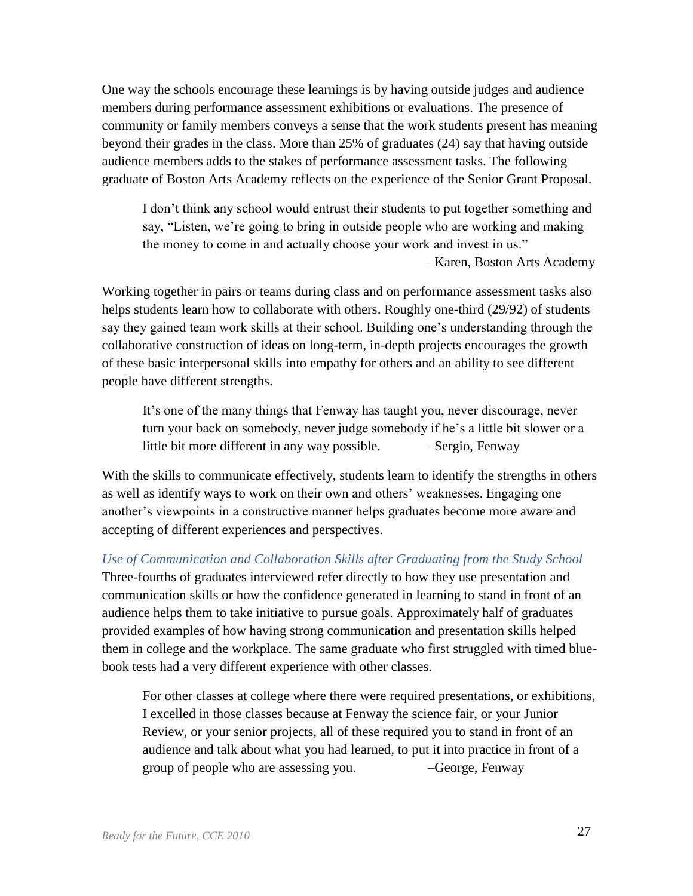One way the schools encourage these learnings is by having outside judges and audience members during performance assessment exhibitions or evaluations. The presence of community or family members conveys a sense that the work students present has meaning beyond their grades in the class. More than 25% of graduates (24) say that having outside audience members adds to the stakes of performance assessment tasks. The following graduate of Boston Arts Academy reflects on the experience of the Senior Grant Proposal.

I don't think any school would entrust their students to put together something and say, "Listen, we're going to bring in outside people who are working and making the money to come in and actually choose your work and invest in us." –Karen, Boston Arts Academy

Working together in pairs or teams during class and on performance assessment tasks also helps students learn how to collaborate with others. Roughly one-third (29/92) of students say they gained team work skills at their school. Building one's understanding through the collaborative construction of ideas on long-term, in-depth projects encourages the growth of these basic interpersonal skills into empathy for others and an ability to see different people have different strengths.

It's one of the many things that Fenway has taught you, never discourage, never turn your back on somebody, never judge somebody if he's a little bit slower or a little bit more different in any way possible. — Sergio, Fenway

With the skills to communicate effectively, students learn to identify the strengths in others as well as identify ways to work on their own and others' weaknesses. Engaging one another's viewpoints in a constructive manner helps graduates become more aware and accepting of different experiences and perspectives.

*Use of Communication and Collaboration Skills after Graduating from the Study School* Three-fourths of graduates interviewed refer directly to how they use presentation and communication skills or how the confidence generated in learning to stand in front of an audience helps them to take initiative to pursue goals. Approximately half of graduates provided examples of how having strong communication and presentation skills helped them in college and the workplace. The same graduate who first struggled with timed bluebook tests had a very different experience with other classes.

For other classes at college where there were required presentations, or exhibitions, I excelled in those classes because at Fenway the science fair, or your Junior Review, or your senior projects, all of these required you to stand in front of an audience and talk about what you had learned, to put it into practice in front of a group of people who are assessing you. –George, Fenway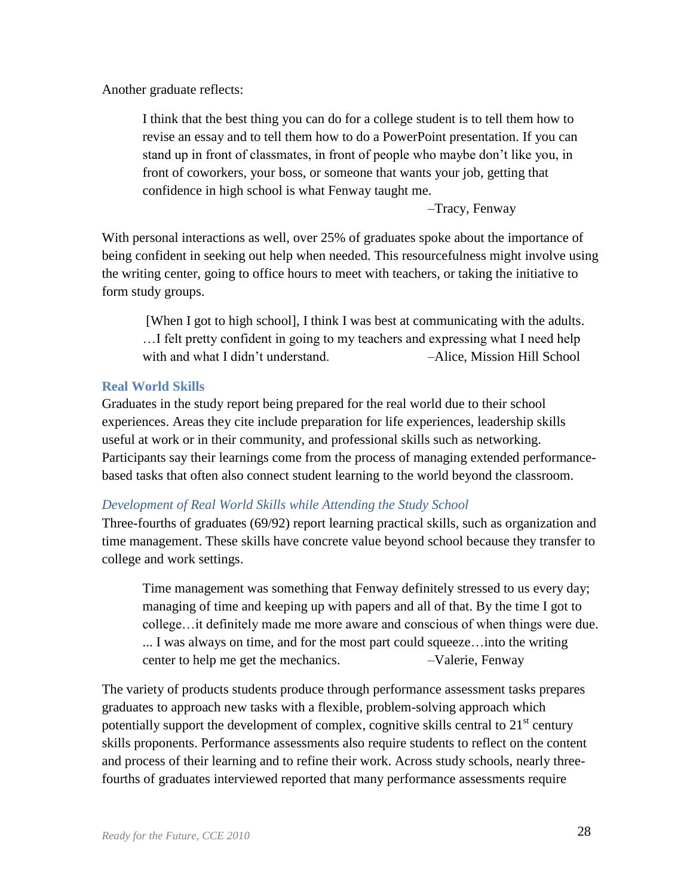Another graduate reflects:

I think that the best thing you can do for a college student is to tell them how to revise an essay and to tell them how to do a PowerPoint presentation. If you can stand up in front of classmates, in front of people who maybe don't like you, in front of coworkers, your boss, or someone that wants your job, getting that confidence in high school is what Fenway taught me.

–Tracy, Fenway

With personal interactions as well, over 25% of graduates spoke about the importance of being confident in seeking out help when needed. This resourcefulness might involve using the writing center, going to office hours to meet with teachers, or taking the initiative to form study groups.

[When I got to high school], I think I was best at communicating with the adults. …I felt pretty confident in going to my teachers and expressing what I need help with and what I didn't understand. –Alice, Mission Hill School

## **Real World Skills**

Graduates in the study report being prepared for the real world due to their school experiences. Areas they cite include preparation for life experiences, leadership skills useful at work or in their community, and professional skills such as networking. Participants say their learnings come from the process of managing extended performancebased tasks that often also connect student learning to the world beyond the classroom.

#### *Development of Real World Skills while Attending the Study School*

Three-fourths of graduates (69/92) report learning practical skills, such as organization and time management. These skills have concrete value beyond school because they transfer to college and work settings.

Time management was something that Fenway definitely stressed to us every day; managing of time and keeping up with papers and all of that. By the time I got to college…it definitely made me more aware and conscious of when things were due. ... I was always on time, and for the most part could squeeze…into the writing center to help me get the mechanics. –Valerie, Fenway

The variety of products students produce through performance assessment tasks prepares graduates to approach new tasks with a flexible, problem-solving approach which potentially support the development of complex, cognitive skills central to  $21<sup>st</sup>$  century skills proponents. Performance assessments also require students to reflect on the content and process of their learning and to refine their work. Across study schools, nearly threefourths of graduates interviewed reported that many performance assessments require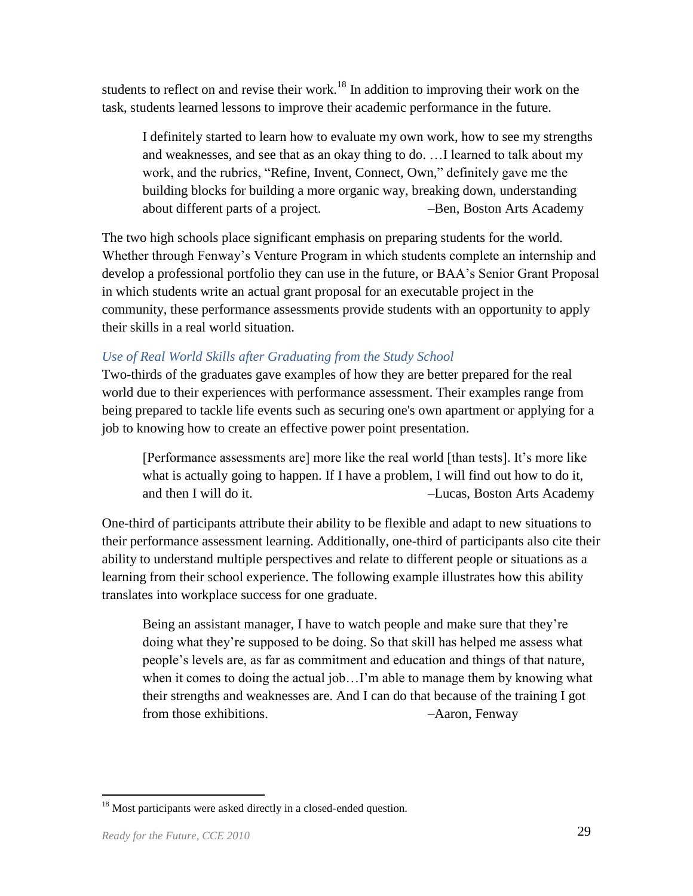students to reflect on and revise their work.<sup>18</sup> In addition to improving their work on the task, students learned lessons to improve their academic performance in the future.

I definitely started to learn how to evaluate my own work, how to see my strengths and weaknesses, and see that as an okay thing to do. …I learned to talk about my work, and the rubrics, "Refine, Invent, Connect, Own," definitely gave me the building blocks for building a more organic way, breaking down, understanding about different parts of a project. –Ben, Boston Arts Academy

The two high schools place significant emphasis on preparing students for the world. Whether through Fenway's Venture Program in which students complete an internship and develop a professional portfolio they can use in the future, or BAA's Senior Grant Proposal in which students write an actual grant proposal for an executable project in the community, these performance assessments provide students with an opportunity to apply their skills in a real world situation.

## *Use of Real World Skills after Graduating from the Study School*

Two-thirds of the graduates gave examples of how they are better prepared for the real world due to their experiences with performance assessment. Their examples range from being prepared to tackle life events such as securing one's own apartment or applying for a job to knowing how to create an effective power point presentation.

[Performance assessments are] more like the real world [than tests]. It's more like what is actually going to happen. If I have a problem, I will find out how to do it, and then I will do it. –Lucas, Boston Arts Academy

One-third of participants attribute their ability to be flexible and adapt to new situations to their performance assessment learning. Additionally, one-third of participants also cite their ability to understand multiple perspectives and relate to different people or situations as a learning from their school experience. The following example illustrates how this ability translates into workplace success for one graduate.

Being an assistant manager, I have to watch people and make sure that they're doing what they're supposed to be doing. So that skill has helped me assess what people's levels are, as far as commitment and education and things of that nature, when it comes to doing the actual job...I'm able to manage them by knowing what their strengths and weaknesses are. And I can do that because of the training I got from those exhibitions.  $-Aaron$ , Fenway

<sup>&</sup>lt;sup>18</sup> Most participants were asked directly in a closed-ended question.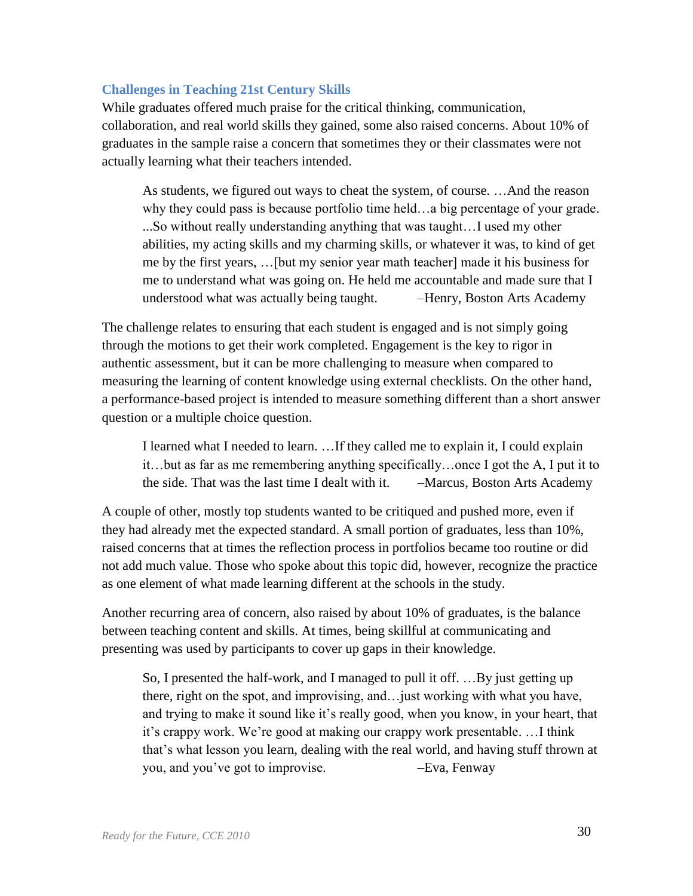#### **Challenges in Teaching 21st Century Skills**

While graduates offered much praise for the critical thinking, communication, collaboration, and real world skills they gained, some also raised concerns. About 10% of graduates in the sample raise a concern that sometimes they or their classmates were not actually learning what their teachers intended.

As students, we figured out ways to cheat the system, of course. …And the reason why they could pass is because portfolio time held…a big percentage of your grade. ...So without really understanding anything that was taught…I used my other abilities, my acting skills and my charming skills, or whatever it was, to kind of get me by the first years, …[but my senior year math teacher] made it his business for me to understand what was going on. He held me accountable and made sure that I understood what was actually being taught. –Henry, Boston Arts Academy

The challenge relates to ensuring that each student is engaged and is not simply going through the motions to get their work completed. Engagement is the key to rigor in authentic assessment, but it can be more challenging to measure when compared to measuring the learning of content knowledge using external checklists. On the other hand, a performance-based project is intended to measure something different than a short answer question or a multiple choice question.

I learned what I needed to learn. …If they called me to explain it, I could explain it…but as far as me remembering anything specifically…once I got the A, I put it to the side. That was the last time I dealt with it. –Marcus, Boston Arts Academy

A couple of other, mostly top students wanted to be critiqued and pushed more, even if they had already met the expected standard. A small portion of graduates, less than 10%, raised concerns that at times the reflection process in portfolios became too routine or did not add much value. Those who spoke about this topic did, however, recognize the practice as one element of what made learning different at the schools in the study.

Another recurring area of concern, also raised by about 10% of graduates, is the balance between teaching content and skills. At times, being skillful at communicating and presenting was used by participants to cover up gaps in their knowledge.

So, I presented the half-work, and I managed to pull it off. …By just getting up there, right on the spot, and improvising, and…just working with what you have, and trying to make it sound like it's really good, when you know, in your heart, that it's crappy work. We're good at making our crappy work presentable. …I think that's what lesson you learn, dealing with the real world, and having stuff thrown at you, and you've got to improvise. –Eva, Fenway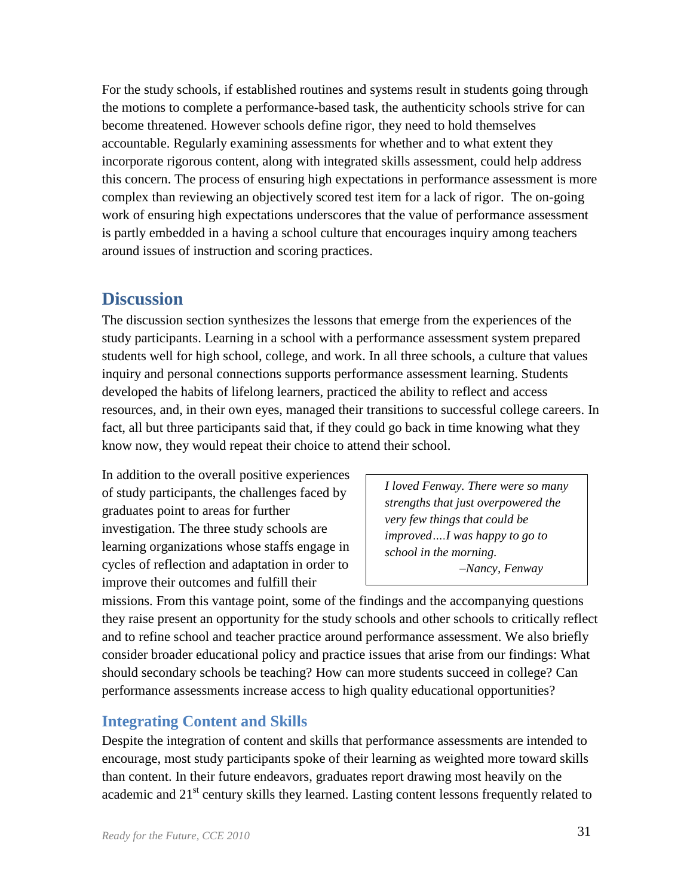For the study schools, if established routines and systems result in students going through the motions to complete a performance-based task, the authenticity schools strive for can become threatened. However schools define rigor, they need to hold themselves accountable. Regularly examining assessments for whether and to what extent they incorporate rigorous content, along with integrated skills assessment, could help address this concern. The process of ensuring high expectations in performance assessment is more complex than reviewing an objectively scored test item for a lack of rigor. The on-going work of ensuring high expectations underscores that the value of performance assessment is partly embedded in a having a school culture that encourages inquiry among teachers around issues of instruction and scoring practices.

# <span id="page-33-0"></span>**Discussion**

The discussion section synthesizes the lessons that emerge from the experiences of the study participants. Learning in a school with a performance assessment system prepared students well for high school, college, and work. In all three schools, a culture that values inquiry and personal connections supports performance assessment learning. Students developed the habits of lifelong learners, practiced the ability to reflect and access resources, and, in their own eyes, managed their transitions to successful college careers. In fact, all but three participants said that, if they could go back in time knowing what they know now, they would repeat their choice to attend their school.

In addition to the overall positive experiences of study participants, the challenges faced by graduates point to areas for further investigation. The three study schools are learning organizations whose staffs engage in cycles of reflection and adaptation in order to improve their outcomes and fulfill their

*I loved Fenway. There were so many strengths that just overpowered the very few things that could be improved….I was happy to go to school in the morning. –Nancy, Fenway*

missions. From this vantage point, some of the findings and the accompanying questions they raise present an opportunity for the study schools and other schools to critically reflect and to refine school and teacher practice around performance assessment. We also briefly consider broader educational policy and practice issues that arise from our findings: What should secondary schools be teaching? How can more students succeed in college? Can performance assessments increase access to high quality educational opportunities?

# <span id="page-33-1"></span>**Integrating Content and Skills**

Despite the integration of content and skills that performance assessments are intended to encourage, most study participants spoke of their learning as weighted more toward skills than content. In their future endeavors, graduates report drawing most heavily on the academic and  $21<sup>st</sup>$  century skills they learned. Lasting content lessons frequently related to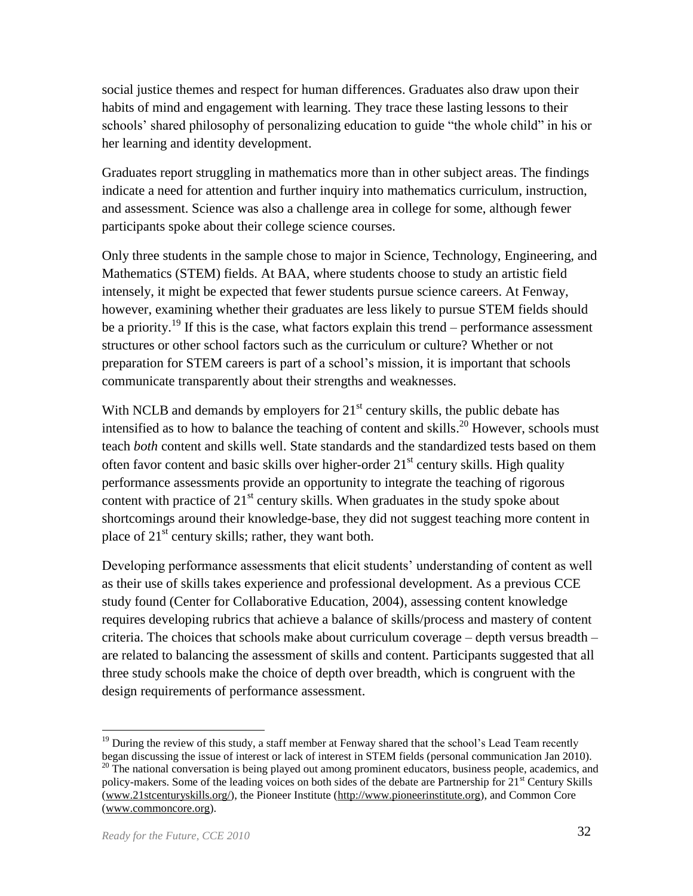social justice themes and respect for human differences. Graduates also draw upon their habits of mind and engagement with learning. They trace these lasting lessons to their schools' shared philosophy of personalizing education to guide "the whole child" in his or her learning and identity development.

Graduates report struggling in mathematics more than in other subject areas. The findings indicate a need for attention and further inquiry into mathematics curriculum, instruction, and assessment. Science was also a challenge area in college for some, although fewer participants spoke about their college science courses.

Only three students in the sample chose to major in Science, Technology, Engineering, and Mathematics (STEM) fields. At BAA, where students choose to study an artistic field intensely, it might be expected that fewer students pursue science careers. At Fenway, however, examining whether their graduates are less likely to pursue STEM fields should be a priority.<sup>19</sup> If this is the case, what factors explain this trend – performance assessment structures or other school factors such as the curriculum or culture? Whether or not preparation for STEM careers is part of a school's mission, it is important that schools communicate transparently about their strengths and weaknesses.

With NCLB and demands by employers for  $21<sup>st</sup>$  century skills, the public debate has intensified as to how to balance the teaching of content and skills.<sup>20</sup> However, schools must teach *both* content and skills well. State standards and the standardized tests based on them often favor content and basic skills over higher-order  $21<sup>st</sup>$  century skills. High quality performance assessments provide an opportunity to integrate the teaching of rigorous content with practice of  $21<sup>st</sup>$  century skills. When graduates in the study spoke about shortcomings around their knowledge-base, they did not suggest teaching more content in place of  $21<sup>st</sup>$  century skills; rather, they want both.

Developing performance assessments that elicit students' understanding of content as well as their use of skills takes experience and professional development. As a previous CCE study found (Center for Collaborative Education, 2004), assessing content knowledge requires developing rubrics that achieve a balance of skills/process and mastery of content criteria. The choices that schools make about curriculum coverage – depth versus breadth – are related to balancing the assessment of skills and content. Participants suggested that all three study schools make the choice of depth over breadth, which is congruent with the design requirements of performance assessment.

 $19$  During the review of this study, a staff member at Fenway shared that the school's Lead Team recently began discussing the issue of interest or lack of interest in STEM fields (personal communication Jan 2010).

 $20$  The national conversation is being played out among prominent educators, business people, academics, and policy-makers. Some of the leading voices on both sides of the debate are Partnership for 21<sup>st</sup> Century Skills [\(www.21stcenturyskills.org/\)](http://www.21stcenturyskills.org/), the Pioneer Institute [\(http://www.pioneerinstitute.org\)](http://www.pioneerinstitute.org/), and Common Core [\(www.commoncore.org\)](http://www.commoncore.org/).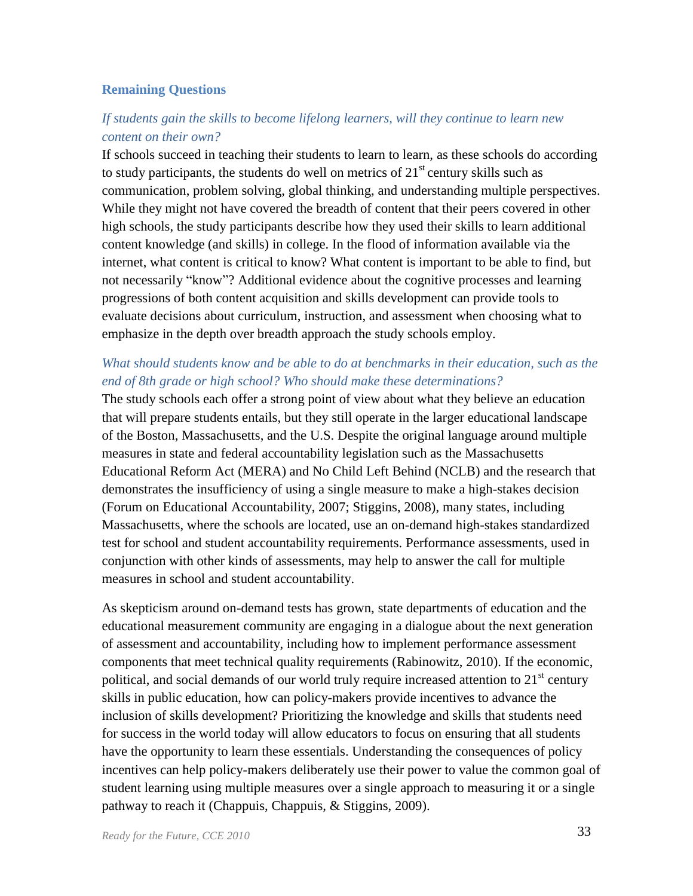#### **Remaining Questions**

#### *If students gain the skills to become lifelong learners, will they continue to learn new content on their own?*

If schools succeed in teaching their students to learn to learn, as these schools do according to study participants, the students do well on metrics of  $21<sup>st</sup>$  century skills such as communication, problem solving, global thinking, and understanding multiple perspectives. While they might not have covered the breadth of content that their peers covered in other high schools, the study participants describe how they used their skills to learn additional content knowledge (and skills) in college. In the flood of information available via the internet, what content is critical to know? What content is important to be able to find, but not necessarily "know"? Additional evidence about the cognitive processes and learning progressions of both content acquisition and skills development can provide tools to evaluate decisions about curriculum, instruction, and assessment when choosing what to emphasize in the depth over breadth approach the study schools employ.

## *What should students know and be able to do at benchmarks in their education, such as the end of 8th grade or high school? Who should make these determinations?*

The study schools each offer a strong point of view about what they believe an education that will prepare students entails, but they still operate in the larger educational landscape of the Boston, Massachusetts, and the U.S. Despite the original language around multiple measures in state and federal accountability legislation such as the Massachusetts Educational Reform Act (MERA) and No Child Left Behind (NCLB) and the research that demonstrates the insufficiency of using a single measure to make a high-stakes decision (Forum on Educational Accountability, 2007; Stiggins, 2008), many states, including Massachusetts, where the schools are located, use an on-demand high-stakes standardized test for school and student accountability requirements. Performance assessments, used in conjunction with other kinds of assessments, may help to answer the call for multiple measures in school and student accountability.

As skepticism around on-demand tests has grown, state departments of education and the educational measurement community are engaging in a dialogue about the next generation of assessment and accountability, including how to implement performance assessment components that meet technical quality requirements (Rabinowitz, 2010). If the economic, political, and social demands of our world truly require increased attention to  $21<sup>st</sup>$  century skills in public education, how can policy-makers provide incentives to advance the inclusion of skills development? Prioritizing the knowledge and skills that students need for success in the world today will allow educators to focus on ensuring that all students have the opportunity to learn these essentials. Understanding the consequences of policy incentives can help policy-makers deliberately use their power to value the common goal of student learning using multiple measures over a single approach to measuring it or a single pathway to reach it (Chappuis, Chappuis, & Stiggins, 2009).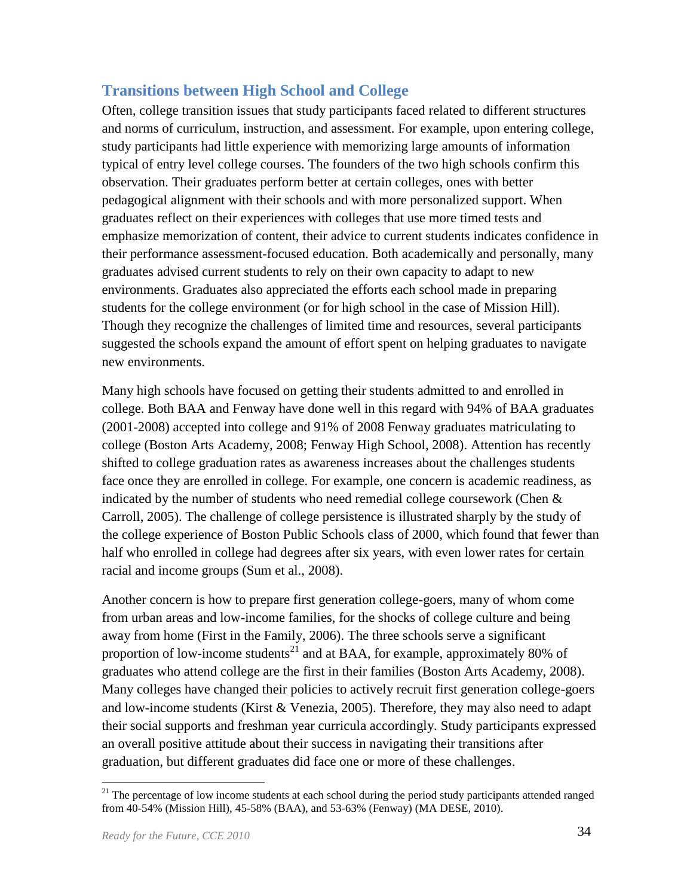# <span id="page-36-0"></span>**Transitions between High School and College**

Often, college transition issues that study participants faced related to different structures and norms of curriculum, instruction, and assessment. For example, upon entering college, study participants had little experience with memorizing large amounts of information typical of entry level college courses. The founders of the two high schools confirm this observation. Their graduates perform better at certain colleges, ones with better pedagogical alignment with their schools and with more personalized support. When graduates reflect on their experiences with colleges that use more timed tests and emphasize memorization of content, their advice to current students indicates confidence in their performance assessment-focused education. Both academically and personally, many graduates advised current students to rely on their own capacity to adapt to new environments. Graduates also appreciated the efforts each school made in preparing students for the college environment (or for high school in the case of Mission Hill). Though they recognize the challenges of limited time and resources, several participants suggested the schools expand the amount of effort spent on helping graduates to navigate new environments.

Many high schools have focused on getting their students admitted to and enrolled in college. Both BAA and Fenway have done well in this regard with 94% of BAA graduates (2001-2008) accepted into college and 91% of 2008 Fenway graduates matriculating to college (Boston Arts Academy, 2008; Fenway High School, 2008). Attention has recently shifted to college graduation rates as awareness increases about the challenges students face once they are enrolled in college. For example, one concern is academic readiness, as indicated by the number of students who need remedial college coursework (Chen  $\&$ Carroll, 2005). The challenge of college persistence is illustrated sharply by the study of the college experience of Boston Public Schools class of 2000, which found that fewer than half who enrolled in college had degrees after six years, with even lower rates for certain racial and income groups (Sum et al., 2008).

Another concern is how to prepare first generation college-goers, many of whom come from urban areas and low-income families, for the shocks of college culture and being away from home (First in the Family, 2006). The three schools serve a significant proportion of low-income students<sup>21</sup> and at BAA, for example, approximately 80% of graduates who attend college are the first in their families (Boston Arts Academy, 2008). Many colleges have changed their policies to actively recruit first generation college-goers and low-income students (Kirst & Venezia, 2005). Therefore, they may also need to adapt their social supports and freshman year curricula accordingly. Study participants expressed an overall positive attitude about their success in navigating their transitions after graduation, but different graduates did face one or more of these challenges.

<sup>&</sup>lt;sup>21</sup> The percentage of low income students at each school during the period study participants attended ranged from 40-54% (Mission Hill), 45-58% (BAA), and 53-63% (Fenway) (MA DESE, 2010).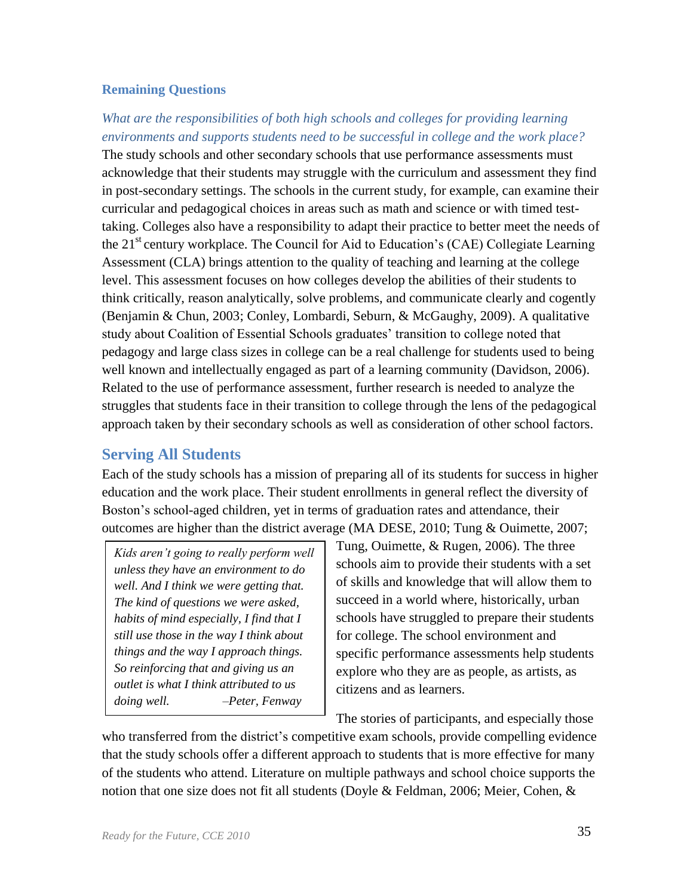#### **Remaining Questions**

*What are the responsibilities of both high schools and colleges for providing learning environments and supports students need to be successful in college and the work place?* The study schools and other secondary schools that use performance assessments must acknowledge that their students may struggle with the curriculum and assessment they find in post-secondary settings. The schools in the current study, for example, can examine their curricular and pedagogical choices in areas such as math and science or with timed testtaking. Colleges also have a responsibility to adapt their practice to better meet the needs of the 21<sup>st</sup> century workplace. The Council for Aid to Education's (CAE) Collegiate Learning Assessment (CLA) brings attention to the quality of teaching and learning at the college level. This assessment focuses on how colleges develop the abilities of their students to think critically, reason analytically, solve problems, and communicate clearly and cogently (Benjamin & Chun, 2003; Conley, Lombardi, Seburn, & McGaughy, 2009). A qualitative study about Coalition of Essential Schools graduates' transition to college noted that pedagogy and large class sizes in college can be a real challenge for students used to being well known and intellectually engaged as part of a learning community (Davidson, 2006). Related to the use of performance assessment, further research is needed to analyze the struggles that students face in their transition to college through the lens of the pedagogical approach taken by their secondary schools as well as consideration of other school factors.

# <span id="page-37-0"></span>**Serving All Students**

Each of the study schools has a mission of preparing all of its students for success in higher education and the work place. Their student enrollments in general reflect the diversity of Boston's school-aged children, yet in terms of graduation rates and attendance, their outcomes are higher than the district average (MA DESE, 2010; Tung & Ouimette, 2007;

*Kids aren't going to really perform well unless they have an environment to do well. And I think we were getting that. The kind of questions we were asked, habits of mind especially, I find that I still use those in the way I think about things and the way I approach things. So reinforcing that and giving us an outlet is what I think attributed to us doing well. –Peter, Fenway*

Tung, Ouimette, & Rugen, 2006). The three schools aim to provide their students with a set of skills and knowledge that will allow them to succeed in a world where, historically, urban schools have struggled to prepare their students for college. The school environment and specific performance assessments help students explore who they are as people, as artists, as citizens and as learners.

The stories of participants, and especially those

who transferred from the district's competitive exam schools, provide compelling evidence that the study schools offer a different approach to students that is more effective for many of the students who attend. Literature on multiple pathways and school choice supports the notion that one size does not fit all students (Doyle & Feldman, 2006; Meier, Cohen, &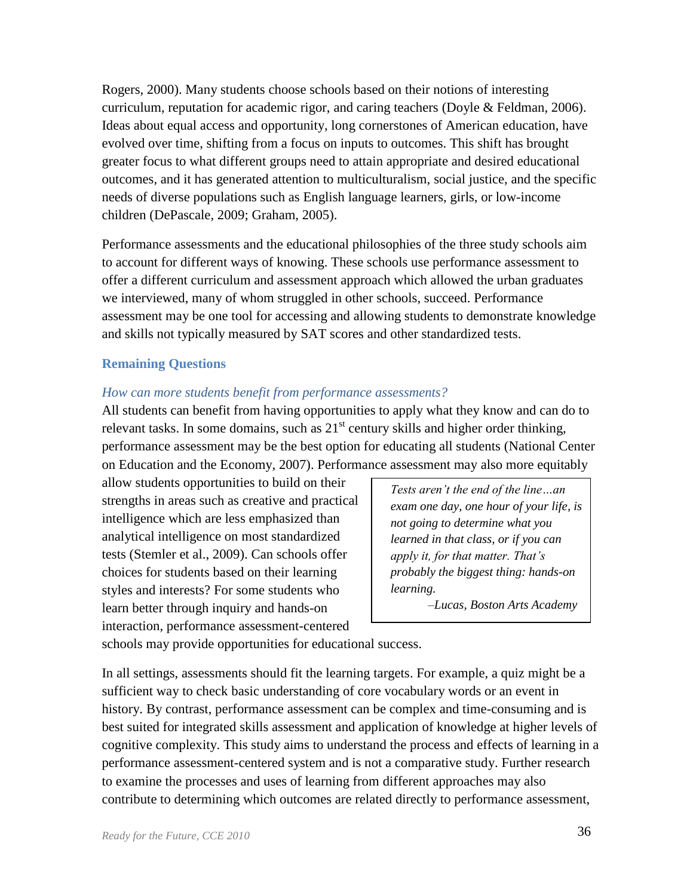Rogers, 2000). Many students choose schools based on their notions of interesting curriculum, reputation for academic rigor, and caring teachers (Doyle & Feldman, 2006). Ideas about equal access and opportunity, long cornerstones of American education, have evolved over time, shifting from a focus on inputs to outcomes. This shift has brought greater focus to what different groups need to attain appropriate and desired educational outcomes, and it has generated attention to multiculturalism, social justice, and the specific needs of diverse populations such as English language learners, girls, or low-income children (DePascale, 2009; Graham, 2005).

Performance assessments and the educational philosophies of the three study schools aim to account for different ways of knowing. These schools use performance assessment to offer a different curriculum and assessment approach which allowed the urban graduates we interviewed, many of whom struggled in other schools, succeed. Performance assessment may be one tool for accessing and allowing students to demonstrate knowledge and skills not typically measured by SAT scores and other standardized tests.

#### **Remaining Questions**

#### *How can more students benefit from performance assessments?*

All students can benefit from having opportunities to apply what they know and can do to relevant tasks. In some domains, such as  $21<sup>st</sup>$  century skills and higher order thinking, performance assessment may be the best option for educating all students (National Center on Education and the Economy, 2007). Performance assessment may also more equitably

allow students opportunities to build on their strengths in areas such as creative and practical intelligence which are less emphasized than analytical intelligence on most standardized tests (Stemler et al., 2009). Can schools offer choices for students based on their learning styles and interests? For some students who learn better through inquiry and hands-on interaction, performance assessment-centered

*Tests aren't the end of the line…an exam one day, one hour of your life, is not going to determine what you learned in that class, or if you can apply it, for that matter. That's probably the biggest thing: hands-on learning.* 

 *–Lucas, Boston Arts Academy* 

schools may provide opportunities for educational success.

In all settings, assessments should fit the learning targets. For example, a quiz might be a sufficient way to check basic understanding of core vocabulary words or an event in history. By contrast, performance assessment can be complex and time-consuming and is best suited for integrated skills assessment and application of knowledge at higher levels of cognitive complexity. This study aims to understand the process and effects of learning in a performance assessment-centered system and is not a comparative study. Further research to examine the processes and uses of learning from different approaches may also contribute to determining which outcomes are related directly to performance assessment,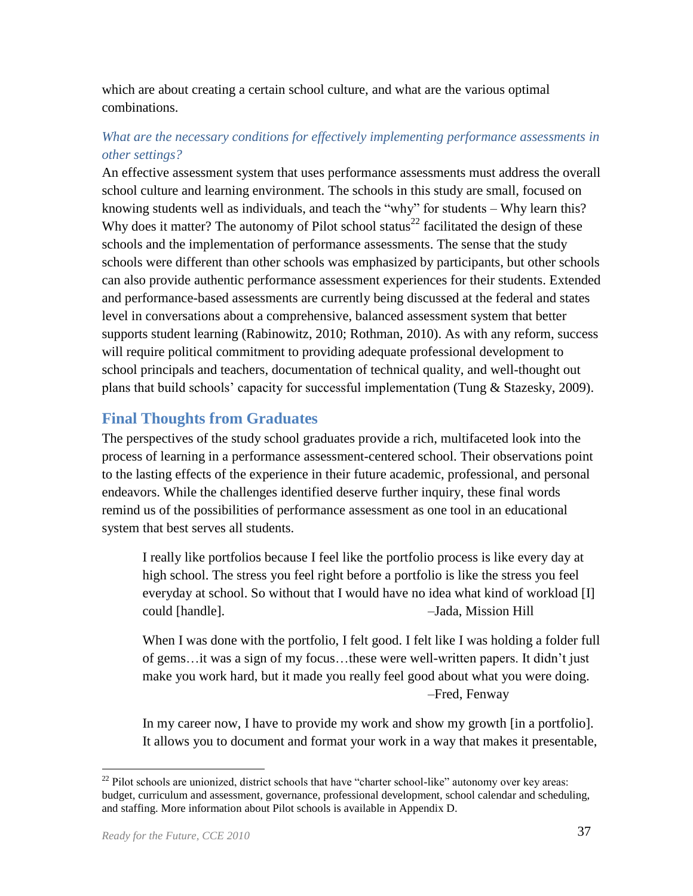which are about creating a certain school culture, and what are the various optimal combinations.

## *What are the necessary conditions for effectively implementing performance assessments in other settings?*

An effective assessment system that uses performance assessments must address the overall school culture and learning environment. The schools in this study are small, focused on knowing students well as individuals, and teach the "why" for students  $-$  Why learn this? Why does it matter? The autonomy of Pilot school status<sup>22</sup> facilitated the design of these schools and the implementation of performance assessments. The sense that the study schools were different than other schools was emphasized by participants, but other schools can also provide authentic performance assessment experiences for their students. Extended and performance-based assessments are currently being discussed at the federal and states level in conversations about a comprehensive, balanced assessment system that better supports student learning (Rabinowitz, 2010; Rothman, 2010). As with any reform, success will require political commitment to providing adequate professional development to school principals and teachers, documentation of technical quality, and well-thought out plans that build schools' capacity for successful implementation (Tung & Stazesky, 2009).

# <span id="page-39-0"></span>**Final Thoughts from Graduates**

The perspectives of the study school graduates provide a rich, multifaceted look into the process of learning in a performance assessment-centered school. Their observations point to the lasting effects of the experience in their future academic, professional, and personal endeavors. While the challenges identified deserve further inquiry, these final words remind us of the possibilities of performance assessment as one tool in an educational system that best serves all students.

I really like portfolios because I feel like the portfolio process is like every day at high school. The stress you feel right before a portfolio is like the stress you feel everyday at school. So without that I would have no idea what kind of workload [I] could [handle]. –Jada, Mission Hill

When I was done with the portfolio, I felt good. I felt like I was holding a folder full of gems…it was a sign of my focus…these were well-written papers. It didn't just make you work hard, but it made you really feel good about what you were doing. –Fred, Fenway

In my career now, I have to provide my work and show my growth [in a portfolio]. It allows you to document and format your work in a way that makes it presentable,

<sup>&</sup>lt;sup>22</sup> Pilot schools are unionized, district schools that have "charter school-like" autonomy over key areas: budget, curriculum and assessment, governance, professional development, school calendar and scheduling, and staffing. More information about Pilot schools is available in Appendix D.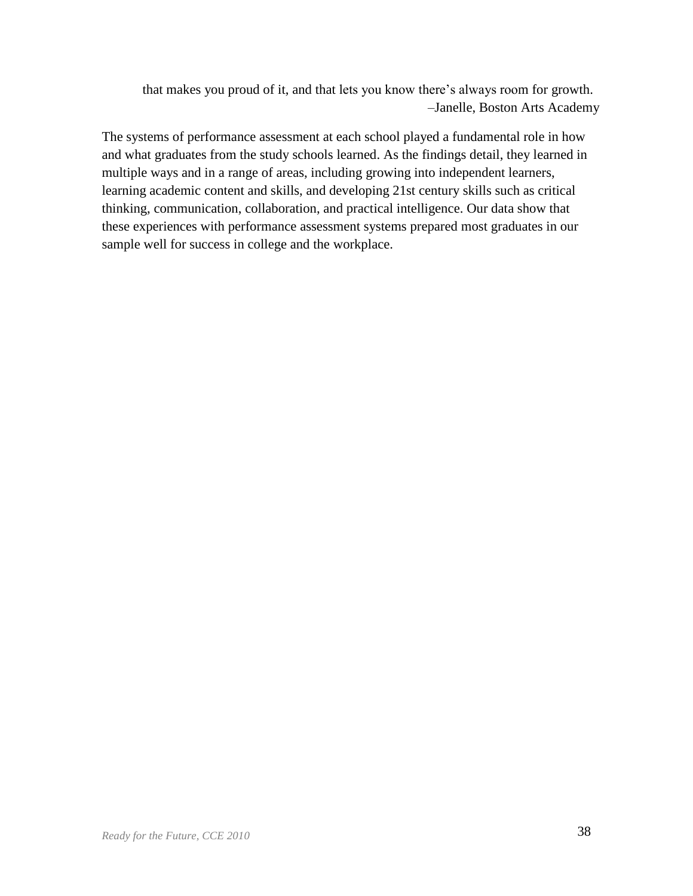that makes you proud of it, and that lets you know there's always room for growth. –Janelle, Boston Arts Academy

The systems of performance assessment at each school played a fundamental role in how and what graduates from the study schools learned. As the findings detail, they learned in multiple ways and in a range of areas, including growing into independent learners, learning academic content and skills, and developing 21st century skills such as critical thinking, communication, collaboration, and practical intelligence. Our data show that these experiences with performance assessment systems prepared most graduates in our sample well for success in college and the workplace.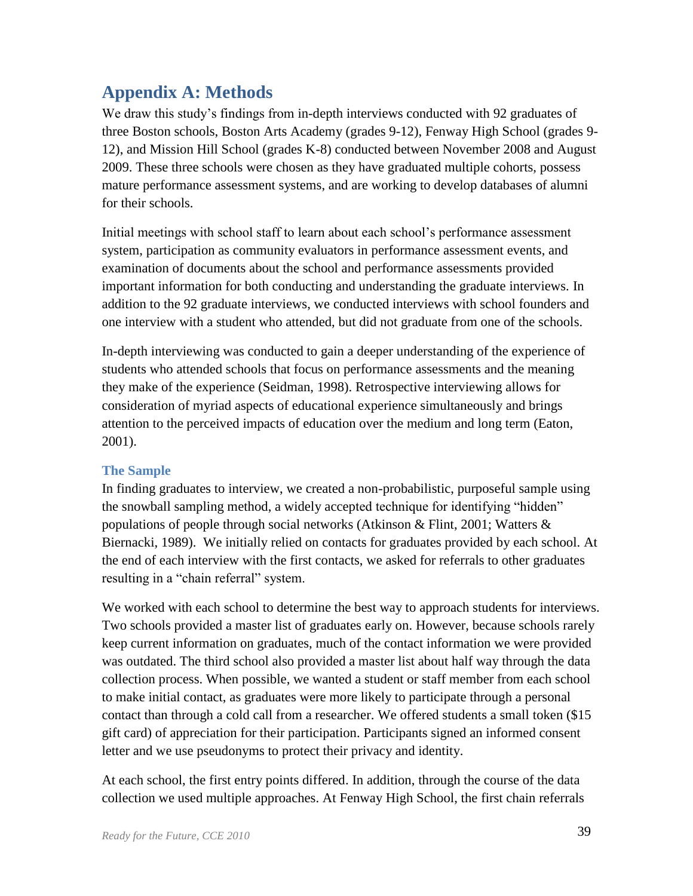# <span id="page-41-0"></span>**Appendix A: Methods**

We draw this study's findings from in-depth interviews conducted with 92 graduates of three Boston schools, Boston Arts Academy (grades 9-12), Fenway High School (grades 9- 12), and Mission Hill School (grades K-8) conducted between November 2008 and August 2009. These three schools were chosen as they have graduated multiple cohorts, possess mature performance assessment systems, and are working to develop databases of alumni for their schools.

Initial meetings with school staff to learn about each school's performance assessment system, participation as community evaluators in performance assessment events, and examination of documents about the school and performance assessments provided important information for both conducting and understanding the graduate interviews. In addition to the 92 graduate interviews, we conducted interviews with school founders and one interview with a student who attended, but did not graduate from one of the schools.

In-depth interviewing was conducted to gain a deeper understanding of the experience of students who attended schools that focus on performance assessments and the meaning they make of the experience (Seidman, 1998). Retrospective interviewing allows for consideration of myriad aspects of educational experience simultaneously and brings attention to the perceived impacts of education over the medium and long term (Eaton, 2001).

## **The Sample**

In finding graduates to interview, we created a non-probabilistic, purposeful sample using the snowball sampling method, a widely accepted technique for identifying "hidden" populations of people through social networks (Atkinson & Flint, 2001; Watters & Biernacki, 1989). We initially relied on contacts for graduates provided by each school. At the end of each interview with the first contacts, we asked for referrals to other graduates resulting in a "chain referral" system.

We worked with each school to determine the best way to approach students for interviews. Two schools provided a master list of graduates early on. However, because schools rarely keep current information on graduates, much of the contact information we were provided was outdated. The third school also provided a master list about half way through the data collection process. When possible, we wanted a student or staff member from each school to make initial contact, as graduates were more likely to participate through a personal contact than through a cold call from a researcher. We offered students a small token (\$15 gift card) of appreciation for their participation. Participants signed an informed consent letter and we use pseudonyms to protect their privacy and identity.

At each school, the first entry points differed. In addition, through the course of the data collection we used multiple approaches. At Fenway High School, the first chain referrals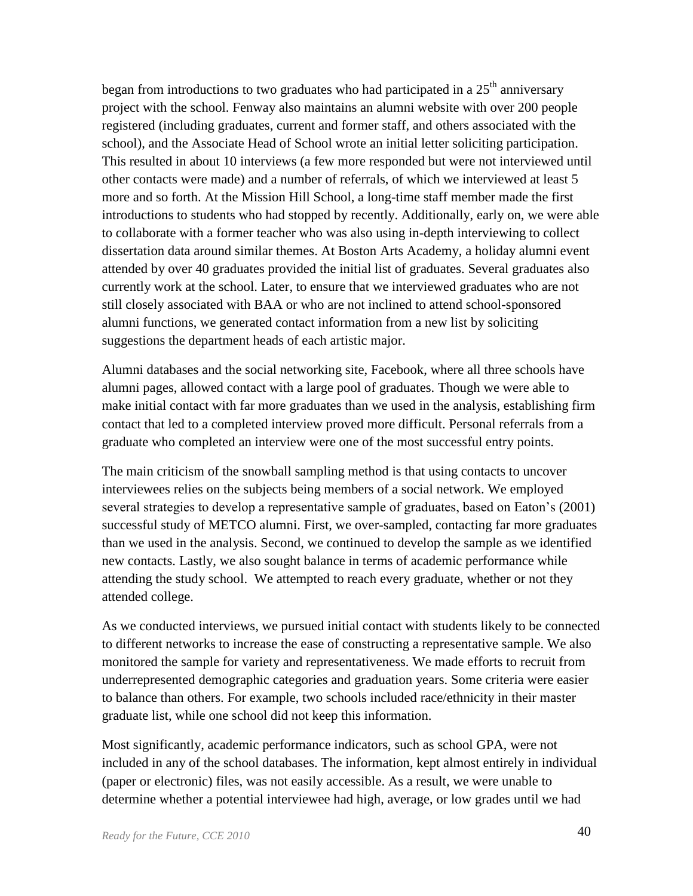began from introductions to two graduates who had participated in a  $25<sup>th</sup>$  anniversary project with the school. Fenway also maintains an alumni website with over 200 people registered (including graduates, current and former staff, and others associated with the school), and the Associate Head of School wrote an initial letter soliciting participation. This resulted in about 10 interviews (a few more responded but were not interviewed until other contacts were made) and a number of referrals, of which we interviewed at least 5 more and so forth. At the Mission Hill School, a long-time staff member made the first introductions to students who had stopped by recently. Additionally, early on, we were able to collaborate with a former teacher who was also using in-depth interviewing to collect dissertation data around similar themes. At Boston Arts Academy, a holiday alumni event attended by over 40 graduates provided the initial list of graduates. Several graduates also currently work at the school. Later, to ensure that we interviewed graduates who are not still closely associated with BAA or who are not inclined to attend school-sponsored alumni functions, we generated contact information from a new list by soliciting suggestions the department heads of each artistic major.

Alumni databases and the social networking site, Facebook, where all three schools have alumni pages, allowed contact with a large pool of graduates. Though we were able to make initial contact with far more graduates than we used in the analysis, establishing firm contact that led to a completed interview proved more difficult. Personal referrals from a graduate who completed an interview were one of the most successful entry points.

The main criticism of the snowball sampling method is that using contacts to uncover interviewees relies on the subjects being members of a social network. We employed several strategies to develop a representative sample of graduates, based on Eaton's (2001) successful study of METCO alumni. First, we over-sampled, contacting far more graduates than we used in the analysis. Second, we continued to develop the sample as we identified new contacts. Lastly, we also sought balance in terms of academic performance while attending the study school. We attempted to reach every graduate, whether or not they attended college.

As we conducted interviews, we pursued initial contact with students likely to be connected to different networks to increase the ease of constructing a representative sample. We also monitored the sample for variety and representativeness. We made efforts to recruit from underrepresented demographic categories and graduation years. Some criteria were easier to balance than others. For example, two schools included race/ethnicity in their master graduate list, while one school did not keep this information.

Most significantly, academic performance indicators, such as school GPA, were not included in any of the school databases. The information, kept almost entirely in individual (paper or electronic) files, was not easily accessible. As a result, we were unable to determine whether a potential interviewee had high, average, or low grades until we had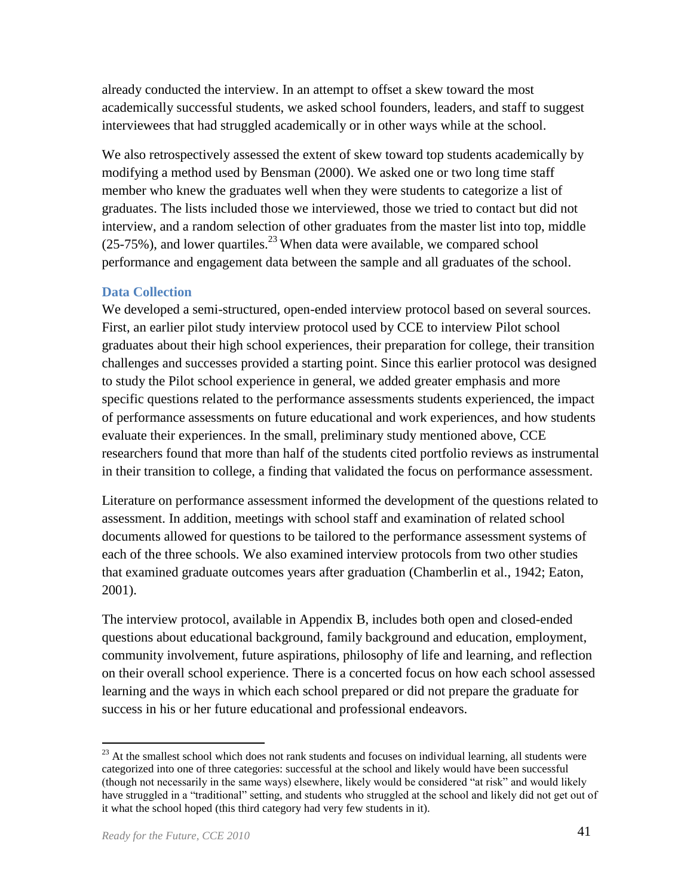already conducted the interview. In an attempt to offset a skew toward the most academically successful students, we asked school founders, leaders, and staff to suggest interviewees that had struggled academically or in other ways while at the school.

We also retrospectively assessed the extent of skew toward top students academically by modifying a method used by Bensman (2000). We asked one or two long time staff member who knew the graduates well when they were students to categorize a list of graduates. The lists included those we interviewed, those we tried to contact but did not interview, and a random selection of other graduates from the master list into top, middle  $(25-75%)$ , and lower quartiles.<sup>23</sup> When data were available, we compared school performance and engagement data between the sample and all graduates of the school.

#### **Data Collection**

We developed a semi-structured, open-ended interview protocol based on several sources. First, an earlier pilot study interview protocol used by CCE to interview Pilot school graduates about their high school experiences, their preparation for college, their transition challenges and successes provided a starting point. Since this earlier protocol was designed to study the Pilot school experience in general, we added greater emphasis and more specific questions related to the performance assessments students experienced, the impact of performance assessments on future educational and work experiences, and how students evaluate their experiences. In the small, preliminary study mentioned above, CCE researchers found that more than half of the students cited portfolio reviews as instrumental in their transition to college, a finding that validated the focus on performance assessment.

Literature on performance assessment informed the development of the questions related to assessment. In addition, meetings with school staff and examination of related school documents allowed for questions to be tailored to the performance assessment systems of each of the three schools. We also examined interview protocols from two other studies that examined graduate outcomes years after graduation (Chamberlin et al., 1942; Eaton, 2001).

The interview protocol, available in Appendix B, includes both open and closed-ended questions about educational background, family background and education, employment, community involvement, future aspirations, philosophy of life and learning, and reflection on their overall school experience. There is a concerted focus on how each school assessed learning and the ways in which each school prepared or did not prepare the graduate for success in his or her future educational and professional endeavors.

 $2<sup>23</sup>$  At the smallest school which does not rank students and focuses on individual learning, all students were categorized into one of three categories: successful at the school and likely would have been successful (though not necessarily in the same ways) elsewhere, likely would be considered "at risk" and would likely have struggled in a "traditional" setting, and students who struggled at the school and likely did not get out of it what the school hoped (this third category had very few students in it).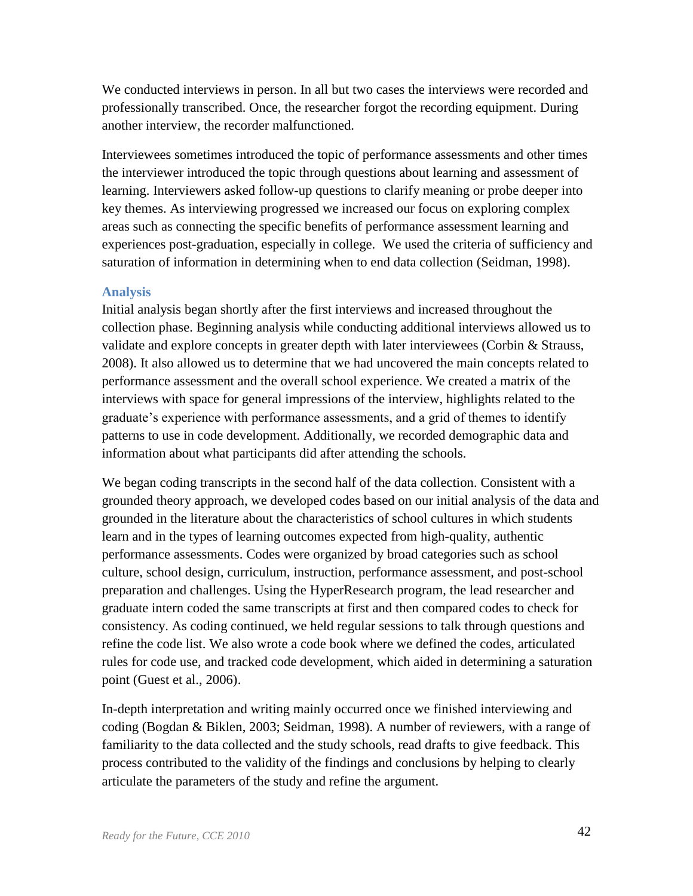We conducted interviews in person. In all but two cases the interviews were recorded and professionally transcribed. Once, the researcher forgot the recording equipment. During another interview, the recorder malfunctioned.

Interviewees sometimes introduced the topic of performance assessments and other times the interviewer introduced the topic through questions about learning and assessment of learning. Interviewers asked follow-up questions to clarify meaning or probe deeper into key themes. As interviewing progressed we increased our focus on exploring complex areas such as connecting the specific benefits of performance assessment learning and experiences post-graduation, especially in college. We used the criteria of sufficiency and saturation of information in determining when to end data collection (Seidman, 1998).

#### **Analysis**

Initial analysis began shortly after the first interviews and increased throughout the collection phase. Beginning analysis while conducting additional interviews allowed us to validate and explore concepts in greater depth with later interviewees (Corbin & Strauss, 2008). It also allowed us to determine that we had uncovered the main concepts related to performance assessment and the overall school experience. We created a matrix of the interviews with space for general impressions of the interview, highlights related to the graduate's experience with performance assessments, and a grid of themes to identify patterns to use in code development. Additionally, we recorded demographic data and information about what participants did after attending the schools.

We began coding transcripts in the second half of the data collection. Consistent with a grounded theory approach, we developed codes based on our initial analysis of the data and grounded in the literature about the characteristics of school cultures in which students learn and in the types of learning outcomes expected from high-quality, authentic performance assessments. Codes were organized by broad categories such as school culture, school design, curriculum, instruction, performance assessment, and post-school preparation and challenges. Using the HyperResearch program, the lead researcher and graduate intern coded the same transcripts at first and then compared codes to check for consistency. As coding continued, we held regular sessions to talk through questions and refine the code list. We also wrote a code book where we defined the codes, articulated rules for code use, and tracked code development, which aided in determining a saturation point (Guest et al., 2006).

In-depth interpretation and writing mainly occurred once we finished interviewing and coding (Bogdan & Biklen, 2003; Seidman, 1998). A number of reviewers, with a range of familiarity to the data collected and the study schools, read drafts to give feedback. This process contributed to the validity of the findings and conclusions by helping to clearly articulate the parameters of the study and refine the argument.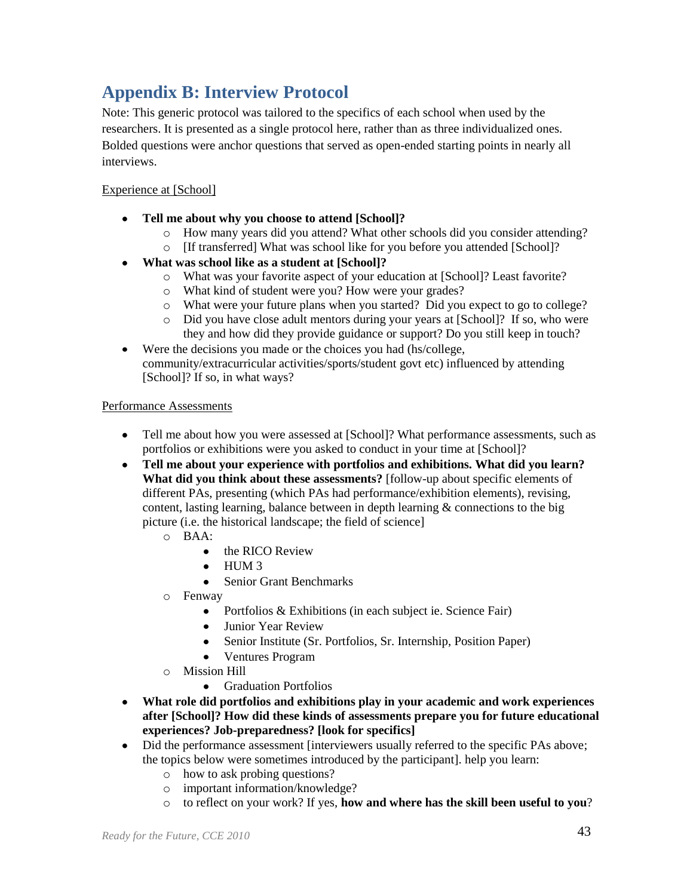# <span id="page-45-0"></span>**Appendix B: Interview Protocol**

Note: This generic protocol was tailored to the specifics of each school when used by the researchers. It is presented as a single protocol here, rather than as three individualized ones. Bolded questions were anchor questions that served as open-ended starting points in nearly all interviews.

#### Experience at [School]

- **Tell me about why you choose to attend [School]?**   $\bullet$ 
	- o How many years did you attend? What other schools did you consider attending?
	- o [If transferred] What was school like for you before you attended [School]?
- **What was school like as a student at [School]?**
	- o What was your favorite aspect of your education at [School]? Least favorite?
	- o What kind of student were you? How were your grades?
	- o What were your future plans when you started? Did you expect to go to college?
	- o Did you have close adult mentors during your years at [School]? If so, who were they and how did they provide guidance or support? Do you still keep in touch?
- Were the decisions you made or the choices you had (hs/college,  $\bullet$ community/extracurricular activities/sports/student govt etc) influenced by attending [School]? If so, in what ways?

#### Performance Assessments

- Tell me about how you were assessed at [School]? What performance assessments, such as portfolios or exhibitions were you asked to conduct in your time at [School]?
- **Tell me about your experience with portfolios and exhibitions. What did you learn? What did you think about these assessments?** [follow-up about specific elements of different PAs, presenting (which PAs had performance/exhibition elements), revising, content, lasting learning, balance between in depth learning  $\&$  connections to the big picture (i.e. the historical landscape; the field of science]
	- o BAA:
		- the RICO Review
		- $\bullet$  HUM 3
		- Senior Grant Benchmarks  $\bullet$
	- o Fenway
		- Portfolios & Exhibitions (in each subject ie. Science Fair)
		- Junior Year Review
		- Senior Institute (Sr. Portfolios, Sr. Internship, Position Paper)
		- Ventures Program
	- o Mission Hill
		- Graduation Portfolios
- **What role did portfolios and exhibitions play in your academic and work experiences after [School]? How did these kinds of assessments prepare you for future educational experiences? Job-preparedness? [look for specifics]**
- Did the performance assessment [interviewers usually referred to the specific PAs above; the topics below were sometimes introduced by the participant]. help you learn:
	- o how to ask probing questions?
	- o important information/knowledge?
	- o to reflect on your work? If yes, **how and where has the skill been useful to you**?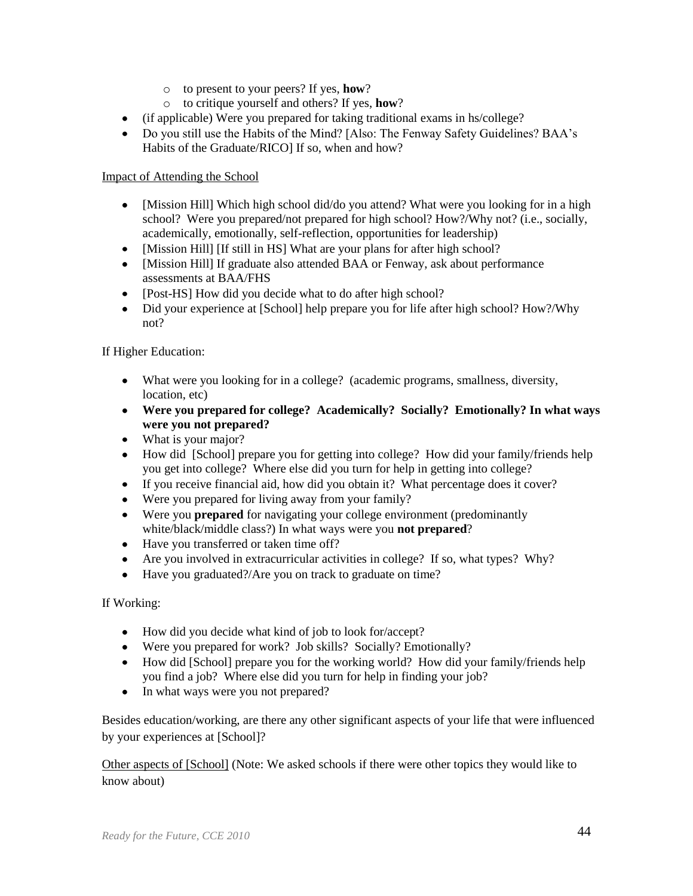- o to present to your peers? If yes, **how**?
- o to critique yourself and others? If yes, **how**?
- (if applicable) Were you prepared for taking traditional exams in hs/college?
- Do you still use the Habits of the Mind? [Also: The Fenway Safety Guidelines? BAA's Habits of the Graduate/RICO] If so, when and how?

#### Impact of Attending the School

- [Mission Hill] Which high school did/do you attend? What were you looking for in a high school? Were you prepared/not prepared for high school? How?/Why not? (i.e., socially, academically, emotionally, self-reflection, opportunities for leadership)
- [Mission Hill] [If still in HS] What are your plans for after high school?
- [Mission Hill] If graduate also attended BAA or Fenway, ask about performance assessments at BAA/FHS
- [Post-HS] How did you decide what to do after high school?
- Did your experience at [School] help prepare you for life after high school? How?/Why not?

#### If Higher Education:

- What were you looking for in a college? (academic programs, smallness, diversity, location, etc)
- **Were you prepared for college? Academically? Socially? Emotionally? In what ways were you not prepared?**
- What is your major?
- How did [School] prepare you for getting into college? How did your family/friends help you get into college? Where else did you turn for help in getting into college?
- If you receive financial aid, how did you obtain it? What percentage does it cover?
- Were you prepared for living away from your family?
- Were you **prepared** for navigating your college environment (predominantly white/black/middle class?) In what ways were you **not prepared**?
- Have you transferred or taken time off?
- Are you involved in extracurricular activities in college? If so, what types? Why?
- Have you graduated?/Are you on track to graduate on time?

#### If Working:

- How did you decide what kind of job to look for/accept?
- Were you prepared for work? Job skills? Socially? Emotionally?
- How did [School] prepare you for the working world? How did your family/friends help you find a job? Where else did you turn for help in finding your job?
- In what ways were you not prepared?

Besides education/working, are there any other significant aspects of your life that were influenced by your experiences at [School]?

Other aspects of [School] (Note: We asked schools if there were other topics they would like to know about)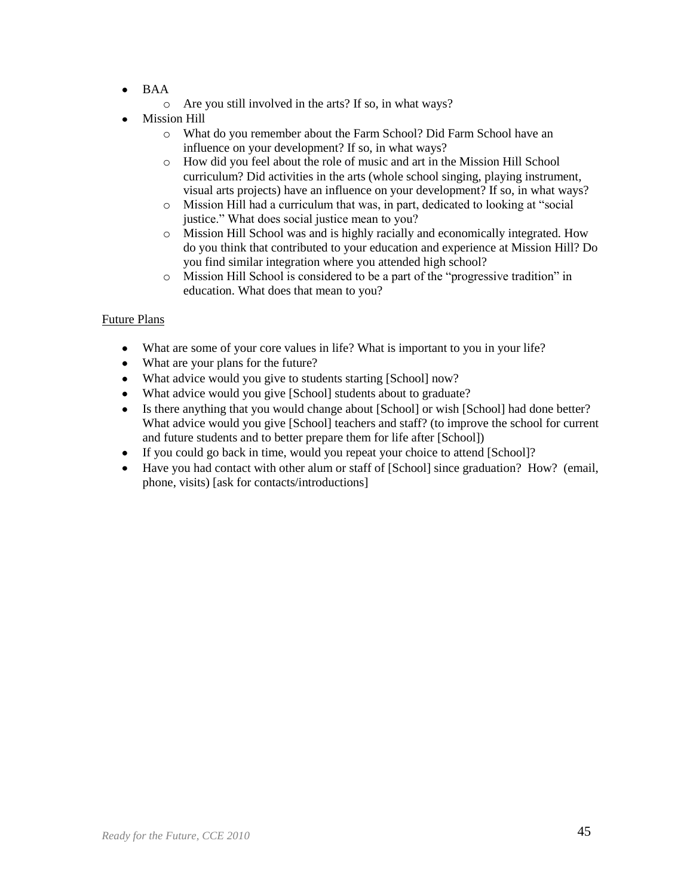- BAA  $\bullet$ 
	- o Are you still involved in the arts? If so, in what ways?
- Mission Hill
	- o What do you remember about the Farm School? Did Farm School have an influence on your development? If so, in what ways?
	- o How did you feel about the role of music and art in the Mission Hill School curriculum? Did activities in the arts (whole school singing, playing instrument, visual arts projects) have an influence on your development? If so, in what ways?
	- o Mission Hill had a curriculum that was, in part, dedicated to looking at "social" justice." What does social justice mean to you?
	- o Mission Hill School was and is highly racially and economically integrated. How do you think that contributed to your education and experience at Mission Hill? Do you find similar integration where you attended high school?
	- o Mission Hill School is considered to be a part of the "progressive tradition" in education. What does that mean to you?

#### Future Plans

- What are some of your core values in life? What is important to you in your life?
- What are your plans for the future?
- What advice would you give to students starting [School] now?
- What advice would you give [School] students about to graduate?
- Is there anything that you would change about [School] or wish [School] had done better? What advice would you give [School] teachers and staff? (to improve the school for current and future students and to better prepare them for life after [School])
- If you could go back in time, would you repeat your choice to attend [School]?
- Have you had contact with other alum or staff of [School] since graduation? How? (email, phone, visits) [ask for contacts/introductions]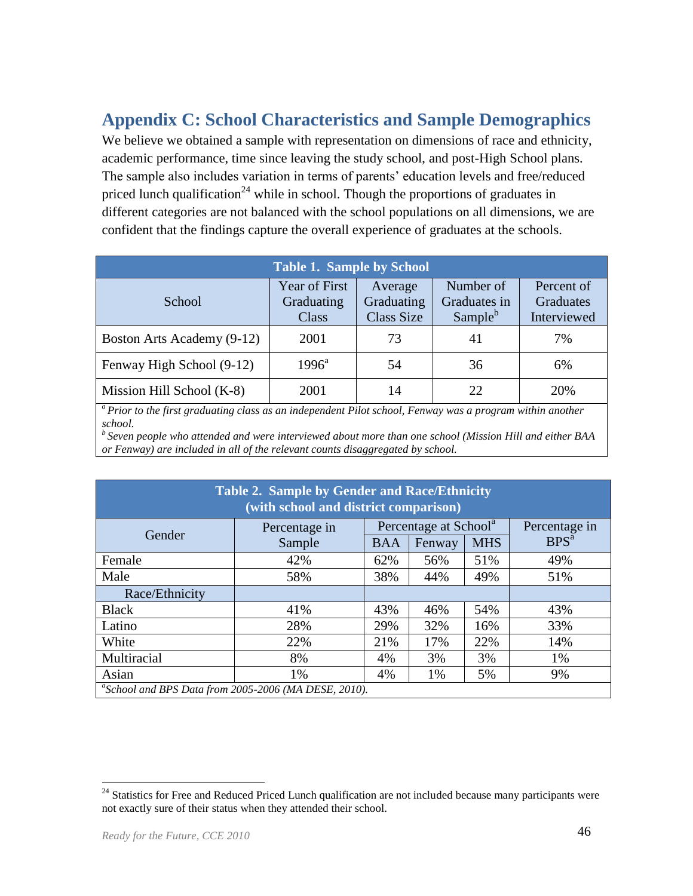# <span id="page-48-0"></span>**Appendix C: School Characteristics and Sample Demographics**

We believe we obtained a sample with representation on dimensions of race and ethnicity, academic performance, time since leaving the study school, and post-High School plans. The sample also includes variation in terms of parents' education levels and free/reduced priced lunch qualification<sup>24</sup> while in school. Though the proportions of graduates in different categories are not balanced with the school populations on all dimensions, we are confident that the findings capture the overall experience of graduates at the schools.

| <b>Table 1. Sample by School</b> |                                             |                                            |                                                  |                                        |  |  |  |
|----------------------------------|---------------------------------------------|--------------------------------------------|--------------------------------------------------|----------------------------------------|--|--|--|
| School                           | <b>Year of First</b><br>Graduating<br>Class | Average<br>Graduating<br><b>Class Size</b> | Number of<br>Graduates in<br>Sample <sup>b</sup> | Percent of<br>Graduates<br>Interviewed |  |  |  |
| Boston Arts Academy (9-12)       | 2001                                        | 73                                         | 41                                               | 7%                                     |  |  |  |
| Fenway High School (9-12)        | $1996^{\rm a}$                              | 54                                         | 36                                               | 6%                                     |  |  |  |
| Mission Hill School (K-8)        | 2001                                        | 14                                         | 22.                                              | 20%                                    |  |  |  |

*<sup>a</sup>Prior to the first graduating class as an independent Pilot school, Fenway was a program within another school.*

*<sup>b</sup>Seven people who attended and were interviewed about more than one school (Mission Hill and either BAA or Fenway) are included in all of the relevant counts disaggregated by school.*

| Table 2. Sample by Gender and Race/Ethnicity<br>(with school and district comparison) |               |                                   |        |            |                  |
|---------------------------------------------------------------------------------------|---------------|-----------------------------------|--------|------------|------------------|
| Gender                                                                                | Percentage in | Percentage at School <sup>a</sup> |        |            | Percentage in    |
|                                                                                       | Sample        | <b>BAA</b>                        | Fenway | <b>MHS</b> | BPS <sup>a</sup> |
| Female                                                                                | 42%           | 62%                               | 56%    | 51%        | 49%              |
| Male                                                                                  | 58%           | 38%                               | 44%    | 49%        | 51%              |
| Race/Ethnicity                                                                        |               |                                   |        |            |                  |
| <b>Black</b>                                                                          | 41%           | 43%                               | 46%    | 54%        | 43%              |
| Latino                                                                                | 28%           | 29%                               | 32%    | 16%        | 33%              |
| White                                                                                 | 22%           | 21%                               | 17%    | 22%        | 14%              |
| Multiracial                                                                           | 8%            | 4%                                | 3%     | 3%         | 1%               |
| Asian                                                                                 | 1%            | 4%                                | 1%     | 5%         | 9%               |
| "School and BPS Data from 2005-2006 (MA DESE, 2010).                                  |               |                                   |        |            |                  |

<sup>&</sup>lt;sup>24</sup> Statistics for Free and Reduced Priced Lunch qualification are not included because many participants were not exactly sure of their status when they attended their school.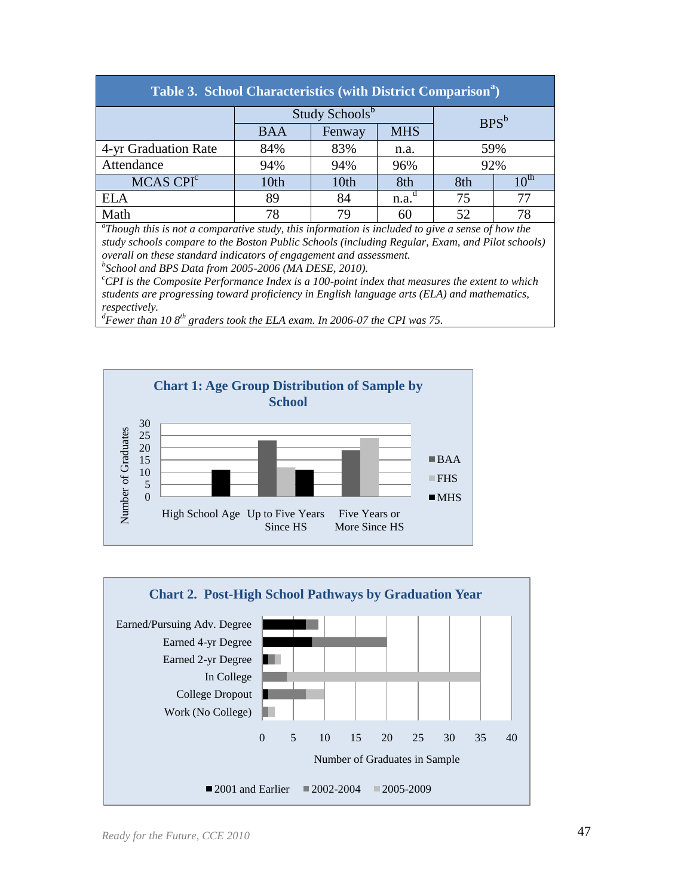| Table 3. School Characteristics (with District Comparison <sup>a</sup> ) |            |        |                   |         |                  |  |
|--------------------------------------------------------------------------|------------|--------|-------------------|---------|------------------|--|
| Study Schools <sup>b</sup>                                               |            |        |                   | $BPS^b$ |                  |  |
|                                                                          | <b>BAA</b> | Fenway | <b>MHS</b>        |         |                  |  |
| 4-yr Graduation Rate                                                     | 84%        | 83%    | n.a.              | 59%     |                  |  |
| Attendance                                                               | 94%        | 94%    | 96%               | 92%     |                  |  |
| MCAS CPI <sup>c</sup>                                                    | 10th       | 10th   | 8th               | 8th     | 10 <sup>th</sup> |  |
| <b>ELA</b>                                                               | 89         | 84     | n.a. <sup>d</sup> | 75      | 77               |  |
| Math                                                                     | 78         | 79     | 60                | 52      | 78               |  |

*a Though this is not a comparative study, this information is included to give a sense of how the study schools compare to the Boston Public Schools (including Regular, Exam, and Pilot schools) overall on these standard indicators of engagement and assessment.*

*b School and BPS Data from 2005-2006 (MA DESE, 2010).*

*<sup>c</sup>CPI is the Composite Performance Index is a 100-point index that measures the extent to which students are progressing toward proficiency in English language arts (ELA) and mathematics, respectively.*

**Chart 1: Age Group Distribution of Sample by School** 30 Number of Graduates Number of Graduates 25 20 BAA 15 10  $\blacksquare$  FHS 5 0  $\blacksquare$  MHS High School Age Up to Five Years Five Years or Since HS More Since HS

0 5 10 15 20 25 30 35 40 Work (No College) College Dropout In College Earned 2-yr Degree Earned 4-yr Degree Earned/Pursuing Adv. Degree Number of Graduates in Sample **Chart 2. Post-High School Pathways by Graduation Year** 

2001 and Earlier 2002-2004 2005-2009

*<sup>d</sup>Fewer than 10 8th graders took the ELA exam. In 2006-07 the CPI was 75.*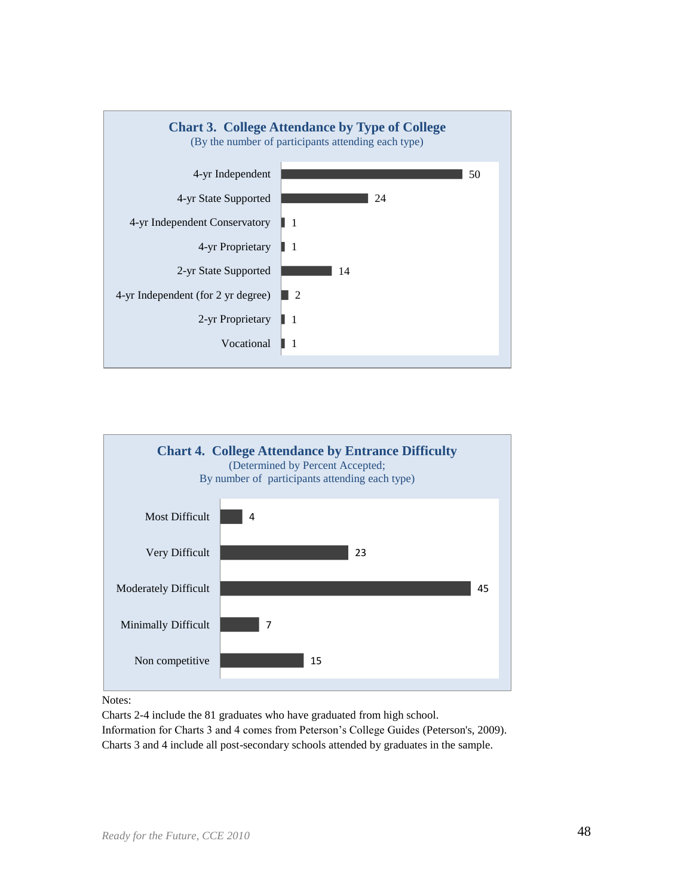



Notes:

Charts 2-4 include the 81 graduates who have graduated from high school.

Information for Charts 3 and 4 comes from Peterson's College Guides (Peterson's, 2009). Charts 3 and 4 include all post-secondary schools attended by graduates in the sample.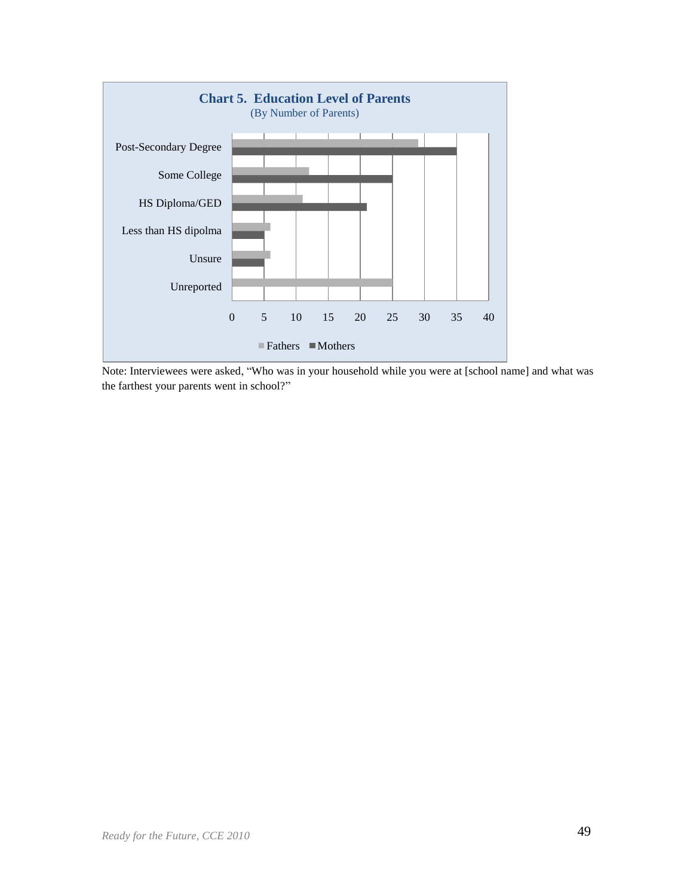

Note: Interviewees were asked, "Who was in your household while you were at [school name] and what was the farthest your parents went in school?"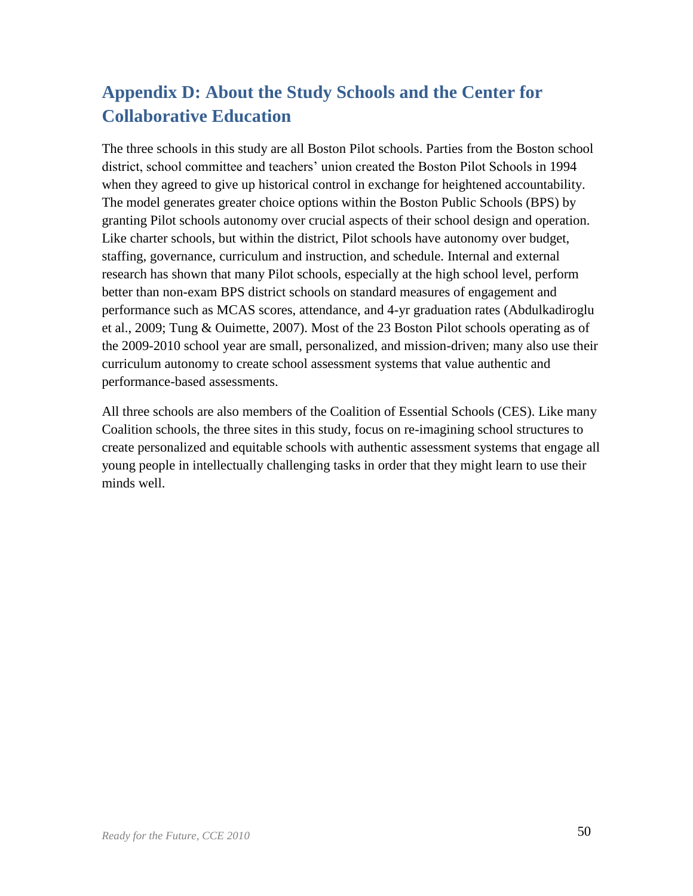# <span id="page-52-0"></span>**Appendix D: About the Study Schools and the Center for Collaborative Education**

The three schools in this study are all Boston Pilot schools. Parties from the Boston school district, school committee and teachers' union created the Boston Pilot Schools in 1994 when they agreed to give up historical control in exchange for heightened accountability. The model generates greater choice options within the Boston Public Schools (BPS) by granting Pilot schools autonomy over crucial aspects of their school design and operation. Like charter schools, but within the district, Pilot schools have autonomy over budget, staffing, governance, curriculum and instruction, and schedule. Internal and external research has shown that many Pilot schools, especially at the high school level, perform better than non-exam BPS district schools on standard measures of engagement and performance such as MCAS scores, attendance, and 4-yr graduation rates (Abdulkadiroglu et al., 2009; Tung & Ouimette, 2007). Most of the 23 Boston Pilot schools operating as of the 2009-2010 school year are small, personalized, and mission-driven; many also use their curriculum autonomy to create school assessment systems that value authentic and performance-based assessments.

All three schools are also members of the Coalition of Essential Schools (CES). Like many Coalition schools, the three sites in this study, focus on re-imagining school structures to create personalized and equitable schools with authentic assessment systems that engage all young people in intellectually challenging tasks in order that they might learn to use their minds well.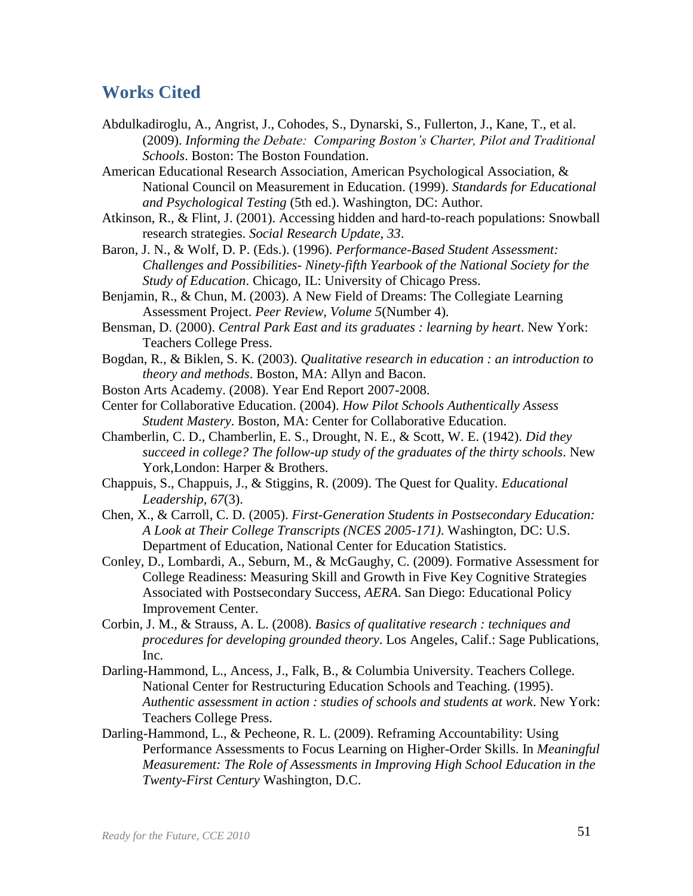# <span id="page-53-0"></span>**Works Cited**

- Abdulkadiroglu, A., Angrist, J., Cohodes, S., Dynarski, S., Fullerton, J., Kane, T., et al. (2009). *Informing the Debate: Comparing Boston's Charter, Pilot and Traditional Schools*. Boston: The Boston Foundation.
- American Educational Research Association, American Psychological Association, & National Council on Measurement in Education. (1999). *Standards for Educational and Psychological Testing* (5th ed.). Washington, DC: Author.
- Atkinson, R., & Flint, J. (2001). Accessing hidden and hard-to-reach populations: Snowball research strategies. *Social Research Update, 33*.
- Baron, J. N., & Wolf, D. P. (Eds.). (1996). *Performance-Based Student Assessment: Challenges and Possibilities- Ninety-fifth Yearbook of the National Society for the Study of Education*. Chicago, IL: University of Chicago Press.
- Benjamin, R., & Chun, M. (2003). A New Field of Dreams: The Collegiate Learning Assessment Project. *Peer Review, Volume 5*(Number 4).
- Bensman, D. (2000). *Central Park East and its graduates : learning by heart*. New York: Teachers College Press.
- Bogdan, R., & Biklen, S. K. (2003). *Qualitative research in education : an introduction to theory and methods*. Boston, MA: Allyn and Bacon.
- Boston Arts Academy. (2008). Year End Report 2007-2008.
- Center for Collaborative Education. (2004). *How Pilot Schools Authentically Assess Student Mastery*. Boston, MA: Center for Collaborative Education.
- Chamberlin, C. D., Chamberlin, E. S., Drought, N. E., & Scott, W. E. (1942). *Did they succeed in college? The follow-up study of the graduates of the thirty schools*. New York, London: Harper & Brothers.
- Chappuis, S., Chappuis, J., & Stiggins, R. (2009). The Quest for Quality. *Educational Leadership, 67*(3).
- Chen, X., & Carroll, C. D. (2005). *First-Generation Students in Postsecondary Education: A Look at Their College Transcripts (NCES 2005-171)*. Washington, DC: U.S. Department of Education, National Center for Education Statistics.
- Conley, D., Lombardi, A., Seburn, M., & McGaughy, C. (2009). Formative Assessment for College Readiness: Measuring Skill and Growth in Five Key Cognitive Strategies Associated with Postsecondary Success, *AERA*. San Diego: Educational Policy Improvement Center.
- Corbin, J. M., & Strauss, A. L. (2008). *Basics of qualitative research : techniques and procedures for developing grounded theory*. Los Angeles, Calif.: Sage Publications, Inc.
- Darling-Hammond, L., Ancess, J., Falk, B., & Columbia University. Teachers College. National Center for Restructuring Education Schools and Teaching. (1995). *Authentic assessment in action : studies of schools and students at work*. New York: Teachers College Press.
- Darling-Hammond, L., & Pecheone, R. L. (2009). Reframing Accountability: Using Performance Assessments to Focus Learning on Higher-Order Skills. In *Meaningful Measurement: The Role of Assessments in Improving High School Education in the Twenty-First Century* Washington, D.C.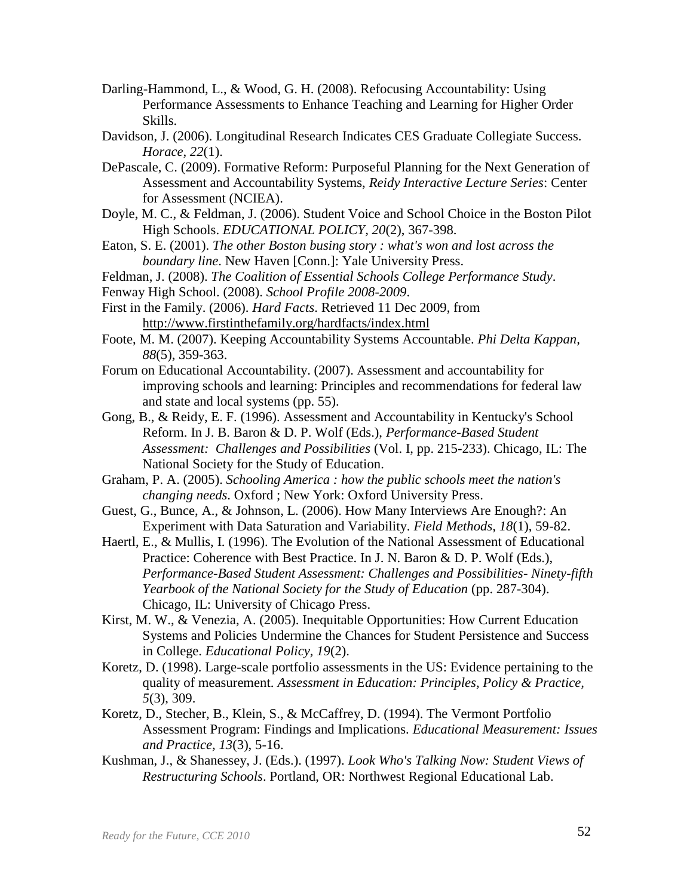- Darling-Hammond, L., & Wood, G. H. (2008). Refocusing Accountability: Using Performance Assessments to Enhance Teaching and Learning for Higher Order Skills.
- Davidson, J. (2006). Longitudinal Research Indicates CES Graduate Collegiate Success. *Horace, 22*(1).
- DePascale, C. (2009). Formative Reform: Purposeful Planning for the Next Generation of Assessment and Accountability Systems, *Reidy Interactive Lecture Series*: Center for Assessment (NCIEA).
- Doyle, M. C., & Feldman, J. (2006). Student Voice and School Choice in the Boston Pilot High Schools. *EDUCATIONAL POLICY, 20*(2), 367-398.
- Eaton, S. E. (2001). *The other Boston busing story : what's won and lost across the boundary line*. New Haven [Conn.]: Yale University Press.
- Feldman, J. (2008). *The Coalition of Essential Schools College Performance Study*.
- Fenway High School. (2008). *School Profile 2008-2009*.
- First in the Family. (2006). *Hard Facts*. Retrieved 11 Dec 2009, from <http://www.firstinthefamily.org/hardfacts/index.html>
- Foote, M. M. (2007). Keeping Accountability Systems Accountable. *Phi Delta Kappan, 88*(5), 359-363.
- Forum on Educational Accountability. (2007). Assessment and accountability for improving schools and learning: Principles and recommendations for federal law and state and local systems (pp. 55).
- Gong, B., & Reidy, E. F. (1996). Assessment and Accountability in Kentucky's School Reform. In J. B. Baron & D. P. Wolf (Eds.), *Performance-Based Student Assessment: Challenges and Possibilities* (Vol. I, pp. 215-233). Chicago, IL: The National Society for the Study of Education.
- Graham, P. A. (2005). *Schooling America : how the public schools meet the nation's changing needs*. Oxford ; New York: Oxford University Press.
- Guest, G., Bunce, A., & Johnson, L. (2006). How Many Interviews Are Enough?: An Experiment with Data Saturation and Variability. *Field Methods, 18*(1), 59-82.
- Haertl, E., & Mullis, I. (1996). The Evolution of the National Assessment of Educational Practice: Coherence with Best Practice. In J. N. Baron & D. P. Wolf (Eds.), *Performance-Based Student Assessment: Challenges and Possibilities- Ninety-fifth Yearbook of the National Society for the Study of Education* (pp. 287-304). Chicago, IL: University of Chicago Press.
- Kirst, M. W., & Venezia, A. (2005). Inequitable Opportunities: How Current Education Systems and Policies Undermine the Chances for Student Persistence and Success in College. *Educational Policy, 19*(2).
- Koretz, D. (1998). Large-scale portfolio assessments in the US: Evidence pertaining to the quality of measurement. *Assessment in Education: Principles, Policy & Practice, 5*(3), 309.
- Koretz, D., Stecher, B., Klein, S., & McCaffrey, D. (1994). The Vermont Portfolio Assessment Program: Findings and Implications. *Educational Measurement: Issues and Practice, 13*(3), 5-16.
- Kushman, J., & Shanessey, J. (Eds.). (1997). *Look Who's Talking Now: Student Views of Restructuring Schools*. Portland, OR: Northwest Regional Educational Lab.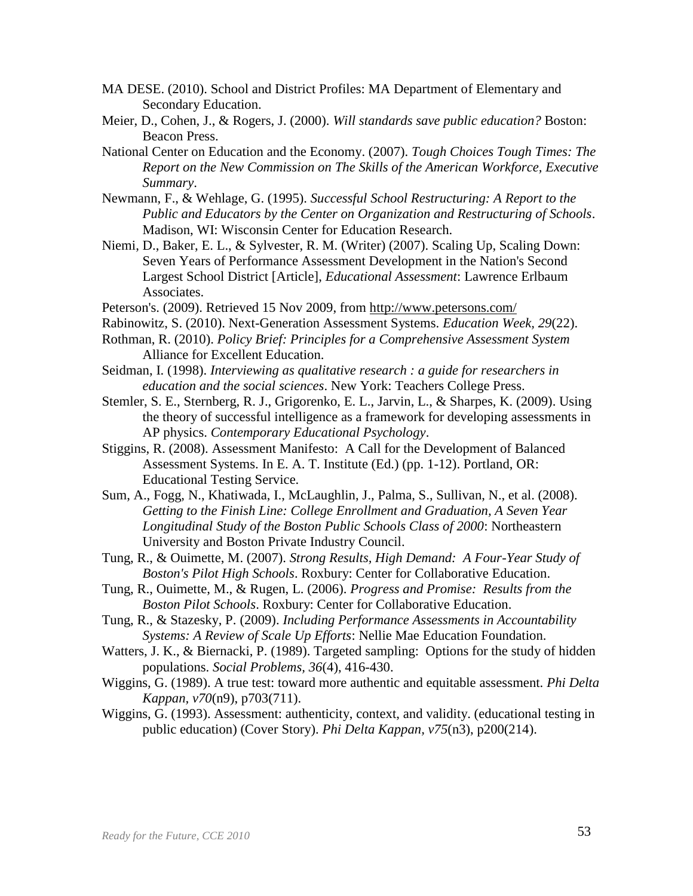- MA DESE. (2010). School and District Profiles: MA Department of Elementary and Secondary Education.
- Meier, D., Cohen, J., & Rogers, J. (2000). *Will standards save public education?* Boston: Beacon Press.
- National Center on Education and the Economy. (2007). *Tough Choices Tough Times: The Report on the New Commission on The Skills of the American Workforce, Executive Summary*.
- Newmann, F., & Wehlage, G. (1995). *Successful School Restructuring: A Report to the Public and Educators by the Center on Organization and Restructuring of Schools*. Madison, WI: Wisconsin Center for Education Research.
- Niemi, D., Baker, E. L., & Sylvester, R. M. (Writer) (2007). Scaling Up, Scaling Down: Seven Years of Performance Assessment Development in the Nation's Second Largest School District [Article], *Educational Assessment*: Lawrence Erlbaum Associates.
- Peterson's. (2009). Retrieved 15 Nov 2009, from<http://www.petersons.com/>
- Rabinowitz, S. (2010). Next-Generation Assessment Systems. *Education Week, 29*(22).
- Rothman, R. (2010). *Policy Brief: Principles for a Comprehensive Assessment System*  Alliance for Excellent Education.
- Seidman, I. (1998). *Interviewing as qualitative research : a guide for researchers in education and the social sciences*. New York: Teachers College Press.
- Stemler, S. E., Sternberg, R. J., Grigorenko, E. L., Jarvin, L., & Sharpes, K. (2009). Using the theory of successful intelligence as a framework for developing assessments in AP physics. *Contemporary Educational Psychology*.
- Stiggins, R. (2008). Assessment Manifesto: A Call for the Development of Balanced Assessment Systems. In E. A. T. Institute (Ed.) (pp. 1-12). Portland, OR: Educational Testing Service.
- Sum, A., Fogg, N., Khatiwada, I., McLaughlin, J., Palma, S., Sullivan, N., et al. (2008). *Getting to the Finish Line: College Enrollment and Graduation, A Seven Year Longitudinal Study of the Boston Public Schools Class of 2000*: Northeastern University and Boston Private Industry Council.
- Tung, R., & Ouimette, M. (2007). *Strong Results, High Demand: A Four-Year Study of Boston's Pilot High Schools*. Roxbury: Center for Collaborative Education.
- Tung, R., Ouimette, M., & Rugen, L. (2006). *Progress and Promise: Results from the Boston Pilot Schools*. Roxbury: Center for Collaborative Education.
- Tung, R., & Stazesky, P. (2009). *Including Performance Assessments in Accountability Systems: A Review of Scale Up Efforts*: Nellie Mae Education Foundation.
- Watters, J. K., & Biernacki, P. (1989). Targeted sampling: Options for the study of hidden populations. *Social Problems, 36*(4), 416-430.
- Wiggins, G. (1989). A true test: toward more authentic and equitable assessment. *Phi Delta Kappan, v70*(n9), p703(711).
- Wiggins, G. (1993). Assessment: authenticity, context, and validity. (educational testing in public education) (Cover Story). *Phi Delta Kappan, v75*(n3), p200(214).